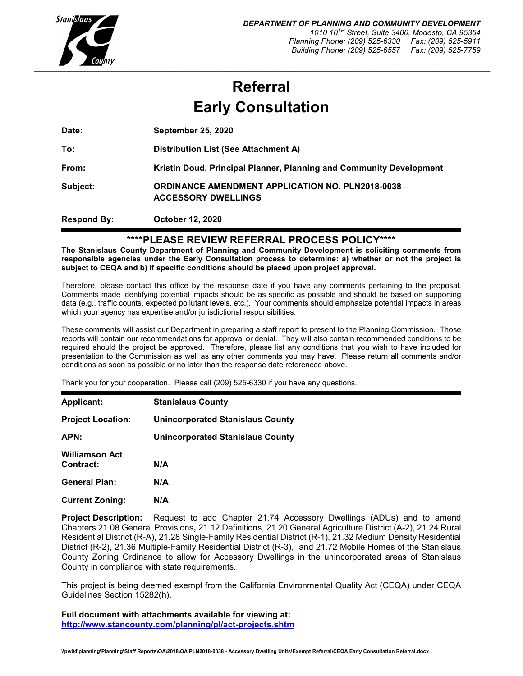

# **Referral Early Consultation**

**Date: September 25, 2020**

**To: Distribution List (See Attachment A) From: Kristin Doud, Principal Planner, Planning and Community Development Subject: ORDINANCE AMENDMENT APPLICATION NO. PLN2018-0038 – ACCESSORY DWELLINGS**

**Respond By: October 12, 2020**

## **\*\*\*\*PLEASE REVIEW REFERRAL PROCESS POLICY\*\*\*\***

**The Stanislaus County Department of Planning and Community Development is soliciting comments from responsible agencies under the Early Consultation process to determine: a) whether or not the project is subject to CEQA and b) if specific conditions should be placed upon project approval.**

Therefore, please contact this office by the response date if you have any comments pertaining to the proposal. Comments made identifying potential impacts should be as specific as possible and should be based on supporting data (e.g., traffic counts, expected pollutant levels, etc.). Your comments should emphasize potential impacts in areas which your agency has expertise and/or jurisdictional responsibilities.

These comments will assist our Department in preparing a staff report to present to the Planning Commission. Those reports will contain our recommendations for approval or denial. They will also contain recommended conditions to be required should the project be approved. Therefore, please list any conditions that you wish to have included for presentation to the Commission as well as any other comments you may have. Please return all comments and/or conditions as soon as possible or no later than the response date referenced above.

Thank you for your cooperation. Please call (209) 525-6330 if you have any questions.

| <b>Applicant:</b>                  | <b>Stanislaus County</b>                |
|------------------------------------|-----------------------------------------|
| <b>Project Location:</b>           | Unincorporated Stanislaus County        |
| APN:                               | <b>Unincorporated Stanislaus County</b> |
| <b>Williamson Act</b><br>Contract: | N/A                                     |
| <b>General Plan:</b>               | N/A                                     |
| <b>Current Zoning:</b>             | N/A                                     |

**Project Description:** Request to add Chapter 21.74 Accessory Dwellings (ADUs) and to amend Chapters 21.08 General Provisions**,** 21.12 Definitions, 21.20 General Agriculture District (A-2), 21.24 Rural Residential District (R-A), 21.28 Single-Family Residential District (R-1), 21.32 Medium Density Residential District (R-2), 21.36 Multiple-Family Residential District (R-3), and 21.72 Mobile Homes of the Stanislaus County Zoning Ordinance to allow for Accessory Dwellings in the unincorporated areas of Stanislaus County in compliance with state requirements.

This project is being deemed exempt from the California Environmental Quality Act (CEQA) under CEQA Guidelines Section 15282(h).

**Full document with attachments available for viewing at: <http://www.stancounty.com/planning/pl/act-projects.shtm>**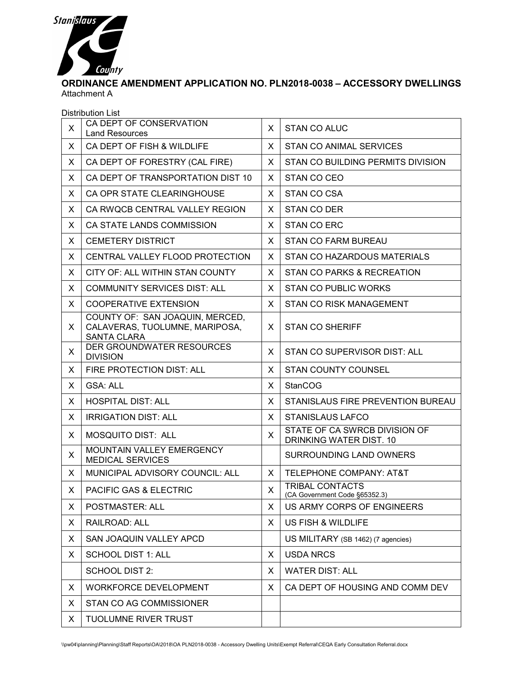

## **ORDINANCE AMENDMENT APPLICATION NO. PLN2018-0038 – ACCESSORY DWELLINGS** Attachment A

|              | Distribution List                                                                       |              |                                                          |
|--------------|-----------------------------------------------------------------------------------------|--------------|----------------------------------------------------------|
| X            | CA DEPT OF CONSERVATION<br><b>Land Resources</b>                                        | X            | STAN CO ALUC                                             |
| X            | CA DEPT OF FISH & WILDLIFE                                                              |              | STAN CO ANIMAL SERVICES                                  |
| X            | CA DEPT OF FORESTRY (CAL FIRE)                                                          | X            | <b>STAN CO BUILDING PERMITS DIVISION</b>                 |
| X            | CA DEPT OF TRANSPORTATION DIST 10                                                       | X            | STAN CO CEO                                              |
| X            | CA OPR STATE CLEARINGHOUSE                                                              | X            | STAN CO CSA                                              |
| X            | CA RWQCB CENTRAL VALLEY REGION                                                          | X            | <b>STAN CO DER</b>                                       |
| X            | CA STATE LANDS COMMISSION                                                               | X            | <b>STAN CO ERC</b>                                       |
| X            | <b>CEMETERY DISTRICT</b>                                                                | X            | <b>STAN CO FARM BUREAU</b>                               |
| X            | CENTRAL VALLEY FLOOD PROTECTION                                                         | X            | STAN CO HAZARDOUS MATERIALS                              |
| X            | CITY OF: ALL WITHIN STAN COUNTY                                                         | X.           | STAN CO PARKS & RECREATION                               |
| X            | <b>COMMUNITY SERVICES DIST: ALL</b>                                                     | X            | <b>STAN CO PUBLIC WORKS</b>                              |
| Χ            | <b>COOPERATIVE EXTENSION</b>                                                            | X            | <b>STAN CO RISK MANAGEMENT</b>                           |
| X            | COUNTY OF: SAN JOAQUIN, MERCED,<br>CALAVERAS, TUOLUMNE, MARIPOSA,<br><b>SANTA CLARA</b> | X.           | <b>STAN CO SHERIFF</b>                                   |
| X            | DER GROUNDWATER RESOURCES<br><b>DIVISION</b>                                            | X            | STAN CO SUPERVISOR DIST: ALL                             |
| X.           | FIRE PROTECTION DIST: ALL                                                               | X            | <b>STAN COUNTY COUNSEL</b>                               |
| X            | <b>GSA: ALL</b>                                                                         | X            | <b>StanCOG</b>                                           |
| X            | <b>HOSPITAL DIST: ALL</b>                                                               | X            | STANISLAUS FIRE PREVENTION BUREAU                        |
| X            | <b>IRRIGATION DIST: ALL</b>                                                             | X            | <b>STANISLAUS LAFCO</b>                                  |
| X            | MOSQUITO DIST: ALL                                                                      | X            | STATE OF CA SWRCB DIVISION OF<br>DRINKING WATER DIST. 10 |
| X            | <b>MOUNTAIN VALLEY EMERGENCY</b><br><b>MEDICAL SERVICES</b>                             |              | <b>SURROUNDING LAND OWNERS</b>                           |
| X            | MUNICIPAL ADVISORY COUNCIL: ALL                                                         | $\mathsf{X}$ | <b>TELEPHONE COMPANY: AT&amp;T</b>                       |
| $\mathsf{X}$ | PACIFIC GAS & ELECTRIC                                                                  | $\mathsf{X}$ | TRIBAL CONTACTS<br>(CA Government Code §65352.3)         |
| X.           | POSTMASTER: ALL                                                                         | X            | US ARMY CORPS OF ENGINEERS                               |
| X            | RAILROAD: ALL                                                                           | X            | US FISH & WILDLIFE                                       |
| X            | SAN JOAQUIN VALLEY APCD                                                                 |              | US MILITARY (SB 1462) (7 agencies)                       |
| X            | <b>SCHOOL DIST 1: ALL</b>                                                               | X            | <b>USDA NRCS</b>                                         |
|              | <b>SCHOOL DIST 2:</b>                                                                   | X            | <b>WATER DIST: ALL</b>                                   |
| X            | <b>WORKFORCE DEVELOPMENT</b>                                                            | X            | CA DEPT OF HOUSING AND COMM DEV                          |
| X            | STAN CO AG COMMISSIONER                                                                 |              |                                                          |
| X            | <b>TUOLUMNE RIVER TRUST</b>                                                             |              |                                                          |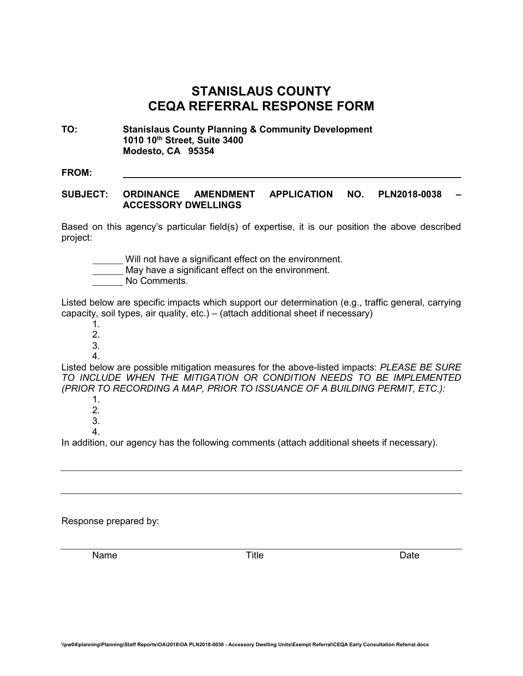## **STANISLAUS COUNTY CEQA REFERRAL RESPONSE FORM**

**TO: Stanislaus County Planning & Community Development 1010 10th Street, Suite 3400 Modesto, CA 95354**

#### **FROM:**

#### **SUBJECT: ORDINANCE AMENDMENT APPLICATION NO. PLN2018-0038 – ACCESSORY DWELLINGS**

Based on this agency's particular field(s) of expertise, it is our position the above described project:

Will not have a significant effect on the environment.

May have a significant effect on the environment.

No Comments.

Listed below are specific impacts which support our determination (e.g., traffic general, carrying capacity, soil types, air quality, etc.) – (attach additional sheet if necessary)

- 1.
- 2.
- 3. 4.

Listed below are possible mitigation measures for the above-listed impacts: *PLEASE BE SURE TO INCLUDE WHEN THE MITIGATION OR CONDITION NEEDS TO BE IMPLEMENTED (PRIOR TO RECORDING A MAP, PRIOR TO ISSUANCE OF A BUILDING PERMIT, ETC.):*

- 1. 2. 3.
- 4.

In addition, our agency has the following comments (attach additional sheets if necessary).

Response prepared by:

Name **Name** Date **Title Contract Contract Date**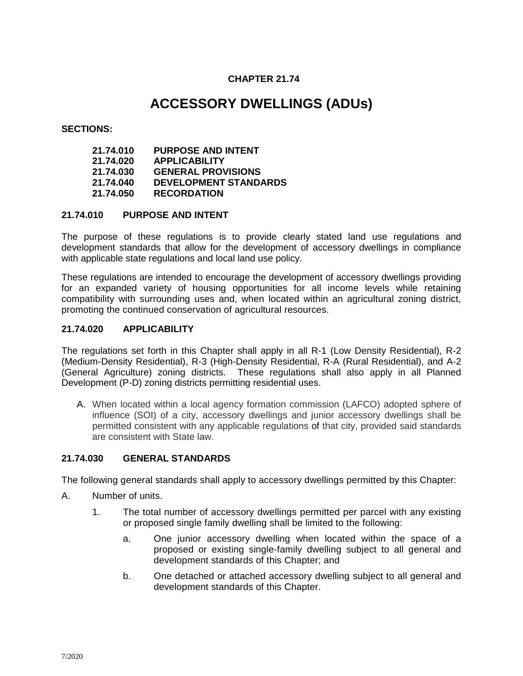## **CHAPTER 21.74**

## **ACCESSORY DWELLINGS (ADUs)**

#### **SECTIONS:**

| 21.74.010 | <b>PURPOSE AND INTENT</b>    |
|-----------|------------------------------|
| 21.74.020 | <b>APPLICABILITY</b>         |
| 21.74.030 | <b>GENERAL PROVISIONS</b>    |
| 21.74.040 | <b>DEVELOPMENT STANDARDS</b> |
| 21.74.050 | <b>RECORDATION</b>           |

#### **21.74.010 PURPOSE AND INTENT**

The purpose of these regulations is to provide clearly stated land use regulations and development standards that allow for the development of accessory dwellings in compliance with applicable state regulations and local land use policy.

These regulations are intended to encourage the development of accessory dwellings providing for an expanded variety of housing opportunities for all income levels while retaining compatibility with surrounding uses and, when located within an agricultural zoning district, promoting the continued conservation of agricultural resources.

#### **21.74.020 APPLICABILITY**

The regulations set forth in this Chapter shall apply in all R-1 (Low Density Residential), R-2 (Medium-Density Residential), R-3 (High-Density Residential, R-A (Rural Residential), and A-2 (General Agriculture) zoning districts. These regulations shall also apply in all Planned Development (P-D) zoning districts permitting residential uses.

A. When located within a local agency formation commission (LAFCO) adopted sphere of influence (SOI) of a city, accessory dwellings and junior accessory dwellings shall be permitted consistent with any applicable regulations of that city, provided said standards are consistent with State law.

## **21.74.030 GENERAL STANDARDS**

The following general standards shall apply to accessory dwellings permitted by this Chapter:

- A. Number of units.
	- 1. The total number of accessory dwellings permitted per parcel with any existing or proposed single family dwelling shall be limited to the following:
		- a. One junior accessory dwelling when located within the space of a proposed or existing single-family dwelling subject to all general and development standards of this Chapter; and
		- b. One detached or attached accessory dwelling subject to all general and development standards of this Chapter.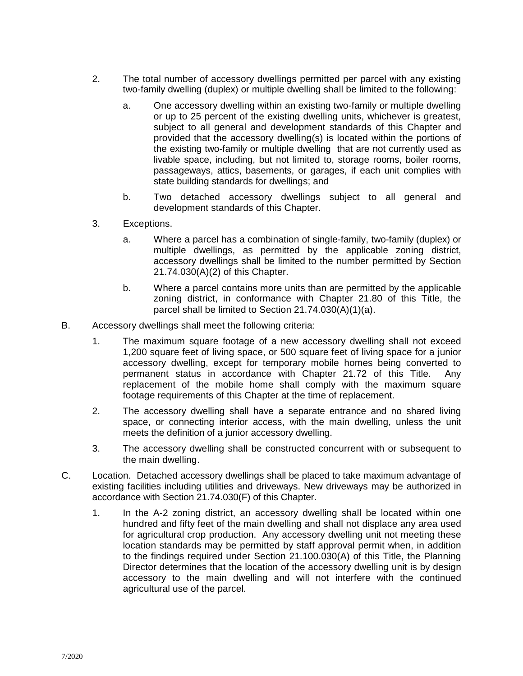- 2. The total number of accessory dwellings permitted per parcel with any existing two-family dwelling (duplex) or multiple dwelling shall be limited to the following:
	- a. One accessory dwelling within an existing two-family or multiple dwelling or up to 25 percent of the existing dwelling units, whichever is greatest, subject to all general and development standards of this Chapter and provided that the accessory dwelling(s) is located within the portions of the existing two-family or multiple dwelling that are not currently used as livable space, including, but not limited to, storage rooms, boiler rooms, passageways, attics, basements, or garages, if each unit complies with state building standards for dwellings; and
	- b. Two detached accessory dwellings subject to all general and development standards of this Chapter.
- 3. Exceptions.
	- a. Where a parcel has a combination of single-family, two-family (duplex) or multiple dwellings, as permitted by the applicable zoning district, accessory dwellings shall be limited to the number permitted by Section 21.74.030(A)(2) of this Chapter.
	- b. Where a parcel contains more units than are permitted by the applicable zoning district, in conformance with Chapter 21.80 of this Title, the parcel shall be limited to Section 21.74.030(A)(1)(a).
- B. Accessory dwellings shall meet the following criteria:
	- 1. The maximum square footage of a new accessory dwelling shall not exceed 1,200 square feet of living space, or 500 square feet of living space for a junior accessory dwelling, except for temporary mobile homes being converted to permanent status in accordance with Chapter 21.72 of this Title. Any replacement of the mobile home shall comply with the maximum square footage requirements of this Chapter at the time of replacement.
	- 2. The accessory dwelling shall have a separate entrance and no shared living space, or connecting interior access, with the main dwelling, unless the unit meets the definition of a junior accessory dwelling.
	- 3. The accessory dwelling shall be constructed concurrent with or subsequent to the main dwelling.
- C. Location. Detached accessory dwellings shall be placed to take maximum advantage of existing facilities including utilities and driveways. New driveways may be authorized in accordance with Section 21.74.030(F) of this Chapter.
	- 1. In the A-2 zoning district, an accessory dwelling shall be located within one hundred and fifty feet of the main dwelling and shall not displace any area used for agricultural crop production. Any accessory dwelling unit not meeting these location standards may be permitted by staff approval permit when, in addition to the findings required under Section 21.100.030(A) of this Title, the Planning Director determines that the location of the accessory dwelling unit is by design accessory to the main dwelling and will not interfere with the continued agricultural use of the parcel.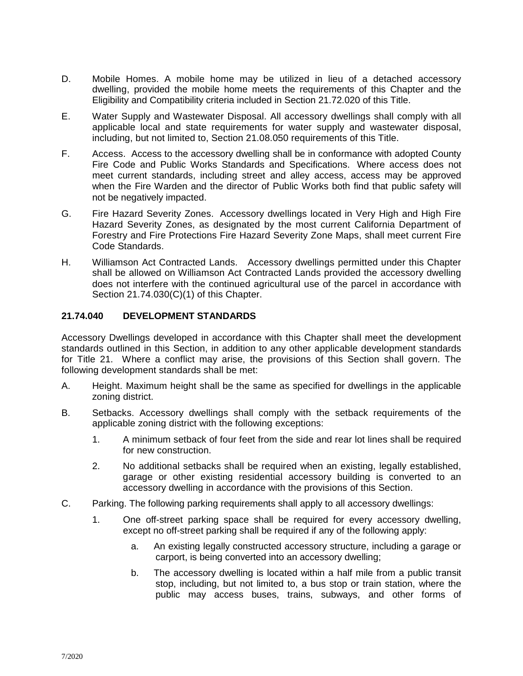- D. Mobile Homes. A mobile home may be utilized in lieu of a detached accessory dwelling, provided the mobile home meets the requirements of this Chapter and the Eligibility and Compatibility criteria included in Section 21.72.020 of this Title.
- E. Water Supply and Wastewater Disposal. All accessory dwellings shall comply with all applicable local and state requirements for water supply and wastewater disposal, including, but not limited to, Section 21.08.050 requirements of this Title.
- F. Access. Access to the accessory dwelling shall be in conformance with adopted County Fire Code and Public Works Standards and Specifications. Where access does not meet current standards, including street and alley access, access may be approved when the Fire Warden and the director of Public Works both find that public safety will not be negatively impacted.
- G. Fire Hazard Severity Zones. Accessory dwellings located in Very High and High Fire Hazard Severity Zones, as designated by the most current California Department of Forestry and Fire Protections Fire Hazard Severity Zone Maps, shall meet current Fire Code Standards.
- H. Williamson Act Contracted Lands. Accessory dwellings permitted under this Chapter shall be allowed on Williamson Act Contracted Lands provided the accessory dwelling does not interfere with the continued agricultural use of the parcel in accordance with Section 21.74.030(C)(1) of this Chapter.

## **21.74.040 DEVELOPMENT STANDARDS**

Accessory Dwellings developed in accordance with this Chapter shall meet the development standards outlined in this Section, in addition to any other applicable development standards for Title 21. Where a conflict may arise, the provisions of this Section shall govern. The following development standards shall be met:

- A. Height. Maximum height shall be the same as specified for dwellings in the applicable zoning district.
- B. Setbacks. Accessory dwellings shall comply with the setback requirements of the applicable zoning district with the following exceptions:
	- 1. A minimum setback of four feet from the side and rear lot lines shall be required for new construction.
	- 2. No additional setbacks shall be required when an existing, legally established, garage or other existing residential accessory building is converted to an accessory dwelling in accordance with the provisions of this Section.
- C. Parking. The following parking requirements shall apply to all accessory dwellings:
	- 1. One off-street parking space shall be required for every accessory dwelling, except no off-street parking shall be required if any of the following apply:
		- a. An existing legally constructed accessory structure, including a garage or carport, is being converted into an accessory dwelling;
		- b. The accessory dwelling is located within a half mile from a public transit stop, including, but not limited to, a bus stop or train station, where the public may access buses, trains, subways, and other forms of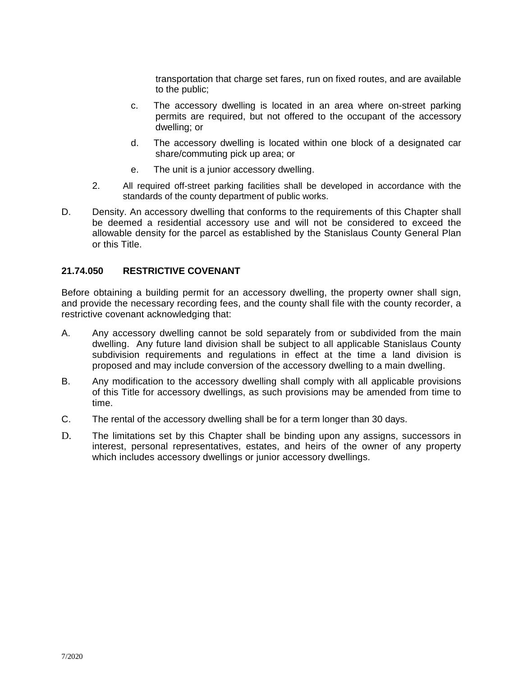transportation that charge set fares, run on fixed routes, and are available to the public;

- c. The accessory dwelling is located in an area where on-street parking permits are required, but not offered to the occupant of the accessory dwelling; or
- d. The accessory dwelling is located within one block of a designated car share/commuting pick up area; or
- e. The unit is a junior accessory dwelling.
- 2. All required off-street parking facilities shall be developed in accordance with the standards of the county department of public works.
- D. Density. An accessory dwelling that conforms to the requirements of this Chapter shall be deemed a residential accessory use and will not be considered to exceed the allowable density for the parcel as established by the Stanislaus County General Plan or this Title.

## **21.74.050 RESTRICTIVE COVENANT**

Before obtaining a building permit for an accessory dwelling, the property owner shall sign, and provide the necessary recording fees, and the county shall file with the county recorder, a restrictive covenant acknowledging that:

- A. Any accessory dwelling cannot be sold separately from or subdivided from the main dwelling. Any future land division shall be subject to all applicable Stanislaus County subdivision requirements and regulations in effect at the time a land division is proposed and may include conversion of the accessory dwelling to a main dwelling.
- B. Any modification to the accessory dwelling shall comply with all applicable provisions of this Title for accessory dwellings, as such provisions may be amended from time to time.
- C. The rental of the accessory dwelling shall be for a term longer than 30 days.
- D. The limitations set by this Chapter shall be binding upon any assigns, successors in interest, personal representatives, estates, and heirs of the owner of any property which includes accessory dwellings or junior accessory dwellings.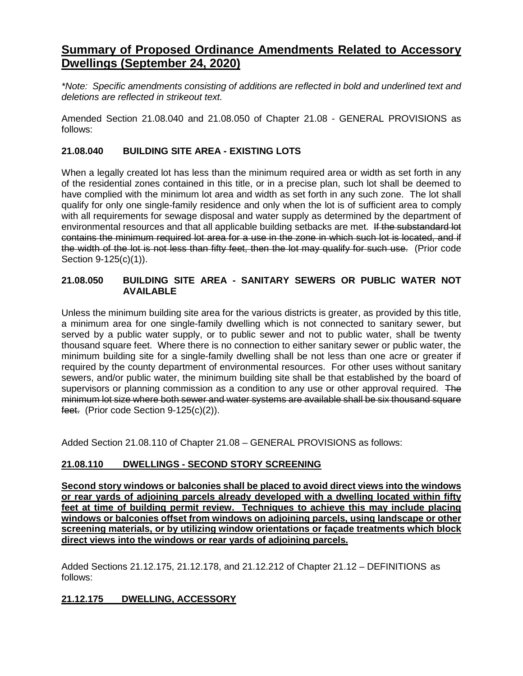## **Summary of Proposed Ordinance Amendments Related to Accessory Dwellings (September 24, 2020)**

*\*Note: Specific amendments consisting of additions are reflected in bold and underlined text and deletions are reflected in strikeout text.*

Amended Section 21.08.040 and 21.08.050 of Chapter 21.08 - GENERAL PROVISIONS as follows:

## **21.08.040 BUILDING SITE AREA - EXISTING LOTS**

When a legally created lot has less than the minimum required area or width as set forth in any of the residential zones contained in this title, or in a precise plan, such lot shall be deemed to have complied with the minimum lot area and width as set forth in any such zone. The lot shall qualify for only one single-family residence and only when the lot is of sufficient area to comply with all requirements for sewage disposal and water supply as determined by the department of environmental resources and that all applicable building setbacks are met. If the substandard lot contains the minimum required lot area for a use in the zone in which such lot is located, and if the width of the lot is not less than fifty feet, then the lot may qualify for such use. (Prior code Section 9-125(c)(1)).

## **21.08.050 BUILDING SITE AREA - SANITARY SEWERS OR PUBLIC WATER NOT AVAILABLE**

Unless the minimum building site area for the various districts is greater, as provided by this title, a minimum area for one single-family dwelling which is not connected to sanitary sewer, but served by a public water supply, or to public sewer and not to public water, shall be twenty thousand square feet. Where there is no connection to either sanitary sewer or public water, the minimum building site for a single-family dwelling shall be not less than one acre or greater if required by the county department of environmental resources. For other uses without sanitary sewers, and/or public water, the minimum building site shall be that established by the board of supervisors or planning commission as a condition to any use or other approval required. The minimum lot size where both sewer and water systems are available shall be six thousand square feet. (Prior code Section 9-125(c)(2)).

Added Section 21.08.110 of Chapter 21.08 – GENERAL PROVISIONS as follows:

## **21.08.110 DWELLINGS - SECOND STORY SCREENING**

**Second story windows or balconies shall be placed to avoid direct views into the windows or rear yards of adjoining parcels already developed with a dwelling located within fifty feet at time of building permit review. Techniques to achieve this may include placing windows or balconies offset from windows on adjoining parcels, using landscape or other screening materials, or by utilizing window orientations or façade treatments which block direct views into the windows or rear yards of adjoining parcels.** 

Added Sections 21.12.175, 21.12.178, and 21.12.212 of Chapter 21.12 – DEFINITIONS as follows:

## **21.12.175 DWELLING, ACCESSORY**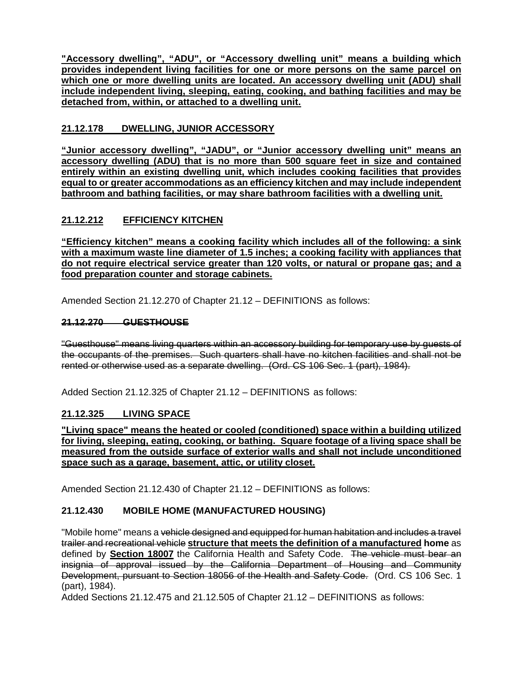**"Accessory dwelling", "ADU", or "Accessory dwelling unit" means a building which provides independent living facilities for one or more persons on the same parcel on**  which one or more dwelling units are located. An accessory dwelling unit (ADU) shall **include independent living, sleeping, eating, cooking, and bathing facilities and may be detached from, within, or attached to a dwelling unit.**

## **21.12.178 DWELLING, JUNIOR ACCESSORY**

**"Junior accessory dwelling", "JADU", or "Junior accessory dwelling unit" means an accessory dwelling (ADU) that is no more than 500 square feet in size and contained entirely within an existing dwelling unit, which includes cooking facilities that provides equal to or greater accommodations as an efficiency kitchen and may include independent bathroom and bathing facilities, or may share bathroom facilities with a dwelling unit.**

## **21.12.212 EFFICIENCY KITCHEN**

**"Efficiency kitchen" means a cooking facility which includes all of the following: a sink with a maximum waste line diameter of 1.5 inches; a cooking facility with appliances that do not require electrical service greater than 120 volts, or natural or propane gas; and a food preparation counter and storage cabinets.**

Amended Section 21.12.270 of Chapter 21.12 – DEFINITIONS as follows:

## **21.12.270 GUESTHOUSE**

"Guesthouse" means living quarters within an accessory building for temporary use by guests of the occupants of the premises. Such quarters shall have no kitchen facilities and shall not be rented or otherwise used as a separate dwelling. (Ord. CS 106 Sec. 1 (part), 1984).

Added Section 21.12.325 of Chapter 21.12 – DEFINITIONS as follows:

## **21.12.325 LIVING SPACE**

**"Living space" means the heated or cooled (conditioned) space within a building utilized for living, sleeping, eating, cooking, or bathing. Square footage of a living space shall be measured from the outside surface of exterior walls and shall not include unconditioned space such as a garage, basement, attic, or utility closet.**

Amended Section 21.12.430 of Chapter 21.12 – DEFINITIONS as follows:

## **21.12.430 MOBILE HOME (MANUFACTURED HOUSING)**

"Mobile home" means a <del>vehicle designed and equipped for human habitation and includes a travel</del> trailer and recreational vehicle **structure that meets the definition of a manufactured home** as defined by **Section 18007** the California Health and Safety Code. The vehicle must bear an insignia of approval issued by the California Department of Housing and Community Development, pursuant to Section 18056 of the Health and Safety Code. (Ord. CS 106 Sec. 1 (part), 1984).

Added Sections 21.12.475 and 21.12.505 of Chapter 21.12 – DEFINITIONS as follows: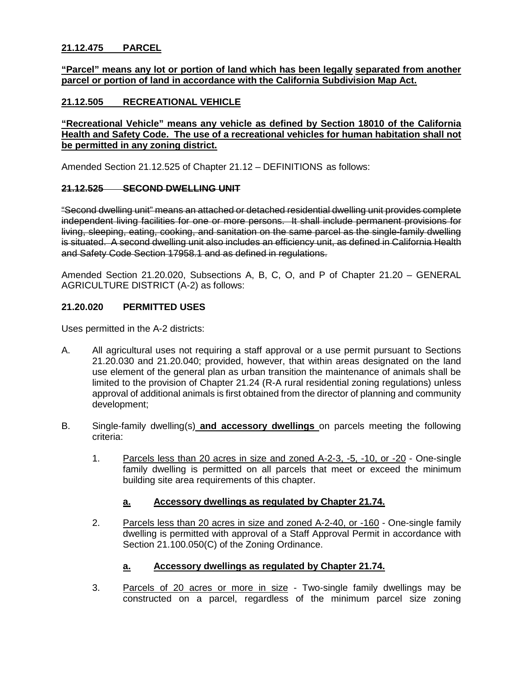## **21.12.475 PARCEL**

#### **"Parcel" means any lot or portion of land which has been legally separated from another parcel or portion of land in accordance with the California Subdivision Map Act.**

## **21.12.505 RECREATIONAL VEHICLE**

### **"Recreational Vehicle" means any vehicle as defined by Section 18010 of the California Health and Safety Code. The use of a recreational vehicles for human habitation shall not be permitted in any zoning district.**

Amended Section 21.12.525 of Chapter 21.12 – DEFINITIONS as follows:

#### **21.12.525 SECOND DWELLING UNIT**

"Second dwelling unit" means an attached or detached residential dwelling unit provides complete independent living facilities for one or more persons. It shall include permanent provisions for living, sleeping, eating, cooking, and sanitation on the same parcel as the single-family dwelling is situated. A second dwelling unit also includes an efficiency unit, as defined in California Health and Safety Code Section 17958.1 and as defined in regulations.

Amended Section 21.20.020, Subsections A, B, C, O, and P of Chapter 21.20 – GENERAL AGRICULTURE DISTRICT (A-2) as follows:

#### **21.20.020 PERMITTED USES**

Uses permitted in the A-2 districts:

- A. All agricultural uses not requiring a staff approval or a use permit pursuant to Sections 21.20.030 and 21.20.040; provided, however, that within areas designated on the land use element of the general plan as urban transition the maintenance of animals shall be limited to the provision of Chapter 21.24 (R-A rural residential zoning regulations) unless approval of additional animals is first obtained from the director of planning and community development;
- B. Single-family dwelling(s) **and accessory dwellings** on parcels meeting the following criteria:
	- 1. Parcels less than 20 acres in size and zoned A-2-3, -5, -10, or -20 One-single family dwelling is permitted on all parcels that meet or exceed the minimum building site area requirements of this chapter.

#### **a. Accessory dwellings as regulated by Chapter 21.74.**

2. Parcels less than 20 acres in size and zoned A-2-40, or -160 - One-single family dwelling is permitted with approval of a Staff Approval Permit in accordance with Section 21.100.050(C) of the Zoning Ordinance.

#### **a. Accessory dwellings as regulated by Chapter 21.74.**

3. Parcels of 20 acres or more in size - Two-single family dwellings may be constructed on a parcel, regardless of the minimum parcel size zoning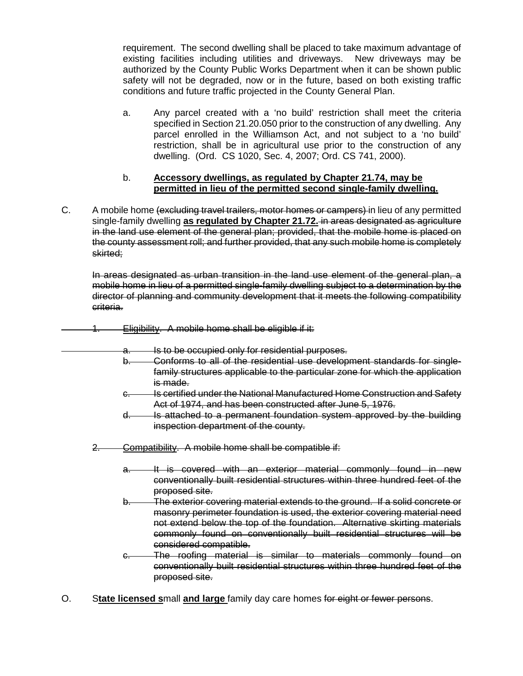requirement. The second dwelling shall be placed to take maximum advantage of existing facilities including utilities and driveways. New driveways may be authorized by the County Public Works Department when it can be shown public safety will not be degraded, now or in the future, based on both existing traffic conditions and future traffic projected in the County General Plan.

a. Any parcel created with a 'no build' restriction shall meet the criteria specified in Section 21.20.050 prior to the construction of any dwelling. Any parcel enrolled in the Williamson Act, and not subject to a 'no build' restriction, shall be in agricultural use prior to the construction of any dwelling. (Ord. CS 1020, Sec. 4, 2007; Ord. CS 741, 2000).

#### b. **Accessory dwellings, as regulated by Chapter 21.74, may be permitted in lieu of the permitted second single-family dwelling.**

C. A mobile home (excluding travel trailers, motor homes or campers) in lieu of any permitted single-family dwelling **as regulated by Chapter 21.72.** in areas designated as agriculture in the land use element of the general plan; provided, that the mobile home is placed on the county assessment roll; and further provided, that any such mobile home is completely skirted;

In areas designated as urban transition in the land use element of the general plan, a mobile home in lieu of a permitted single-family dwelling subject to a determination by the director of planning and community development that it meets the following compatibility criteria.

- 1. Eligibility. A mobile home shall be eligible if it:
	- a. Is to be occupied only for residential purposes.
	- b. Conforms to all of the residential use development standards for singlefamily structures applicable to the particular zone for which the application is made.
	- c. Is certified under the National Manufactured Home Construction and Safety Act of 1974, and has been constructed after June 5, 1976.
	- d. Is attached to a permanent foundation system approved by the building inspection department of the county.

2. Compatibility. A mobile home shall be compatible if:

- a. It is covered with an exterior material commonly found in new conventionally built residential structures within three hundred feet of the proposed site.
- b. The exterior covering material extends to the ground. If a solid concrete or masonry perimeter foundation is used, the exterior covering material need not extend below the top of the foundation. Alternative skirting materials commonly found on conventionally built residential structures will be considered compatible.
- c. The roofing material is similar to materials commonly found on conventionally built residential structures within three hundred feet of the proposed site.
- O. S**tate licensed s**mall **and large** family day care homes for eight or fewer persons.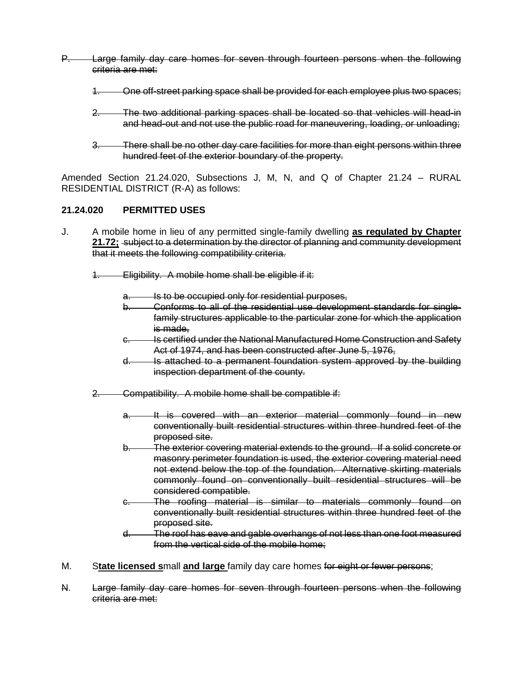- P. Large family day care homes for seven through fourteen persons when the following criteria are met:
	- 1. One off-street parking space shall be provided for each employee plus two spaces;
	- 2. The two additional parking spaces shall be located so that vehicles will head-in and head-out and not use the public road for maneuvering, loading, or unloading;
	- 3. There shall be no other day care facilities for more than eight persons within three hundred feet of the exterior boundary of the property.

Amended Section 21.24.020, Subsections J, M, N, and Q of Chapter 21.24 – RURAL RESIDENTIAL DISTRICT (R-A) as follows:

#### **21.24.020 PERMITTED USES**

- J. A mobile home in lieu of any permitted single-family dwelling **as regulated by Chapter 21.72;** subject to a determination by the director of planning and community development that it meets the following compatibility criteria.
	- 1. Eligibility. A mobile home shall be eligible if it:
		- **a. Is to be occupied only for residential purposes,**
		- b. Conforms to all of the residential use development standards for singlefamily structures applicable to the particular zone for which the application is made,
		- c. Is certified under the National Manufactured Home Construction and Safety Act of 1974, and has been constructed after June 5, 1976,
		- d. Is attached to a permanent foundation system approved by the building inspection department of the county.
	- 2. Compatibility. A mobile home shall be compatible if:
		- a. It is covered with an exterior material commonly found in new conventionally built residential structures within three hundred feet of the proposed site.
		- b. The exterior covering material extends to the ground. If a solid concrete or masonry perimeter foundation is used, the exterior covering material need not extend below the top of the foundation. Alternative skirting materials commonly found on conventionally built residential structures will be considered compatible.
		- c. The roofing material is similar to materials commonly found on conventionally built residential structures within three hundred feet of the proposed site.
		- d. The roof has eave and gable overhangs of not less than one foot measured from the vertical side of the mobile home;
- M. S**tate licensed s**mall **and large** family day care homes for eight or fewer persons;
- N. Large family day care homes for seven through fourteen persons when the following criteria are met: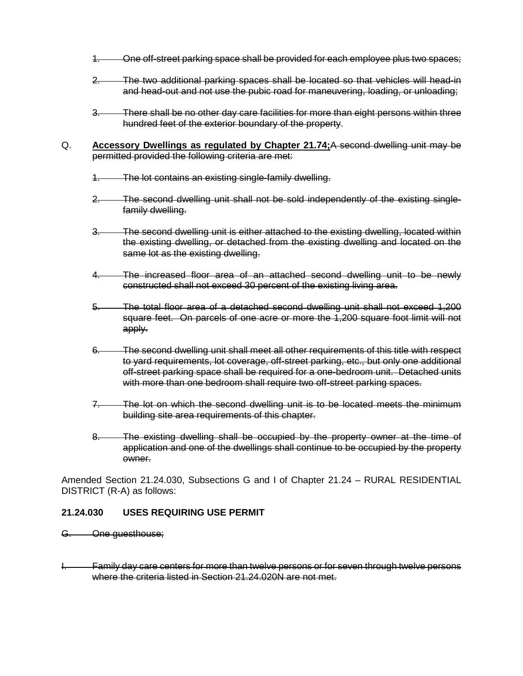- 1. One off-street parking space shall be provided for each employee plus two spaces;
- 2. The two additional parking spaces shall be located so that vehicles will head-in and head-out and not use the pubic road for maneuvering, loading, or unloading;
- 3. There shall be no other day care facilities for more than eight persons within three hundred feet of the exterior boundary of the property.
- Q. **Accessory Dwellings as regulated by Chapter 21.74;**A second dwelling unit may be permitted provided the following criteria are met:
	- The lot contains an existing single-family dwelling.
	- 2. The second dwelling unit shall not be sold independently of the existing singlefamily dwelling.
	- 3. The second dwelling unit is either attached to the existing dwelling, located within the existing dwelling, or detached from the existing dwelling and located on the same lot as the existing dwelling.
	- The increased floor area of an attached second dwelling unit to be newly constructed shall not exceed 30 percent of the existing living area.
	- 5. The total floor area of a detached second dwelling unit shall not exceed 1,200 square feet. On parcels of one acre or more the 1,200 square foot limit will not apply.
	- 6. The second dwelling unit shall meet all other requirements of this title with respect to yard requirements, lot coverage, off-street parking, etc., but only one additional off-street parking space shall be required for a one-bedroom unit. Detached units with more than one bedroom shall require two off-street parking spaces.
	- 7. The lot on which the second dwelling unit is to be located meets the minimum building site area requirements of this chapter.
	- 8. The existing dwelling shall be occupied by the property owner at the time of application and one of the dwellings shall continue to be occupied by the property owner.

Amended Section 21.24.030, Subsections G and I of Chapter 21.24 – RURAL RESIDENTIAL DISTRICT (R-A) as follows:

#### **21.24.030 USES REQUIRING USE PERMIT**

- G. One guesthouse;
- Family day care centers for more than twelve persons or for seven through twelve persons where the criteria listed in Section 21.24.020N are not met.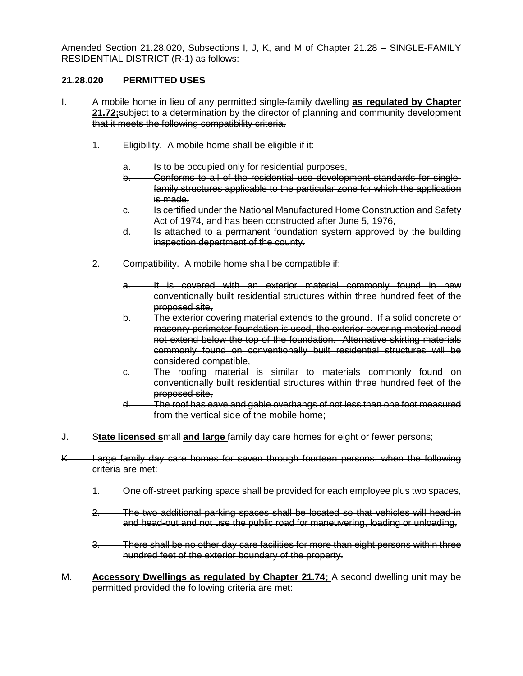Amended Section 21.28.020, Subsections I, J, K, and M of Chapter 21.28 – SINGLE-FAMILY RESIDENTIAL DISTRICT (R-1) as follows:

## **21.28.020 PERMITTED USES**

- I. A mobile home in lieu of any permitted single-family dwelling **as regulated by Chapter 21.72;**subject to a determination by the director of planning and community development that it meets the following compatibility criteria.
	- 1. Eligibility. A mobile home shall be eligible if it:
		- a. Is to be occupied only for residential purposes,
		- b. Conforms to all of the residential use development standards for singlefamily structures applicable to the particular zone for which the application is made,
		- c. Is certified under the National Manufactured Home Construction and Safety Act of 1974, and has been constructed after June 5, 1976,
		- d. Is attached to a permanent foundation system approved by the building inspection department of the county.
	- 2. Compatibility. A mobile home shall be compatible if:
		- a. It is covered with an exterior material commonly found in new conventionally built residential structures within three hundred feet of the proposed site,
		- b. The exterior covering material extends to the ground. If a solid concrete or masonry perimeter foundation is used, the exterior covering material need not extend below the top of the foundation. Alternative skirting materials commonly found on conventionally built residential structures will be considered compatible,
		- c. The roofing material is similar to materials commonly found on conventionally built residential structures within three hundred feet of the proposed site,
		- d. The roof has eave and gable overhangs of not less than one foot measured from the vertical side of the mobile home;
- J. S**tate licensed s**mall **and large** family day care homes for eight or fewer persons;
- K. Large family day care homes for seven through fourteen persons. when the following criteria are met:
	- 1. One off-street parking space shall be provided for each employee plus two spaces,
	- 2. The two additional parking spaces shall be located so that vehicles will head-in and head-out and not use the public road for maneuvering, loading or unloading,
	- 3. There shall be no other day care facilities for more than eight persons within three hundred feet of the exterior boundary of the property.
- M. **Accessory Dwellings as regulated by Chapter 21.74;** A second dwelling unit may be permitted provided the following criteria are met: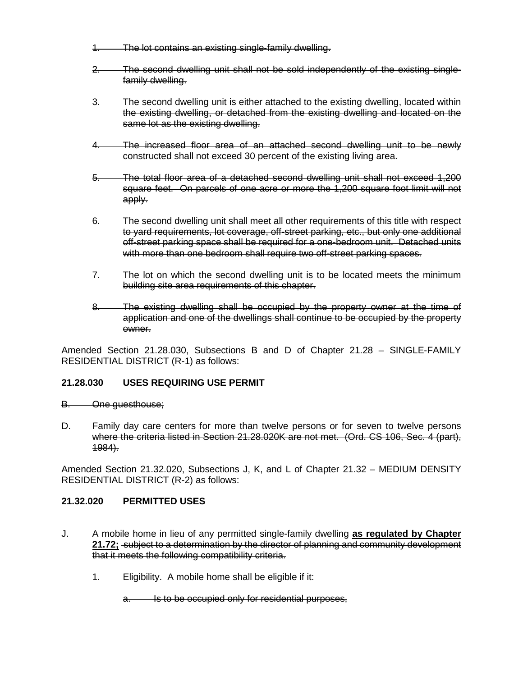- 1. The lot contains an existing single-family dwelling.
- 2. The second dwelling unit shall not be sold independently of the existing singlefamily dwelling.
- 3. The second dwelling unit is either attached to the existing dwelling, located within the existing dwelling, or detached from the existing dwelling and located on the same lot as the existing dwelling.
- 4. The increased floor area of an attached second dwelling unit to be newly constructed shall not exceed 30 percent of the existing living area.
- 5. The total floor area of a detached second dwelling unit shall not exceed 1,200 square feet. On parcels of one acre or more the 1,200 square foot limit will not apply.
- 6. The second dwelling unit shall meet all other requirements of this title with respect to yard requirements, lot coverage, off-street parking, etc., but only one additional off-street parking space shall be required for a one-bedroom unit. Detached units with more than one bedroom shall require two off-street parking spaces.
- 7. The lot on which the second dwelling unit is to be located meets the minimum building site area requirements of this chapter.
- 8. The existing dwelling shall be occupied by the property owner at the time of application and one of the dwellings shall continue to be occupied by the property owner.

Amended Section 21.28.030, Subsections B and D of Chapter 21.28 – SINGLE-FAMILY RESIDENTIAL DISTRICT (R-1) as follows:

## **21.28.030 USES REQUIRING USE PERMIT**

- B. One guesthouse;
- D. Family day care centers for more than twelve persons or for seven to twelve persons where the criteria listed in Section 21.28.020K are not met. (Ord. CS 106, Sec. 4 (part), 1984).

Amended Section 21.32.020, Subsections J, K, and L of Chapter 21.32 – MEDIUM DENSITY RESIDENTIAL DISTRICT (R-2) as follows:

#### **21.32.020 PERMITTED USES**

- J. A mobile home in lieu of any permitted single-family dwelling **as regulated by Chapter 21.72;** subject to a determination by the director of planning and community development that it meets the following compatibility criteria.
	- 1. Eligibility. A mobile home shall be eligible if it:
		- a. Is to be occupied only for residential purposes,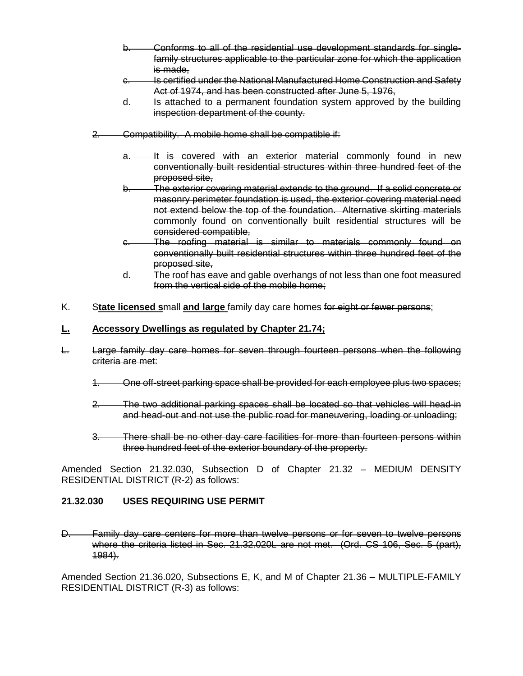- b. Conforms to all of the residential use development standards for singlefamily structures applicable to the particular zone for which the application is made,
- c. Is certified under the National Manufactured Home Construction and Safety Act of 1974, and has been constructed after June 5, 1976,
- d. Is attached to a permanent foundation system approved by the building inspection department of the county.
- 2. Compatibility. A mobile home shall be compatible if:
	- a. It is covered with an exterior material commonly found in new conventionally built residential structures within three hundred feet of the proposed site,
	- b. The exterior covering material extends to the ground. If a solid concrete or masonry perimeter foundation is used, the exterior covering material need not extend below the top of the foundation. Alternative skirting materials commonly found on conventionally built residential structures will be considered compatible,
	- c. The roofing material is similar to materials commonly found on conventionally built residential structures within three hundred feet of the proposed site,
	- d. The roof has eave and gable overhangs of not less than one foot measured from the vertical side of the mobile home;
- K. S**tate licensed s**mall **and large** family day care homes for eight or fewer persons;

## **L. Accessory Dwellings as regulated by Chapter 21.74;**

- L. Large family day care homes for seven through fourteen persons when the following criteria are met:
	- 1. One off-street parking space shall be provided for each employee plus two spaces;
	- 2. The two additional parking spaces shall be located so that vehicles will head-in and head-out and not use the public road for maneuvering, loading or unloading;
	- 3. There shall be no other day care facilities for more than fourteen persons within three hundred feet of the exterior boundary of the property.

Amended Section 21.32.030, Subsection D of Chapter 21.32 – MEDIUM DENSITY RESIDENTIAL DISTRICT (R-2) as follows:

#### **21.32.030 USES REQUIRING USE PERMIT**

D. Family day care centers for more than twelve persons or for seven to twelve persons where the criteria listed in Sec. 21.32.020L are not met. (Ord. CS 106, Sec. 5 (part), 1984).

Amended Section 21.36.020, Subsections E, K, and M of Chapter 21.36 – MULTIPLE-FAMILY RESIDENTIAL DISTRICT (R-3) as follows: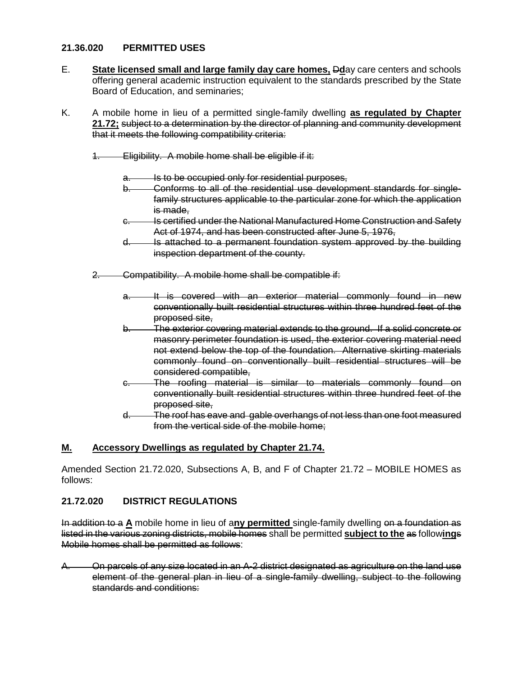#### **21.36.020 PERMITTED USES**

- E. **State licensed small and large family day care homes,** D**d**ay care centers and schools offering general academic instruction equivalent to the standards prescribed by the State Board of Education, and seminaries;
- K. A mobile home in lieu of a permitted single-family dwelling **as regulated by Chapter 21.72;** subject to a determination by the director of planning and community development that it meets the following compatibility criteria:
	- 1. Eligibility. A mobile home shall be eligible if it:
		- Is to be occupied only for residential purposes,
		- b. Conforms to all of the residential use development standards for singlefamily structures applicable to the particular zone for which the application is made,
		- c. Is certified under the National Manufactured Home Construction and Safety Act of 1974, and has been constructed after June 5, 1976,
		- d. Is attached to a permanent foundation system approved by the building inspection department of the county.
	- 2. Compatibility. A mobile home shall be compatible if:
		- a. It is covered with an exterior material commonly found in new conventionally built residential structures within three hundred feet of the proposed site,
		- b. The exterior covering material extends to the ground. If a solid concrete or masonry perimeter foundation is used, the exterior covering material need not extend below the top of the foundation. Alternative skirting materials commonly found on conventionally built residential structures will be considered compatible,
		- c. The roofing material is similar to materials commonly found on conventionally built residential structures within three hundred feet of the proposed site,
		- d. The roof has eave and gable overhangs of not less than one foot measured from the vertical side of the mobile home;

## **M. Accessory Dwellings as regulated by Chapter 21.74.**

Amended Section 21.72.020, Subsections A, B, and F of Chapter 21.72 – MOBILE HOMES as follows:

## **21.72.020 DISTRICT REGULATIONS**

In addition to a **A** mobile home in lieu of a**ny permitted** single-family dwelling on a foundation as listed in the various zoning districts, mobile homes shall be permitted **subject to the** as follow**ing**s Mobile homes shall be permitted as follows:

A. On parcels of any size located in an A-2 district designated as agriculture on the land use element of the general plan in lieu of a single-family dwelling, subject to the following standards and conditions: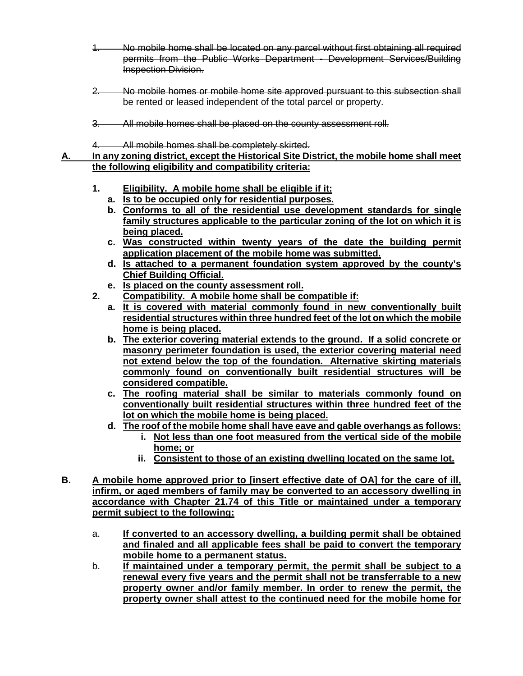- 1. No mobile home shall be located on any parcel without first obtaining all required permits from the Public Works Department - Development Services/Building Inspection Division.
- 2. No mobile homes or mobile home site approved pursuant to this subsection shall be rented or leased independent of the total parcel or property.
- 3. All mobile homes shall be placed on the county assessment roll.
- 4. All mobile homes shall be completely skirted.

**A. In any zoning district, except the Historical Site District, the mobile home shall meet the following eligibility and compatibility criteria:**

- **1. Eligibility. A mobile home shall be eligible if it:**
	- **a. Is to be occupied only for residential purposes.**
	- **b. Conforms to all of the residential use development standards for single family structures applicable to the particular zoning of the lot on which it is being placed.**
	- **c. Was constructed within twenty years of the date the building permit application placement of the mobile home was submitted.**
	- **d. Is attached to a permanent foundation system approved by the county's Chief Building Official.**
	- **e. Is placed on the county assessment roll.**
- **2. Compatibility. A mobile home shall be compatible if:**
	- **a. It is covered with material commonly found in new conventionally built residential structures within three hundred feet of the lot on which the mobile home is being placed.**
	- **b. The exterior covering material extends to the ground. If a solid concrete or masonry perimeter foundation is used, the exterior covering material need not extend below the top of the foundation. Alternative skirting materials commonly found on conventionally built residential structures will be considered compatible.**
	- **c. The roofing material shall be similar to materials commonly found on conventionally built residential structures within three hundred feet of the lot on which the mobile home is being placed.**
	- **d. The roof of the mobile home shall have eave and gable overhangs as follows:**
		- **i. Not less than one foot measured from the vertical side of the mobile home; or**
		- **ii. Consistent to those of an existing dwelling located on the same lot.**
- **B. A mobile home approved prior to [insert effective date of OA] for the care of ill, infirm, or aged members of family may be converted to an accessory dwelling in accordance with Chapter 21.74 of this Title or maintained under a temporary permit subject to the following:**
	- a. **If converted to an accessory dwelling, a building permit shall be obtained and finaled and all applicable fees shall be paid to convert the temporary mobile home to a permanent status.**
	- b. **If maintained under a temporary permit, the permit shall be subject to a renewal every five years and the permit shall not be transferrable to a new property owner and/or family member. In order to renew the permit, the property owner shall attest to the continued need for the mobile home for**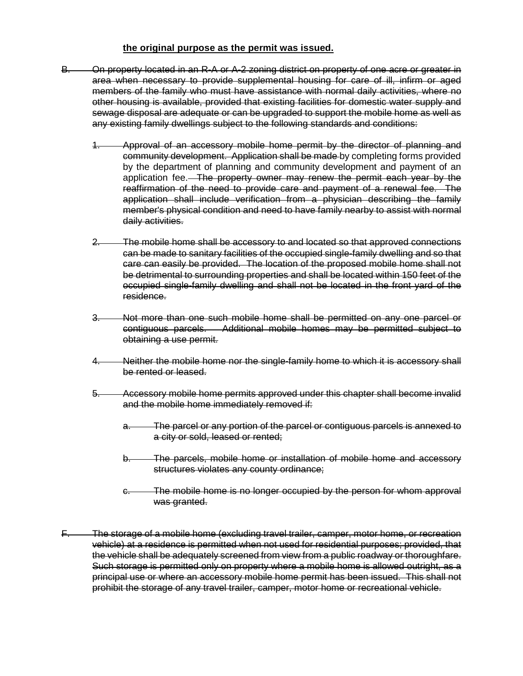#### **the original purpose as the permit was issued.**

- B. On property located in an R-A or A-2 zoning district on property of one acre or greater in area when necessary to provide supplemental housing for care of ill, infirm or aged members of the family who must have assistance with normal daily activities, where no other housing is available, provided that existing facilities for domestic water supply and sewage disposal are adequate or can be upgraded to support the mobile home as well as any existing family dwellings subject to the following standards and conditions:
	- 1. Approval of an accessory mobile home permit by the director of planning and community development. Application shall be made by completing forms provided by the department of planning and community development and payment of an application fee. The property owner may renew the permit each year by the reaffirmation of the need to provide care and payment of a renewal fee. The application shall include verification from a physician describing the family member's physical condition and need to have family nearby to assist with normal daily activities.
	- 2. The mobile home shall be accessory to and located so that approved connections can be made to sanitary facilities of the occupied single-family dwelling and so that care can easily be provided. The location of the proposed mobile home shall not be detrimental to surrounding properties and shall be located within 150 feet of the occupied single-family dwelling and shall not be located in the front yard of the residence.
	- 3. Not more than one such mobile home shall be permitted on any one parcel or contiguous parcels. Additional mobile homes may be permitted subject to obtaining a use permit.
	- Neither the mobile home nor the single-family home to which it is accessory shall be rented or leased.
	- 5. Accessory mobile home permits approved under this chapter shall become invalid and the mobile home immediately removed if:
		- a. The parcel or any portion of the parcel or contiguous parcels is annexed to a city or sold, leased or rented;
		- b. The parcels, mobile home or installation of mobile home and accessory structures violates any county ordinance;
		- c. The mobile home is no longer occupied by the person for whom approval was granted.
- F. The storage of a mobile home (excluding travel trailer, camper, motor home, or recreation vehicle) at a residence is permitted when not used for residential purposes; provided, that the vehicle shall be adequately screened from view from a public roadway or thoroughfare. Such storage is permitted only on property where a mobile home is allowed outright, as a principal use or where an accessory mobile home permit has been issued. This shall not prohibit the storage of any travel trailer, camper, motor home or recreational vehicle.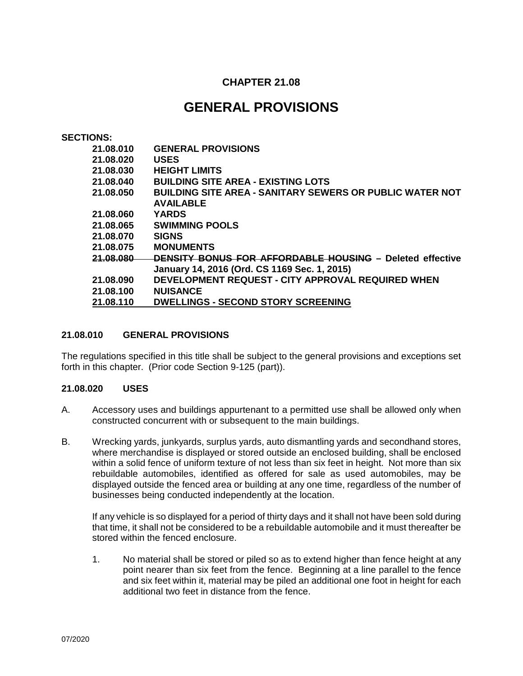## **CHAPTER 21.08**

## **GENERAL PROVISIONS**

#### **SECTIONS:**

| 21.08.010 | <b>GENERAL PROVISIONS</b>                                       |
|-----------|-----------------------------------------------------------------|
| 21.08.020 | <b>USES</b>                                                     |
| 21.08.030 | <b>HEIGHT LIMITS</b>                                            |
| 21.08.040 | <b>BUILDING SITE AREA - EXISTING LOTS</b>                       |
| 21.08.050 | <b>BUILDING SITE AREA - SANITARY SEWERS OR PUBLIC WATER NOT</b> |
|           | <b>AVAILABLE</b>                                                |
| 21.08.060 | <b>YARDS</b>                                                    |
| 21.08.065 | <b>SWIMMING POOLS</b>                                           |
| 21.08.070 | <b>SIGNS</b>                                                    |
| 21.08.075 | <b>MONUMENTS</b>                                                |
| 21.08.080 | <b>DENSITY BONUS FOR AFFORDABLE HOUSING - Deleted effective</b> |
|           | January 14, 2016 (Ord. CS 1169 Sec. 1, 2015)                    |
| 21.08.090 | DEVELOPMENT REQUEST - CITY APPROVAL REQUIRED WHEN               |
| 21.08.100 | <b>NUISANCE</b>                                                 |
| 21.08.110 | <b>DWELLINGS - SECOND STORY SCREENING</b>                       |

#### **21.08.010 GENERAL PROVISIONS**

The regulations specified in this title shall be subject to the general provisions and exceptions set forth in this chapter. (Prior code Section 9-125 (part)).

#### **21.08.020 USES**

- A. Accessory uses and buildings appurtenant to a permitted use shall be allowed only when constructed concurrent with or subsequent to the main buildings.
- B. Wrecking yards, junkyards, surplus yards, auto dismantling yards and secondhand stores, where merchandise is displayed or stored outside an enclosed building, shall be enclosed within a solid fence of uniform texture of not less than six feet in height. Not more than six rebuildable automobiles, identified as offered for sale as used automobiles, may be displayed outside the fenced area or building at any one time, regardless of the number of businesses being conducted independently at the location.

If any vehicle is so displayed for a period of thirty days and it shall not have been sold during that time, it shall not be considered to be a rebuildable automobile and it must thereafter be stored within the fenced enclosure.

1. No material shall be stored or piled so as to extend higher than fence height at any point nearer than six feet from the fence. Beginning at a line parallel to the fence and six feet within it, material may be piled an additional one foot in height for each additional two feet in distance from the fence.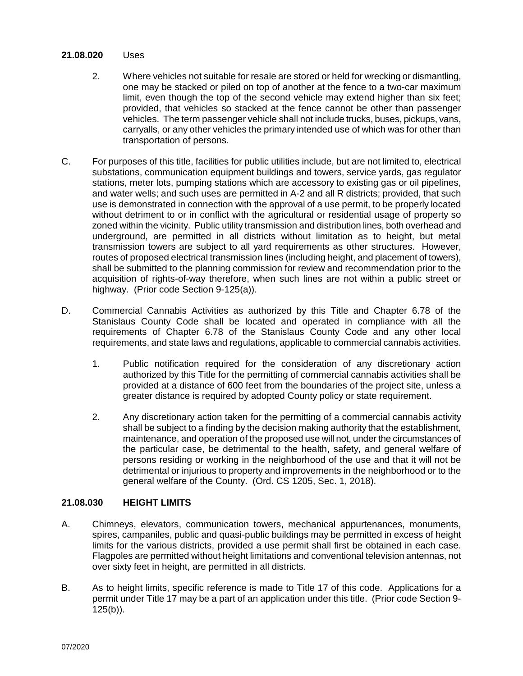#### **21.08.020** Uses

- 2. Where vehicles not suitable for resale are stored or held for wrecking or dismantling, one may be stacked or piled on top of another at the fence to a two-car maximum limit, even though the top of the second vehicle may extend higher than six feet; provided, that vehicles so stacked at the fence cannot be other than passenger vehicles. The term passenger vehicle shall not include trucks, buses, pickups, vans, carryalls, or any other vehicles the primary intended use of which was for other than transportation of persons.
- C. For purposes of this title, facilities for public utilities include, but are not limited to, electrical substations, communication equipment buildings and towers, service yards, gas regulator stations, meter lots, pumping stations which are accessory to existing gas or oil pipelines, and water wells; and such uses are permitted in A-2 and all R districts; provided, that such use is demonstrated in connection with the approval of a use permit, to be properly located without detriment to or in conflict with the agricultural or residential usage of property so zoned within the vicinity. Public utility transmission and distribution lines, both overhead and underground, are permitted in all districts without limitation as to height, but metal transmission towers are subject to all yard requirements as other structures. However, routes of proposed electrical transmission lines (including height, and placement of towers), shall be submitted to the planning commission for review and recommendation prior to the acquisition of rights-of-way therefore, when such lines are not within a public street or highway. (Prior code Section 9-125(a)).
- D. Commercial Cannabis Activities as authorized by this Title and Chapter 6.78 of the Stanislaus County Code shall be located and operated in compliance with all the requirements of Chapter 6.78 of the Stanislaus County Code and any other local requirements, and state laws and regulations, applicable to commercial cannabis activities.
	- 1. Public notification required for the consideration of any discretionary action authorized by this Title for the permitting of commercial cannabis activities shall be provided at a distance of 600 feet from the boundaries of the project site, unless a greater distance is required by adopted County policy or state requirement.
	- 2. Any discretionary action taken for the permitting of a commercial cannabis activity shall be subject to a finding by the decision making authority that the establishment, maintenance, and operation of the proposed use will not, under the circumstances of the particular case, be detrimental to the health, safety, and general welfare of persons residing or working in the neighborhood of the use and that it will not be detrimental or injurious to property and improvements in the neighborhood or to the general welfare of the County. (Ord. CS 1205, Sec. 1, 2018).

#### **21.08.030 HEIGHT LIMITS**

- A. Chimneys, elevators, communication towers, mechanical appurtenances, monuments, spires, campaniles, public and quasi-public buildings may be permitted in excess of height limits for the various districts, provided a use permit shall first be obtained in each case. Flagpoles are permitted without height limitations and conventional television antennas, not over sixty feet in height, are permitted in all districts.
- B. As to height limits, specific reference is made to Title 17 of this code. Applications for a permit under Title 17 may be a part of an application under this title. (Prior code Section 9-  $125(b)$ ).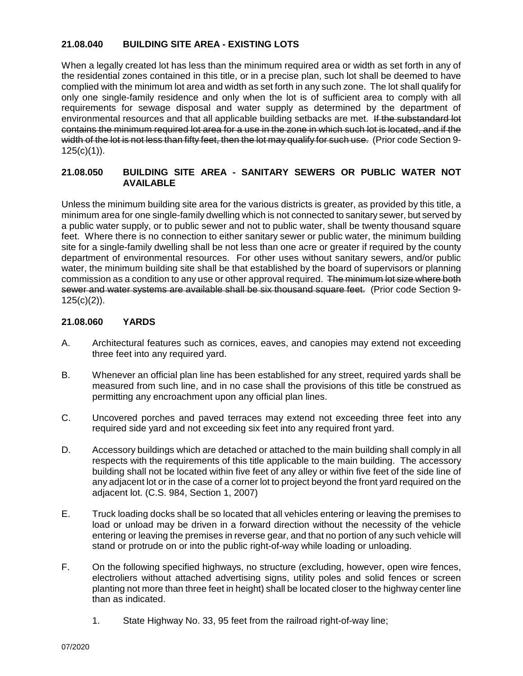## **21.08.040 BUILDING SITE AREA - EXISTING LOTS**

When a legally created lot has less than the minimum required area or width as set forth in any of the residential zones contained in this title, or in a precise plan, such lot shall be deemed to have complied with the minimum lot area and width as set forth in any such zone. The lot shall qualify for only one single-family residence and only when the lot is of sufficient area to comply with all requirements for sewage disposal and water supply as determined by the department of environmental resources and that all applicable building setbacks are met. If the substandard lot contains the minimum required lot area for a use in the zone in which such lot is located, and if the width of the lot is not less than fifty feet, then the lot may qualify for such use. (Prior code Section 9- $125(c)(1)$ ).

## **21.08.050 BUILDING SITE AREA - SANITARY SEWERS OR PUBLIC WATER NOT AVAILABLE**

Unless the minimum building site area for the various districts is greater, as provided by this title, a minimum area for one single-family dwelling which is not connected to sanitary sewer, but served by a public water supply, or to public sewer and not to public water, shall be twenty thousand square feet. Where there is no connection to either sanitary sewer or public water, the minimum building site for a single-family dwelling shall be not less than one acre or greater if required by the county department of environmental resources. For other uses without sanitary sewers, and/or public water, the minimum building site shall be that established by the board of supervisors or planning commission as a condition to any use or other approval required. The minimum lot size where both sewer and water systems are available shall be six thousand square feet. (Prior code Section 9-  $125(c)(2)$ ).

## **21.08.060 YARDS**

- A. Architectural features such as cornices, eaves, and canopies may extend not exceeding three feet into any required yard.
- B. Whenever an official plan line has been established for any street, required yards shall be measured from such line, and in no case shall the provisions of this title be construed as permitting any encroachment upon any official plan lines.
- C. Uncovered porches and paved terraces may extend not exceeding three feet into any required side yard and not exceeding six feet into any required front yard.
- D. Accessory buildings which are detached or attached to the main building shall comply in all respects with the requirements of this title applicable to the main building. The accessory building shall not be located within five feet of any alley or within five feet of the side line of any adjacent lot or in the case of a corner lot to project beyond the front yard required on the adjacent lot. (C.S. 984, Section 1, 2007)
- E. Truck loading docks shall be so located that all vehicles entering or leaving the premises to load or unload may be driven in a forward direction without the necessity of the vehicle entering or leaving the premises in reverse gear, and that no portion of any such vehicle will stand or protrude on or into the public right-of-way while loading or unloading.
- F. On the following specified highways, no structure (excluding, however, open wire fences, electroliers without attached advertising signs, utility poles and solid fences or screen planting not more than three feet in height) shall be located closer to the highway center line than as indicated.
	- 1. State Highway No. 33, 95 feet from the railroad right-of-way line;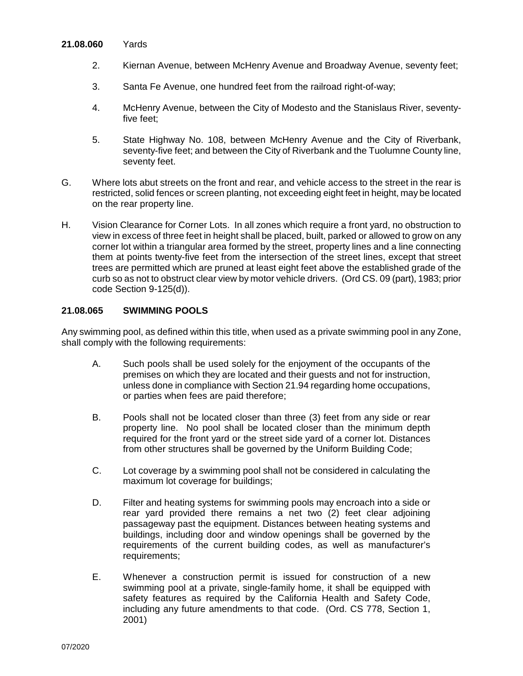#### **21.08.060** Yards

- 2. Kiernan Avenue, between McHenry Avenue and Broadway Avenue, seventy feet;
- 3. Santa Fe Avenue, one hundred feet from the railroad right-of-way;
- 4. McHenry Avenue, between the City of Modesto and the Stanislaus River, seventyfive feet;
- 5. State Highway No. 108, between McHenry Avenue and the City of Riverbank, seventy-five feet; and between the City of Riverbank and the Tuolumne County line, seventy feet.
- G. Where lots abut streets on the front and rear, and vehicle access to the street in the rear is restricted, solid fences or screen planting, not exceeding eight feet in height, may be located on the rear property line.
- H. Vision Clearance for Corner Lots. In all zones which require a front yard, no obstruction to view in excess of three feet in height shall be placed, built, parked or allowed to grow on any corner lot within a triangular area formed by the street, property lines and a line connecting them at points twenty-five feet from the intersection of the street lines, except that street trees are permitted which are pruned at least eight feet above the established grade of the curb so as not to obstruct clear view by motor vehicle drivers. (Ord CS. 09 (part), 1983; prior code Section 9-125(d)).

### **21.08.065 SWIMMING POOLS**

Any swimming pool, as defined within this title, when used as a private swimming pool in any Zone, shall comply with the following requirements:

- A. Such pools shall be used solely for the enjoyment of the occupants of the premises on which they are located and their guests and not for instruction, unless done in compliance with Section 21.94 regarding home occupations, or parties when fees are paid therefore;
- B. Pools shall not be located closer than three (3) feet from any side or rear property line. No pool shall be located closer than the minimum depth required for the front yard or the street side yard of a corner lot. Distances from other structures shall be governed by the Uniform Building Code;
- C. Lot coverage by a swimming pool shall not be considered in calculating the maximum lot coverage for buildings;
- D. Filter and heating systems for swimming pools may encroach into a side or rear yard provided there remains a net two (2) feet clear adjoining passageway past the equipment. Distances between heating systems and buildings, including door and window openings shall be governed by the requirements of the current building codes, as well as manufacturer's requirements;
- E. Whenever a construction permit is issued for construction of a new swimming pool at a private, single-family home, it shall be equipped with safety features as required by the California Health and Safety Code, including any future amendments to that code. (Ord. CS 778, Section 1, 2001)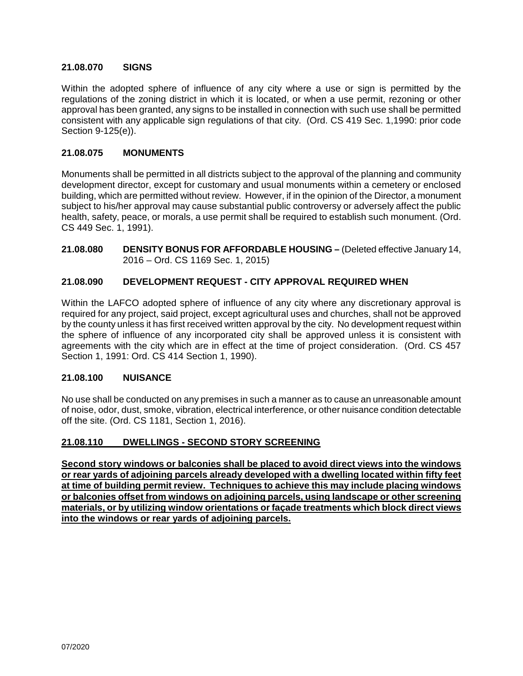### **21.08.070 SIGNS**

Within the adopted sphere of influence of any city where a use or sign is permitted by the regulations of the zoning district in which it is located, or when a use permit, rezoning or other approval has been granted, any signs to be installed in connection with such use shall be permitted consistent with any applicable sign regulations of that city. (Ord. CS 419 Sec. 1,1990: prior code Section 9-125(e)).

#### **21.08.075 MONUMENTS**

Monuments shall be permitted in all districts subject to the approval of the planning and community development director, except for customary and usual monuments within a cemetery or enclosed building, which are permitted without review. However, if in the opinion of the Director, a monument subject to his/her approval may cause substantial public controversy or adversely affect the public health, safety, peace, or morals, a use permit shall be required to establish such monument. (Ord. CS 449 Sec. 1, 1991).

**21.08.080 DENSITY BONUS FOR AFFORDABLE HOUSING –** (Deleted effective January 14, 2016 – Ord. CS 1169 Sec. 1, 2015)

## **21.08.090 DEVELOPMENT REQUEST - CITY APPROVAL REQUIRED WHEN**

Within the LAFCO adopted sphere of influence of any city where any discretionary approval is required for any project, said project, except agricultural uses and churches, shall not be approved by the county unless it has first received written approval by the city. No development request within the sphere of influence of any incorporated city shall be approved unless it is consistent with agreements with the city which are in effect at the time of project consideration. (Ord. CS 457 Section 1, 1991: Ord. CS 414 Section 1, 1990).

#### **21.08.100 NUISANCE**

No use shall be conducted on any premises in such a manner as to cause an unreasonable amount of noise, odor, dust, smoke, vibration, electrical interference, or other nuisance condition detectable off the site. (Ord. CS 1181, Section 1, 2016).

#### **21.08.110 DWELLINGS - SECOND STORY SCREENING**

**Second story windows or balconies shall be placed to avoid direct views into the windows or rear yards of adjoining parcels already developed with a dwelling located within fifty feet at time of building permit review. Techniques to achieve this may include placing windows or balconies offset from windows on adjoining parcels, using landscape or other screening materials, or by utilizing window orientations or façade treatments which block direct views into the windows or rear yards of adjoining parcels.**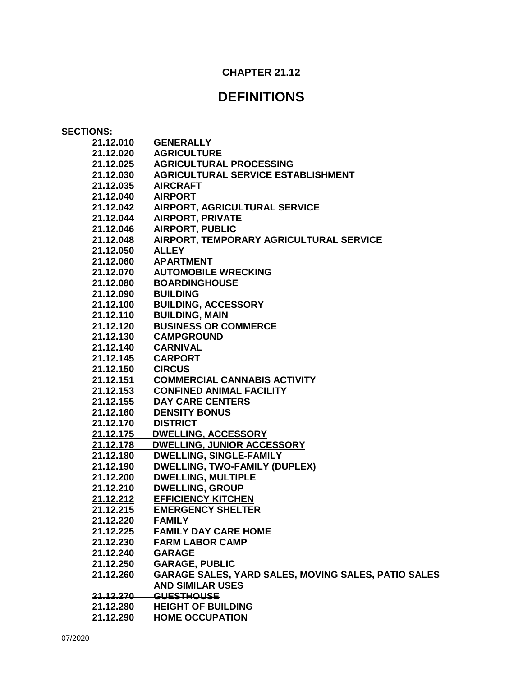## **CHAPTER 21.12**

## **DEFINITIONS**

| <b>SECTIONS:</b>  |                                                            |
|-------------------|------------------------------------------------------------|
| 21.12.010         | <b>GENERALLY</b>                                           |
| 21.12.020         | <b>AGRICULTURE</b>                                         |
|                   | 21.12.025 AGRICULTURAL PROCESSING                          |
|                   | 21.12.030 AGRICULTURAL SERVICE ESTABLISHMENT               |
| 21.12.035         | <b>AIRCRAFT</b>                                            |
| 21.12.040         | <b>AIRPORT</b>                                             |
| 21.12.042         | AIRPORT, AGRICULTURAL SERVICE                              |
| 21.12.044         | <b>AIRPORT, PRIVATE</b>                                    |
| 21.12.046         | <b>AIRPORT, PUBLIC</b>                                     |
| 21.12.048         | AIRPORT, TEMPORARY AGRICULTURAL SERVICE                    |
| 21.12.050         | <b>ALLEY</b>                                               |
| 21.12.060         | <b>APARTMENT</b>                                           |
| 21.12.070         | <b>AUTOMOBILE WRECKING</b>                                 |
| 21.12.080         | <b>BOARDINGHOUSE</b>                                       |
| 21.12.090         | <b>BUILDING</b>                                            |
| 21.12.100         | <b>BUILDING, ACCESSORY</b>                                 |
| 21.12.110         | <b>BUILDING, MAIN</b>                                      |
| 21.12.120         | <b>BUSINESS OR COMMERCE</b>                                |
| 21.12.130         | <b>CAMPGROUND</b>                                          |
| 21.12.140         | <b>CARNIVAL</b>                                            |
| 21.12.145 CARPORT |                                                            |
| 21.12.150 CIRCUS  |                                                            |
| 21.12.151         | <b>COMMERCIAL CANNABIS ACTIVITY</b>                        |
| 21.12.153         | <b>CONFINED ANIMAL FACILITY</b>                            |
| 21.12.155         | <b>DAY CARE CENTERS</b>                                    |
| 21.12.160         | <b>DENSITY BONUS</b>                                       |
| 21.12.170         | <b>DISTRICT</b>                                            |
| 21.12.175         | <b>DWELLING, ACCESSORY</b>                                 |
| 21.12.178         | <b>DWELLING, JUNIOR ACCESSORY</b>                          |
| 21.12.180         | <b>DWELLING, SINGLE-FAMILY</b>                             |
| 21.12.190         | <b>DWELLING, TWO-FAMILY (DUPLEX)</b>                       |
| 21.12.200         | <b>DWELLING, MULTIPLE</b>                                  |
| 21.12.210         | <b>DWELLING, GROUP</b>                                     |
| 21.12.212         | <b>EFFICIENCY KITCHEN</b>                                  |
| 21.12.215         | <b>EMERGENCY SHELTER</b>                                   |
| 21.12.220         | <b>FAMILY</b>                                              |
| 21.12.225         | <b>FAMILY DAY CARE HOME</b>                                |
| 21.12.230         | <b>FARM LABOR CAMP</b>                                     |
| 21.12.240         | <b>GARAGE</b>                                              |
| 21.12.250         | <b>GARAGE, PUBLIC</b>                                      |
| 21.12.260         | <b>GARAGE SALES, YARD SALES, MOVING SALES, PATIO SALES</b> |
|                   | <b>AND SIMILAR USES</b>                                    |
| 21.12.270         | <b>GUESTHOUSE</b>                                          |
| 21.12.280         | <b>HEIGHT OF BUILDING</b>                                  |
| 21.12.290         | <b>HOME OCCUPATION</b>                                     |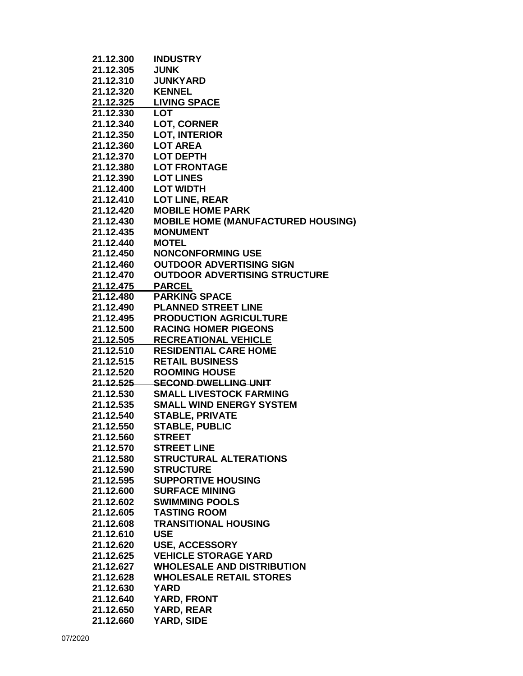| 21.12.300        | <b>INDUSTRY</b>                           |
|------------------|-------------------------------------------|
| 21.12.305        | <b>JUNK</b>                               |
| 21.12.310        | <b>JUNKYARD</b>                           |
| 21.12.320        | <b>KENNEL</b>                             |
|                  | 21.12.325 LIVING SPACE                    |
| 21.12.330 LOT    |                                           |
|                  | 21.12.340 LOT, CORNER                     |
|                  | 21.12.350 LOT, INTERIOR                   |
| 21.12.360        | <b>LOT AREA</b>                           |
|                  | 21.12.370 LOT DEPTH                       |
|                  | 21.12.380 LOT FRONTAGE                    |
| 21.12.390        | <b>LOT LINES</b>                          |
| 21.12.400        | <b>LOT WIDTH</b>                          |
| 21.12.410        | <b>LOT LINE, REAR</b>                     |
| 21.12.420        | <b>MOBILE HOME PARK</b>                   |
| 21.12.430        | <b>MOBILE HOME (MANUFACTURED HOUSING)</b> |
| 21.12.435        | <b>MONUMENT</b>                           |
| 21.12.440        | <b>MOTEL</b>                              |
| 21.12.450        | <b>NONCONFORMING USE</b>                  |
| 21.12.460        | <b>OUTDOOR ADVERTISING SIGN</b>           |
| 21.12.470        | <b>OUTDOOR ADVERTISING STRUCTURE</b>      |
| <u>21.12.475</u> | <b>PARCEL</b>                             |
|                  | 21.12.480 PARKING SPACE                   |
|                  | 21.12.490 PLANNED STREET LINE             |
|                  | 21.12.495 PRODUCTION AGRICULTURE          |
|                  | 21.12.500 RACING HOMER PIGEONS            |
|                  | 21.12.505 RECREATIONAL VEHICLE            |
|                  | 21.12.510 RESIDENTIAL CARE HOME           |
|                  | 21.12.515 RETAIL BUSINESS                 |
| 21.12.520        | <b>ROOMING HOUSE</b>                      |
|                  | 21.12.525 SECOND DWELLING UNIT            |
| 21.12.530        | <b>SMALL LIVESTOCK FARMING</b>            |
| 21.12.535        | <b>SMALL WIND ENERGY SYSTEM</b>           |
|                  | 21.12.540 STABLE, PRIVATE                 |
|                  | 21.12.550 STABLE, PUBLIC                  |
| 21.12.560        | <b>STREET</b>                             |
| 21.12.570        | <b>STREET LINE</b>                        |
| 21.12.580        | <b>STRUCTURAL ALTERATIONS</b>             |
| 21.12.590        | <b>STRUCTURE</b>                          |
| 21.12.595        | <b>SUPPORTIVE HOUSING</b>                 |
| 21.12.600        | <b>SURFACE MINING</b>                     |
| 21.12.602        | <b>SWIMMING POOLS</b>                     |
| 21.12.605        | <b>TASTING ROOM</b>                       |
| 21.12.608        | <b>TRANSITIONAL HOUSING</b>               |
| 21.12.610        | <b>USE</b>                                |
| 21.12.620        | <b>USE, ACCESSORY</b>                     |
| 21.12.625        | <b>VEHICLE STORAGE YARD</b>               |
| 21.12.627        | <b>WHOLESALE AND DISTRIBUTION</b>         |
| 21.12.628        | <b>WHOLESALE RETAIL STORES</b>            |
| 21.12.630        | <b>YARD</b>                               |
| 21.12.640        | <b>YARD, FRONT</b>                        |
| 21.12.650        | <b>YARD, REAR</b>                         |
| 21.12.660        | YARD, SIDE                                |
|                  |                                           |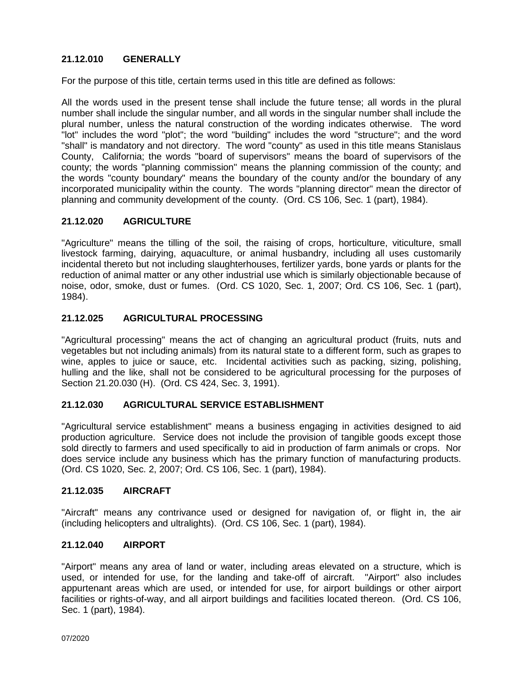## **21.12.010 GENERALLY**

For the purpose of this title, certain terms used in this title are defined as follows:

All the words used in the present tense shall include the future tense; all words in the plural number shall include the singular number, and all words in the singular number shall include the plural number, unless the natural construction of the wording indicates otherwise. The word "lot" includes the word "plot"; the word "building" includes the word "structure"; and the word "shall" is mandatory and not directory. The word "county" as used in this title means Stanislaus County, California; the words "board of supervisors" means the board of supervisors of the county; the words "planning commission" means the planning commission of the county; and the words "county boundary" means the boundary of the county and/or the boundary of any incorporated municipality within the county. The words "planning director" mean the director of planning and community development of the county. (Ord. CS 106, Sec. 1 (part), 1984).

## **21.12.020 AGRICULTURE**

"Agriculture" means the tilling of the soil, the raising of crops, horticulture, viticulture, small livestock farming, dairying, aquaculture, or animal husbandry, including all uses customarily incidental thereto but not including slaughterhouses, fertilizer yards, bone yards or plants for the reduction of animal matter or any other industrial use which is similarly objectionable because of noise, odor, smoke, dust or fumes. (Ord. CS 1020, Sec. 1, 2007; Ord. CS 106, Sec. 1 (part), 1984).

## **21.12.025 AGRICULTURAL PROCESSING**

"Agricultural processing" means the act of changing an agricultural product (fruits, nuts and vegetables but not including animals) from its natural state to a different form, such as grapes to wine, apples to juice or sauce, etc. Incidental activities such as packing, sizing, polishing, hulling and the like, shall not be considered to be agricultural processing for the purposes of Section 21.20.030 (H). (Ord. CS 424, Sec. 3, 1991).

#### **21.12.030 AGRICULTURAL SERVICE ESTABLISHMENT**

"Agricultural service establishment" means a business engaging in activities designed to aid production agriculture. Service does not include the provision of tangible goods except those sold directly to farmers and used specifically to aid in production of farm animals or crops. Nor does service include any business which has the primary function of manufacturing products. (Ord. CS 1020, Sec. 2, 2007; Ord. CS 106, Sec. 1 (part), 1984).

#### **21.12.035 AIRCRAFT**

"Aircraft" means any contrivance used or designed for navigation of, or flight in, the air (including helicopters and ultralights). (Ord. CS 106, Sec. 1 (part), 1984).

#### **21.12.040 AIRPORT**

"Airport" means any area of land or water, including areas elevated on a structure, which is used, or intended for use, for the landing and take-off of aircraft. "Airport" also includes appurtenant areas which are used, or intended for use, for airport buildings or other airport facilities or rights-of-way, and all airport buildings and facilities located thereon. (Ord. CS 106, Sec. 1 (part), 1984).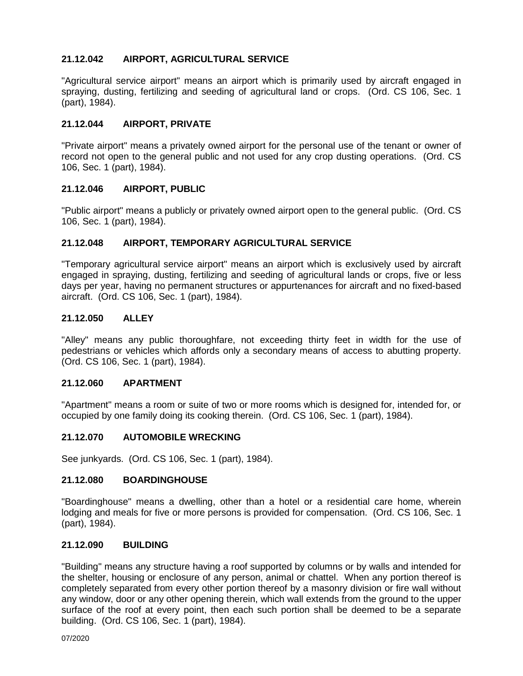## **21.12.042 AIRPORT, AGRICULTURAL SERVICE**

"Agricultural service airport" means an airport which is primarily used by aircraft engaged in spraying, dusting, fertilizing and seeding of agricultural land or crops. (Ord. CS 106, Sec. 1 (part), 1984).

## **21.12.044 AIRPORT, PRIVATE**

"Private airport" means a privately owned airport for the personal use of the tenant or owner of record not open to the general public and not used for any crop dusting operations. (Ord. CS 106, Sec. 1 (part), 1984).

#### **21.12.046 AIRPORT, PUBLIC**

"Public airport" means a publicly or privately owned airport open to the general public. (Ord. CS 106, Sec. 1 (part), 1984).

#### **21.12.048 AIRPORT, TEMPORARY AGRICULTURAL SERVICE**

"Temporary agricultural service airport" means an airport which is exclusively used by aircraft engaged in spraying, dusting, fertilizing and seeding of agricultural lands or crops, five or less days per year, having no permanent structures or appurtenances for aircraft and no fixed-based aircraft. (Ord. CS 106, Sec. 1 (part), 1984).

#### **21.12.050 ALLEY**

"Alley" means any public thoroughfare, not exceeding thirty feet in width for the use of pedestrians or vehicles which affords only a secondary means of access to abutting property. (Ord. CS 106, Sec. 1 (part), 1984).

#### **21.12.060 APARTMENT**

"Apartment" means a room or suite of two or more rooms which is designed for, intended for, or occupied by one family doing its cooking therein. (Ord. CS 106, Sec. 1 (part), 1984).

#### **21.12.070 AUTOMOBILE WRECKING**

See junkyards. (Ord. CS 106, Sec. 1 (part), 1984).

#### **21.12.080 BOARDINGHOUSE**

"Boardinghouse" means a dwelling, other than a hotel or a residential care home, wherein lodging and meals for five or more persons is provided for compensation. (Ord. CS 106, Sec. 1 (part), 1984).

#### **21.12.090 BUILDING**

"Building" means any structure having a roof supported by columns or by walls and intended for the shelter, housing or enclosure of any person, animal or chattel. When any portion thereof is completely separated from every other portion thereof by a masonry division or fire wall without any window, door or any other opening therein, which wall extends from the ground to the upper surface of the roof at every point, then each such portion shall be deemed to be a separate building. (Ord. CS 106, Sec. 1 (part), 1984).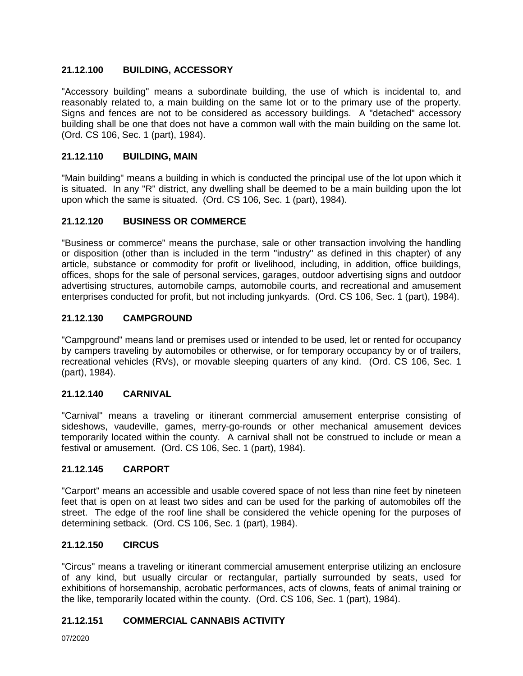## **21.12.100 BUILDING, ACCESSORY**

"Accessory building" means a subordinate building, the use of which is incidental to, and reasonably related to, a main building on the same lot or to the primary use of the property. Signs and fences are not to be considered as accessory buildings. A "detached" accessory building shall be one that does not have a common wall with the main building on the same lot. (Ord. CS 106, Sec. 1 (part), 1984).

## **21.12.110 BUILDING, MAIN**

"Main building" means a building in which is conducted the principal use of the lot upon which it is situated. In any "R" district, any dwelling shall be deemed to be a main building upon the lot upon which the same is situated. (Ord. CS 106, Sec. 1 (part), 1984).

## **21.12.120 BUSINESS OR COMMERCE**

"Business or commerce" means the purchase, sale or other transaction involving the handling or disposition (other than is included in the term "industry" as defined in this chapter) of any article, substance or commodity for profit or livelihood, including, in addition, office buildings, offices, shops for the sale of personal services, garages, outdoor advertising signs and outdoor advertising structures, automobile camps, automobile courts, and recreational and amusement enterprises conducted for profit, but not including junkyards. (Ord. CS 106, Sec. 1 (part), 1984).

## **21.12.130 CAMPGROUND**

"Campground" means land or premises used or intended to be used, let or rented for occupancy by campers traveling by automobiles or otherwise, or for temporary occupancy by or of trailers, recreational vehicles (RVs), or movable sleeping quarters of any kind. (Ord. CS 106, Sec. 1 (part), 1984).

## **21.12.140 CARNIVAL**

"Carnival" means a traveling or itinerant commercial amusement enterprise consisting of sideshows, vaudeville, games, merry-go-rounds or other mechanical amusement devices temporarily located within the county. A carnival shall not be construed to include or mean a festival or amusement. (Ord. CS 106, Sec. 1 (part), 1984).

#### **21.12.145 CARPORT**

"Carport" means an accessible and usable covered space of not less than nine feet by nineteen feet that is open on at least two sides and can be used for the parking of automobiles off the street. The edge of the roof line shall be considered the vehicle opening for the purposes of determining setback. (Ord. CS 106, Sec. 1 (part), 1984).

#### **21.12.150 CIRCUS**

"Circus" means a traveling or itinerant commercial amusement enterprise utilizing an enclosure of any kind, but usually circular or rectangular, partially surrounded by seats, used for exhibitions of horsemanship, acrobatic performances, acts of clowns, feats of animal training or the like, temporarily located within the county. (Ord. CS 106, Sec. 1 (part), 1984).

### **21.12.151 COMMERCIAL CANNABIS ACTIVITY**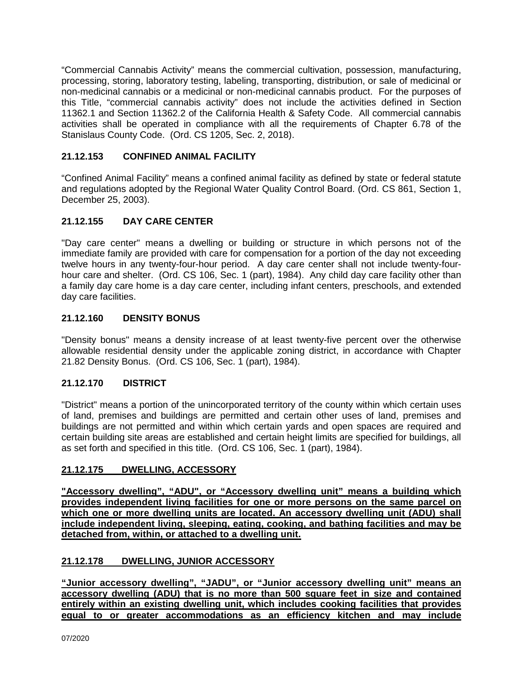"Commercial Cannabis Activity" means the commercial cultivation, possession, manufacturing, processing, storing, laboratory testing, labeling, transporting, distribution, or sale of medicinal or non-medicinal cannabis or a medicinal or non-medicinal cannabis product. For the purposes of this Title, "commercial cannabis activity" does not include the activities defined in Section 11362.1 and Section 11362.2 of the California Health & Safety Code. All commercial cannabis activities shall be operated in compliance with all the requirements of Chapter 6.78 of the Stanislaus County Code. (Ord. CS 1205, Sec. 2, 2018).

## **21.12.153 CONFINED ANIMAL FACILITY**

"Confined Animal Facility" means a confined animal facility as defined by state or federal statute and regulations adopted by the Regional Water Quality Control Board. (Ord. CS 861, Section 1, December 25, 2003).

## **21.12.155 DAY CARE CENTER**

"Day care center" means a dwelling or building or structure in which persons not of the immediate family are provided with care for compensation for a portion of the day not exceeding twelve hours in any twenty-four-hour period. A day care center shall not include twenty-fourhour care and shelter. (Ord. CS 106, Sec. 1 (part), 1984). Any child day care facility other than a family day care home is a day care center, including infant centers, preschools, and extended day care facilities.

## **21.12.160 DENSITY BONUS**

"Density bonus" means a density increase of at least twenty-five percent over the otherwise allowable residential density under the applicable zoning district, in accordance with Chapter 21.82 Density Bonus. (Ord. CS 106, Sec. 1 (part), 1984).

## **21.12.170 DISTRICT**

"District" means a portion of the unincorporated territory of the county within which certain uses of land, premises and buildings are permitted and certain other uses of land, premises and buildings are not permitted and within which certain yards and open spaces are required and certain building site areas are established and certain height limits are specified for buildings, all as set forth and specified in this title. (Ord. CS 106, Sec. 1 (part), 1984).

## **21.12.175 DWELLING, ACCESSORY**

**"Accessory dwelling", "ADU", or "Accessory dwelling unit" means a building which provides independent living facilities for one or more persons on the same parcel on**  which one or more dwelling units are located. An accessory dwelling unit (ADU) shall **include independent living, sleeping, eating, cooking, and bathing facilities and may be detached from, within, or attached to a dwelling unit.**

## **21.12.178 DWELLING, JUNIOR ACCESSORY**

**"Junior accessory dwelling", "JADU", or "Junior accessory dwelling unit" means an accessory dwelling (ADU) that is no more than 500 square feet in size and contained entirely within an existing dwelling unit, which includes cooking facilities that provides equal to or greater accommodations as an efficiency kitchen and may include**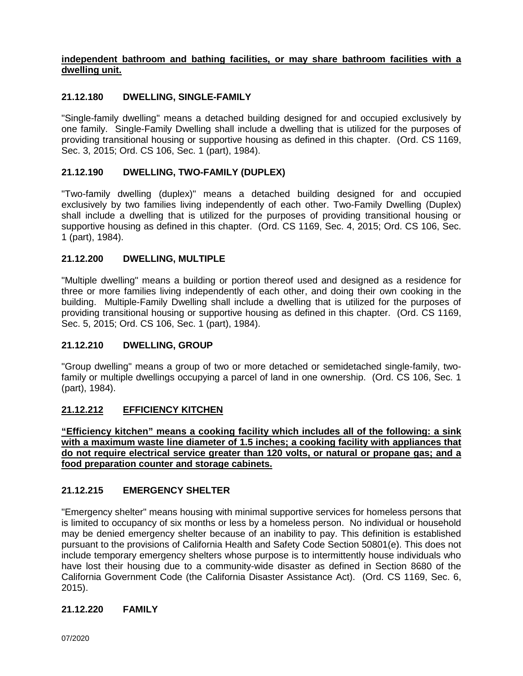## **independent bathroom and bathing facilities, or may share bathroom facilities with a dwelling unit.**

## **21.12.180 DWELLING, SINGLE-FAMILY**

"Single-family dwelling" means a detached building designed for and occupied exclusively by one family. Single-Family Dwelling shall include a dwelling that is utilized for the purposes of providing transitional housing or supportive housing as defined in this chapter. (Ord. CS 1169, Sec. 3, 2015; Ord. CS 106, Sec. 1 (part), 1984).

## **21.12.190 DWELLING, TWO-FAMILY (DUPLEX)**

"Two-family dwelling (duplex)" means a detached building designed for and occupied exclusively by two families living independently of each other. Two-Family Dwelling (Duplex) shall include a dwelling that is utilized for the purposes of providing transitional housing or supportive housing as defined in this chapter. (Ord. CS 1169, Sec. 4, 2015; Ord. CS 106, Sec. 1 (part), 1984).

## **21.12.200 DWELLING, MULTIPLE**

"Multiple dwelling" means a building or portion thereof used and designed as a residence for three or more families living independently of each other, and doing their own cooking in the building. Multiple-Family Dwelling shall include a dwelling that is utilized for the purposes of providing transitional housing or supportive housing as defined in this chapter. (Ord. CS 1169, Sec. 5, 2015; Ord. CS 106, Sec. 1 (part), 1984).

## **21.12.210 DWELLING, GROUP**

"Group dwelling" means a group of two or more detached or semidetached single-family, twofamily or multiple dwellings occupying a parcel of land in one ownership. (Ord. CS 106, Sec. 1 (part), 1984).

## **21.12.212 EFFICIENCY KITCHEN**

**"Efficiency kitchen" means a cooking facility which includes all of the following: a sink with a maximum waste line diameter of 1.5 inches; a cooking facility with appliances that do not require electrical service greater than 120 volts, or natural or propane gas; and a food preparation counter and storage cabinets.**

## **21.12.215 EMERGENCY SHELTER**

"Emergency shelter" means housing with minimal supportive services for homeless persons that is limited to occupancy of six months or less by a homeless person. No individual or household may be denied emergency shelter because of an inability to pay. This definition is established pursuant to the provisions of California Health and Safety Code Section 50801(e). This does not include temporary emergency shelters whose purpose is to intermittently house individuals who have lost their housing due to a community-wide disaster as defined in Section 8680 of the California Government Code (the California Disaster Assistance Act). (Ord. CS 1169, Sec. 6, 2015).

## **21.12.220 FAMILY**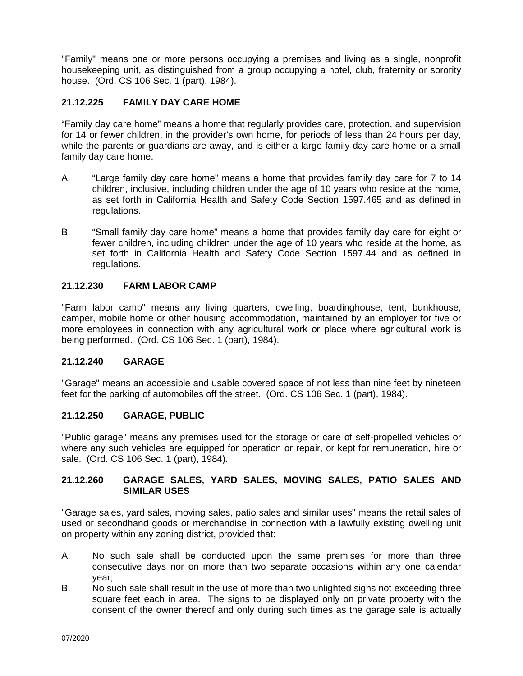"Family" means one or more persons occupying a premises and living as a single, nonprofit housekeeping unit, as distinguished from a group occupying a hotel, club, fraternity or sorority house. (Ord. CS 106 Sec. 1 (part), 1984).

## **21.12.225 FAMILY DAY CARE HOME**

"Family day care home" means a home that regularly provides care, protection, and supervision for 14 or fewer children, in the provider's own home, for periods of less than 24 hours per day, while the parents or guardians are away, and is either a large family day care home or a small family day care home.

- A. "Large family day care home" means a home that provides family day care for 7 to 14 children, inclusive, including children under the age of 10 years who reside at the home, as set forth in California Health and Safety Code Section 1597.465 and as defined in regulations.
- B. "Small family day care home" means a home that provides family day care for eight or fewer children, including children under the age of 10 years who reside at the home, as set forth in California Health and Safety Code Section 1597.44 and as defined in regulations.

## **21.12.230 FARM LABOR CAMP**

"Farm labor camp" means any living quarters, dwelling, boardinghouse, tent, bunkhouse, camper, mobile home or other housing accommodation, maintained by an employer for five or more employees in connection with any agricultural work or place where agricultural work is being performed. (Ord. CS 106 Sec. 1 (part), 1984).

## **21.12.240 GARAGE**

"Garage" means an accessible and usable covered space of not less than nine feet by nineteen feet for the parking of automobiles off the street. (Ord. CS 106 Sec. 1 (part), 1984).

## **21.12.250 GARAGE, PUBLIC**

"Public garage" means any premises used for the storage or care of self-propelled vehicles or where any such vehicles are equipped for operation or repair, or kept for remuneration, hire or sale. (Ord. CS 106 Sec. 1 (part), 1984).

#### **21.12.260 GARAGE SALES, YARD SALES, MOVING SALES, PATIO SALES AND SIMILAR USES**

"Garage sales, yard sales, moving sales, patio sales and similar uses" means the retail sales of used or secondhand goods or merchandise in connection with a lawfully existing dwelling unit on property within any zoning district, provided that:

- A. No such sale shall be conducted upon the same premises for more than three consecutive days nor on more than two separate occasions within any one calendar year;
- B. No such sale shall result in the use of more than two unlighted signs not exceeding three square feet each in area. The signs to be displayed only on private property with the consent of the owner thereof and only during such times as the garage sale is actually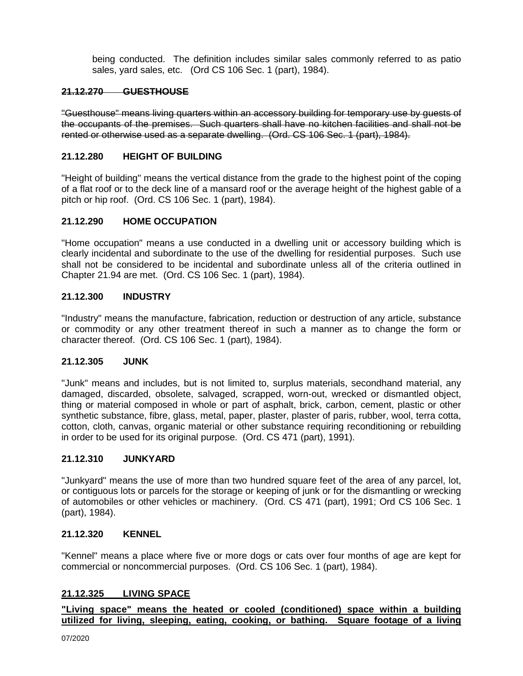being conducted. The definition includes similar sales commonly referred to as patio sales, yard sales, etc. (Ord CS 106 Sec. 1 (part), 1984).

## **21.12.270 GUESTHOUSE**

"Guesthouse" means living quarters within an accessory building for temporary use by guests of the occupants of the premises. Such quarters shall have no kitchen facilities and shall not be rented or otherwise used as a separate dwelling. (Ord. CS 106 Sec. 1 (part), 1984).

#### **21.12.280 HEIGHT OF BUILDING**

"Height of building" means the vertical distance from the grade to the highest point of the coping of a flat roof or to the deck line of a mansard roof or the average height of the highest gable of a pitch or hip roof. (Ord. CS 106 Sec. 1 (part), 1984).

#### **21.12.290 HOME OCCUPATION**

"Home occupation" means a use conducted in a dwelling unit or accessory building which is clearly incidental and subordinate to the use of the dwelling for residential purposes. Such use shall not be considered to be incidental and subordinate unless all of the criteria outlined in Chapter 21.94 are met. (Ord. CS 106 Sec. 1 (part), 1984).

#### **21.12.300 INDUSTRY**

"Industry" means the manufacture, fabrication, reduction or destruction of any article, substance or commodity or any other treatment thereof in such a manner as to change the form or character thereof. (Ord. CS 106 Sec. 1 (part), 1984).

#### **21.12.305 JUNK**

"Junk" means and includes, but is not limited to, surplus materials, secondhand material, any damaged, discarded, obsolete, salvaged, scrapped, worn-out, wrecked or dismantled object, thing or material composed in whole or part of asphalt, brick, carbon, cement, plastic or other synthetic substance, fibre, glass, metal, paper, plaster, plaster of paris, rubber, wool, terra cotta, cotton, cloth, canvas, organic material or other substance requiring reconditioning or rebuilding in order to be used for its original purpose. (Ord. CS 471 (part), 1991).

#### **21.12.310 JUNKYARD**

"Junkyard" means the use of more than two hundred square feet of the area of any parcel, lot, or contiguous lots or parcels for the storage or keeping of junk or for the dismantling or wrecking of automobiles or other vehicles or machinery. (Ord. CS 471 (part), 1991; Ord CS 106 Sec. 1 (part), 1984).

#### **21.12.320 KENNEL**

"Kennel" means a place where five or more dogs or cats over four months of age are kept for commercial or noncommercial purposes. (Ord. CS 106 Sec. 1 (part), 1984).

## **21.12.325 LIVING SPACE**

**"Living space" means the heated or cooled (conditioned) space within a building utilized for living, sleeping, eating, cooking, or bathing. Square footage of a living**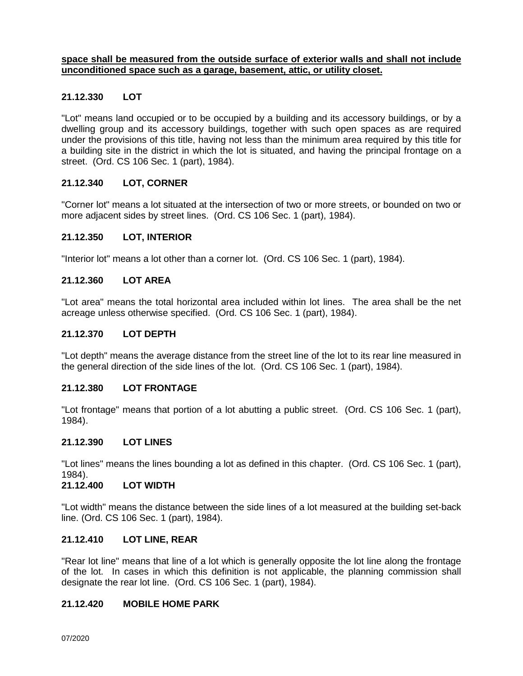#### **space shall be measured from the outside surface of exterior walls and shall not include unconditioned space such as a garage, basement, attic, or utility closet.**

## **21.12.330 LOT**

"Lot" means land occupied or to be occupied by a building and its accessory buildings, or by a dwelling group and its accessory buildings, together with such open spaces as are required under the provisions of this title, having not less than the minimum area required by this title for a building site in the district in which the lot is situated, and having the principal frontage on a street. (Ord. CS 106 Sec. 1 (part), 1984).

#### **21.12.340 LOT, CORNER**

"Corner lot" means a lot situated at the intersection of two or more streets, or bounded on two or more adjacent sides by street lines. (Ord. CS 106 Sec. 1 (part), 1984).

#### **21.12.350 LOT, INTERIOR**

"Interior lot" means a lot other than a corner lot. (Ord. CS 106 Sec. 1 (part), 1984).

#### **21.12.360 LOT AREA**

"Lot area" means the total horizontal area included within lot lines. The area shall be the net acreage unless otherwise specified. (Ord. CS 106 Sec. 1 (part), 1984).

#### **21.12.370 LOT DEPTH**

"Lot depth" means the average distance from the street line of the lot to its rear line measured in the general direction of the side lines of the lot. (Ord. CS 106 Sec. 1 (part), 1984).

#### **21.12.380 LOT FRONTAGE**

"Lot frontage" means that portion of a lot abutting a public street. (Ord. CS 106 Sec. 1 (part), 1984).

#### **21.12.390 LOT LINES**

"Lot lines" means the lines bounding a lot as defined in this chapter. (Ord. CS 106 Sec. 1 (part), 1984).

#### **21.12.400 LOT WIDTH**

"Lot width" means the distance between the side lines of a lot measured at the building set-back line. (Ord. CS 106 Sec. 1 (part), 1984).

#### **21.12.410 LOT LINE, REAR**

"Rear lot line" means that line of a lot which is generally opposite the lot line along the frontage of the lot. In cases in which this definition is not applicable, the planning commission shall designate the rear lot line. (Ord. CS 106 Sec. 1 (part), 1984).

#### **21.12.420 MOBILE HOME PARK**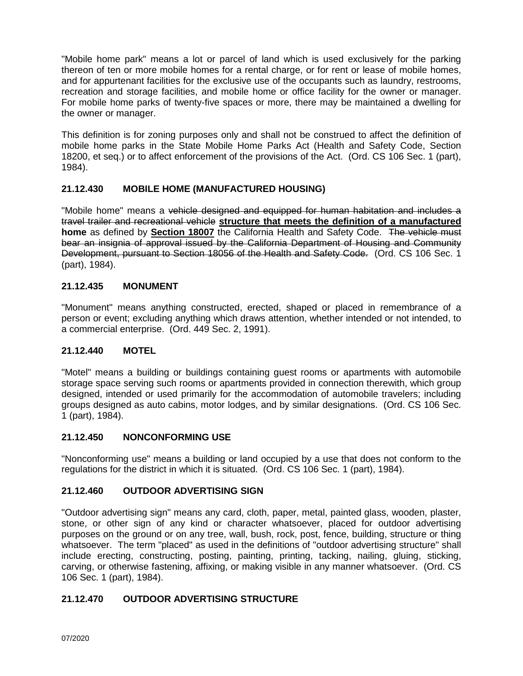"Mobile home park" means a lot or parcel of land which is used exclusively for the parking thereon of ten or more mobile homes for a rental charge, or for rent or lease of mobile homes, and for appurtenant facilities for the exclusive use of the occupants such as laundry, restrooms, recreation and storage facilities, and mobile home or office facility for the owner or manager. For mobile home parks of twenty-five spaces or more, there may be maintained a dwelling for the owner or manager.

This definition is for zoning purposes only and shall not be construed to affect the definition of mobile home parks in the State Mobile Home Parks Act (Health and Safety Code, Section 18200, et seq.) or to affect enforcement of the provisions of the Act. (Ord. CS 106 Sec. 1 (part), 1984).

## **21.12.430 MOBILE HOME (MANUFACTURED HOUSING)**

"Mobile home" means a vehicle designed and equipped for human habitation and includes a travel trailer and recreational vehicle **structure that meets the definition of a manufactured home** as defined by **Section 18007** the California Health and Safety Code. The vehicle must bear an insignia of approval issued by the California Department of Housing and Community Development, pursuant to Section 18056 of the Health and Safety Code. (Ord. CS 106 Sec. 1 (part), 1984).

## **21.12.435 MONUMENT**

"Monument" means anything constructed, erected, shaped or placed in remembrance of a person or event; excluding anything which draws attention, whether intended or not intended, to a commercial enterprise.(Ord. 449 Sec. 2, 1991).

## **21.12.440 MOTEL**

"Motel" means a building or buildings containing guest rooms or apartments with automobile storage space serving such rooms or apartments provided in connection therewith, which group designed, intended or used primarily for the accommodation of automobile travelers; including groups designed as auto cabins, motor lodges, and by similar designations. (Ord. CS 106 Sec. 1 (part), 1984).

## **21.12.450 NONCONFORMING USE**

"Nonconforming use" means a building or land occupied by a use that does not conform to the regulations for the district in which it is situated. (Ord. CS 106 Sec. 1 (part), 1984).

## **21.12.460 OUTDOOR ADVERTISING SIGN**

"Outdoor advertising sign" means any card, cloth, paper, metal, painted glass, wooden, plaster, stone, or other sign of any kind or character whatsoever, placed for outdoor advertising purposes on the ground or on any tree, wall, bush, rock, post, fence, building, structure or thing whatsoever. The term "placed" as used in the definitions of "outdoor advertising structure" shall include erecting, constructing, posting, painting, printing, tacking, nailing, gluing, sticking, carving, or otherwise fastening, affixing, or making visible in any manner whatsoever. (Ord. CS 106 Sec. 1 (part), 1984).

## **21.12.470 OUTDOOR ADVERTISING STRUCTURE**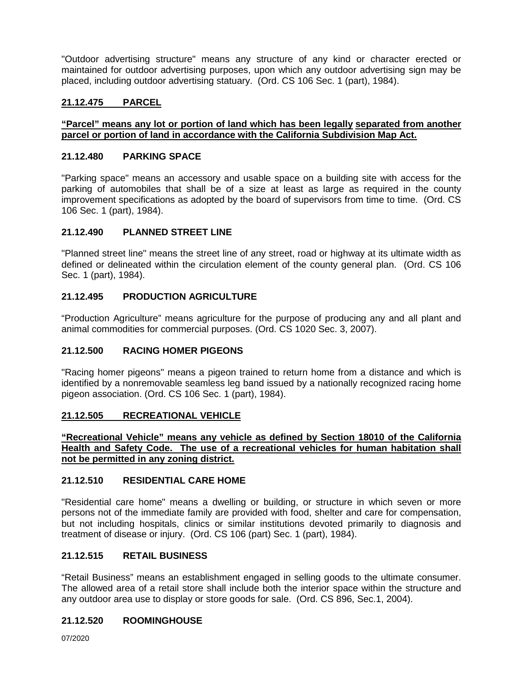"Outdoor advertising structure" means any structure of any kind or character erected or maintained for outdoor advertising purposes, upon which any outdoor advertising sign may be placed, including outdoor advertising statuary. (Ord. CS 106 Sec. 1 (part), 1984).

## **21.12.475 PARCEL**

## **"Parcel" means any lot or portion of land which has been legally separated from another parcel or portion of land in accordance with the California Subdivision Map Act.**

## **21.12.480 PARKING SPACE**

"Parking space" means an accessory and usable space on a building site with access for the parking of automobiles that shall be of a size at least as large as required in the county improvement specifications as adopted by the board of supervisors from time to time. (Ord. CS 106 Sec. 1 (part), 1984).

## **21.12.490 PLANNED STREET LINE**

"Planned street line" means the street line of any street, road or highway at its ultimate width as defined or delineated within the circulation element of the county general plan. (Ord. CS 106 Sec. 1 (part), 1984).

## **21.12.495 PRODUCTION AGRICULTURE**

"Production Agriculture" means agriculture for the purpose of producing any and all plant and animal commodities for commercial purposes. (Ord. CS 1020 Sec. 3, 2007).

#### **21.12.500 RACING HOMER PIGEONS**

"Racing homer pigeons" means a pigeon trained to return home from a distance and which is identified by a nonremovable seamless leg band issued by a nationally recognized racing home pigeon association. (Ord. CS 106 Sec. 1 (part), 1984).

#### **21.12.505 RECREATIONAL VEHICLE**

**"Recreational Vehicle" means any vehicle as defined by Section 18010 of the California Health and Safety Code. The use of a recreational vehicles for human habitation shall not be permitted in any zoning district.** 

#### **21.12.510 RESIDENTIAL CARE HOME**

"Residential care home" means a dwelling or building, or structure in which seven or more persons not of the immediate family are provided with food, shelter and care for compensation, but not including hospitals, clinics or similar institutions devoted primarily to diagnosis and treatment of disease or injury. (Ord. CS 106 (part) Sec. 1 (part), 1984).

#### **21.12.515 RETAIL BUSINESS**

"Retail Business" means an establishment engaged in selling goods to the ultimate consumer. The allowed area of a retail store shall include both the interior space within the structure and any outdoor area use to display or store goods for sale. (Ord. CS 896, Sec.1, 2004).

## **21.12.520 ROOMINGHOUSE**

07/2020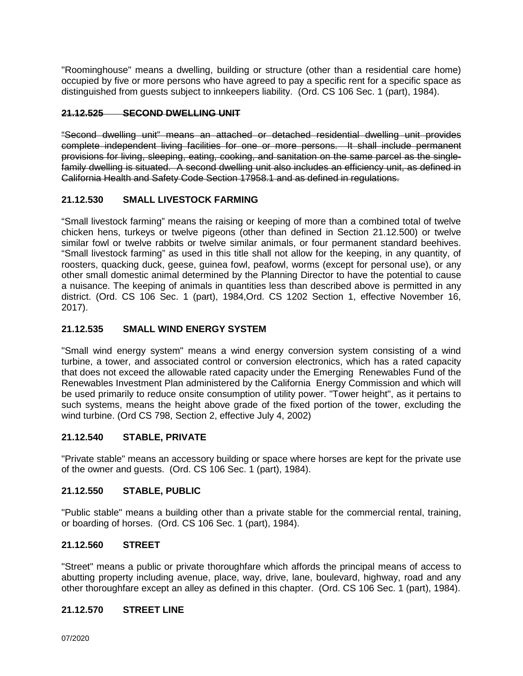"Roominghouse" means a dwelling, building or structure (other than a residential care home) occupied by five or more persons who have agreed to pay a specific rent for a specific space as distinguished from guests subject to innkeepers liability. (Ord. CS 106 Sec. 1 (part), 1984).

# **21.12.525 SECOND DWELLING UNIT**

"Second dwelling unit" means an attached or detached residential dwelling unit provides complete independent living facilities for one or more persons. It shall include permanent provisions for living, sleeping, eating, cooking, and sanitation on the same parcel as the singlefamily dwelling is situated. A second dwelling unit also includes an efficiency unit, as defined in California Health and Safety Code Section 17958.1 and as defined in regulations.

## **21.12.530 SMALL LIVESTOCK FARMING**

"Small livestock farming" means the raising or keeping of more than a combined total of twelve chicken hens, turkeys or twelve pigeons (other than defined in Section 21.12.500) or twelve similar fowl or twelve rabbits or twelve similar animals, or four permanent standard beehives. "Small livestock farming" as used in this title shall not allow for the keeping, in any quantity, of roosters, quacking duck, geese, guinea fowl, peafowl, worms (except for personal use), or any other small domestic animal determined by the Planning Director to have the potential to cause a nuisance. The keeping of animals in quantities less than described above is permitted in any district. (Ord. CS 106 Sec. 1 (part), 1984,Ord. CS 1202 Section 1, effective November 16, 2017).

# **21.12.535 SMALL WIND ENERGY SYSTEM**

"Small wind energy system" means a wind energy conversion system consisting of a wind turbine, a tower, and associated control or conversion electronics, which has a rated capacity that does not exceed the allowable rated capacity under the Emerging Renewables Fund of the Renewables Investment Plan administered by the California Energy Commission and which will be used primarily to reduce onsite consumption of utility power. "Tower height", as it pertains to such systems, means the height above grade of the fixed portion of the tower, excluding the wind turbine. (Ord CS 798, Section 2, effective July 4, 2002)

## **21.12.540 STABLE, PRIVATE**

"Private stable" means an accessory building or space where horses are kept for the private use of the owner and guests. (Ord. CS 106 Sec. 1 (part), 1984).

## **21.12.550 STABLE, PUBLIC**

"Public stable" means a building other than a private stable for the commercial rental, training, or boarding of horses. (Ord. CS 106 Sec. 1 (part), 1984).

## **21.12.560 STREET**

"Street" means a public or private thoroughfare which affords the principal means of access to abutting property including avenue, place, way, drive, lane, boulevard, highway, road and any other thoroughfare except an alley as defined in this chapter. (Ord. CS 106 Sec. 1 (part), 1984).

## **21.12.570 STREET LINE**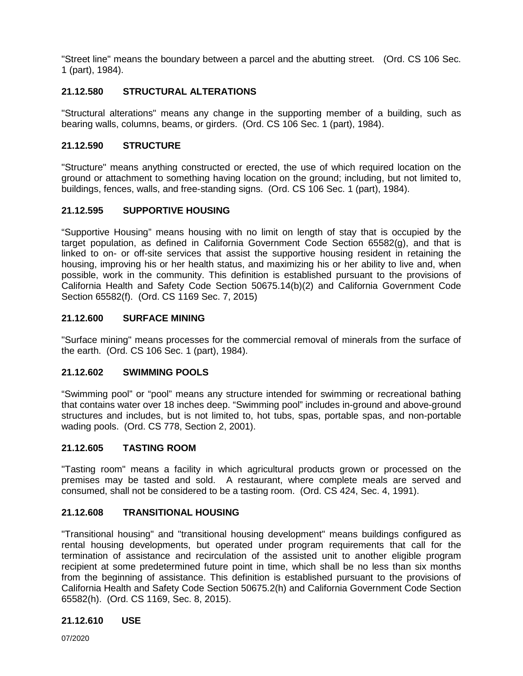"Street line" means the boundary between a parcel and the abutting street. (Ord. CS 106 Sec. 1 (part), 1984).

# **21.12.580 STRUCTURAL ALTERATIONS**

"Structural alterations" means any change in the supporting member of a building, such as bearing walls, columns, beams, or girders. (Ord. CS 106 Sec. 1 (part), 1984).

# **21.12.590 STRUCTURE**

"Structure" means anything constructed or erected, the use of which required location on the ground or attachment to something having location on the ground; including, but not limited to, buildings, fences, walls, and free-standing signs. (Ord. CS 106 Sec. 1 (part), 1984).

# **21.12.595 SUPPORTIVE HOUSING**

"Supportive Housing" means housing with no limit on length of stay that is occupied by the target population, as defined in California Government Code Section 65582(g), and that is linked to on- or off-site services that assist the supportive housing resident in retaining the housing, improving his or her health status, and maximizing his or her ability to live and, when possible, work in the community. This definition is established pursuant to the provisions of California Health and Safety Code Section 50675.14(b)(2) and California Government Code Section 65582(f). (Ord. CS 1169 Sec. 7, 2015)

## **21.12.600 SURFACE MINING**

"Surface mining" means processes for the commercial removal of minerals from the surface of the earth. (Ord. CS 106 Sec. 1 (part), 1984).

## **21.12.602 SWIMMING POOLS**

"Swimming pool" or "pool" means any structure intended for swimming or recreational bathing that contains water over 18 inches deep. "Swimming pool" includes in-ground and above-ground structures and includes, but is not limited to, hot tubs, spas, portable spas, and non-portable wading pools. (Ord. CS 778, Section 2, 2001).

## **21.12.605 TASTING ROOM**

"Tasting room" means a facility in which agricultural products grown or processed on the premises may be tasted and sold. A restaurant, where complete meals are served and consumed, shall not be considered to be a tasting room. (Ord. CS 424, Sec. 4, 1991).

## **21.12.608 TRANSITIONAL HOUSING**

"Transitional housing" and "transitional housing development" means buildings configured as rental housing developments, but operated under program requirements that call for the termination of assistance and recirculation of the assisted unit to another eligible program recipient at some predetermined future point in time, which shall be no less than six months from the beginning of assistance. This definition is established pursuant to the provisions of California Health and Safety Code Section 50675.2(h) and California Government Code Section 65582(h). (Ord. CS 1169, Sec. 8, 2015).

# **21.12.610 USE**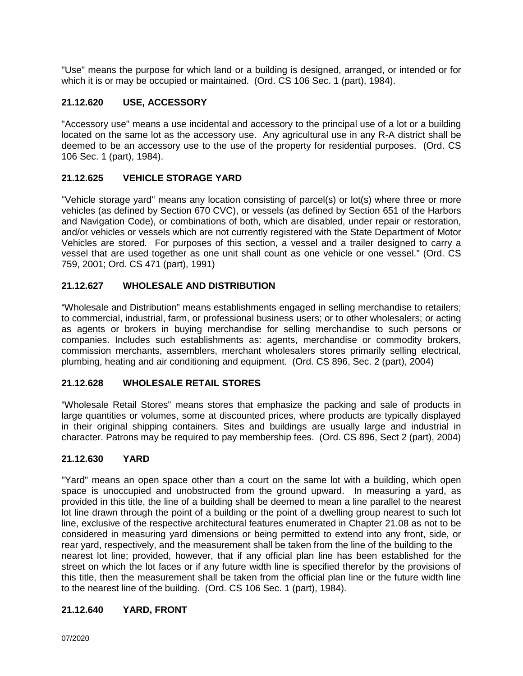"Use" means the purpose for which land or a building is designed, arranged, or intended or for which it is or may be occupied or maintained. (Ord. CS 106 Sec. 1 (part), 1984).

# **21.12.620 USE, ACCESSORY**

"Accessory use" means a use incidental and accessory to the principal use of a lot or a building located on the same lot as the accessory use. Any agricultural use in any R-A district shall be deemed to be an accessory use to the use of the property for residential purposes. (Ord. CS 106 Sec. 1 (part), 1984).

# **21.12.625 VEHICLE STORAGE YARD**

"Vehicle storage yard" means any location consisting of parcel(s) or lot(s) where three or more vehicles (as defined by Section 670 CVC), or vessels (as defined by Section 651 of the Harbors and Navigation Code), or combinations of both, which are disabled, under repair or restoration, and/or vehicles or vessels which are not currently registered with the State Department of Motor Vehicles are stored. For purposes of this section, a vessel and a trailer designed to carry a vessel that are used together as one unit shall count as one vehicle or one vessel." (Ord. CS 759, 2001; Ord. CS 471 (part), 1991)

# **21.12.627 WHOLESALE AND DISTRIBUTION**

"Wholesale and Distribution" means establishments engaged in selling merchandise to retailers; to commercial, industrial, farm, or professional business users; or to other wholesalers; or acting as agents or brokers in buying merchandise for selling merchandise to such persons or companies. Includes such establishments as: agents, merchandise or commodity brokers, commission merchants, assemblers, merchant wholesalers stores primarily selling electrical, plumbing, heating and air conditioning and equipment. (Ord. CS 896, Sec. 2 (part), 2004)

# **21.12.628 WHOLESALE RETAIL STORES**

"Wholesale Retail Stores" means stores that emphasize the packing and sale of products in large quantities or volumes, some at discounted prices, where products are typically displayed in their original shipping containers. Sites and buildings are usually large and industrial in character. Patrons may be required to pay membership fees. (Ord. CS 896, Sect 2 (part), 2004)

# **21.12.630 YARD**

"Yard" means an open space other than a court on the same lot with a building, which open space is unoccupied and unobstructed from the ground upward. In measuring a yard, as provided in this title, the line of a building shall be deemed to mean a line parallel to the nearest lot line drawn through the point of a building or the point of a dwelling group nearest to such lot line, exclusive of the respective architectural features enumerated in Chapter 21.08 as not to be considered in measuring yard dimensions or being permitted to extend into any front, side, or rear yard, respectively, and the measurement shall be taken from the line of the building to the nearest lot line; provided, however, that if any official plan line has been established for the street on which the lot faces or if any future width line is specified therefor by the provisions of this title, then the measurement shall be taken from the official plan line or the future width line to the nearest line of the building. (Ord. CS 106 Sec. 1 (part), 1984).

# **21.12.640 YARD, FRONT**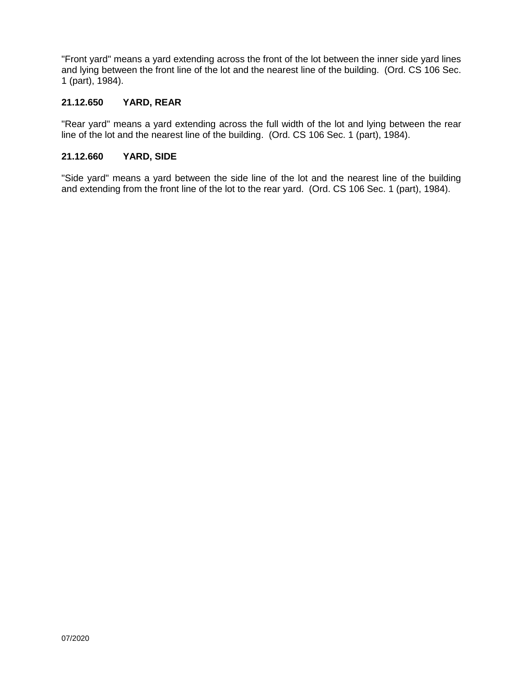"Front yard" means a yard extending across the front of the lot between the inner side yard lines and lying between the front line of the lot and the nearest line of the building. (Ord. CS 106 Sec. 1 (part), 1984).

# **21.12.650 YARD, REAR**

"Rear yard" means a yard extending across the full width of the lot and lying between the rear line of the lot and the nearest line of the building. (Ord. CS 106 Sec. 1 (part), 1984).

## **21.12.660 YARD, SIDE**

"Side yard" means a yard between the side line of the lot and the nearest line of the building and extending from the front line of the lot to the rear yard. (Ord. CS 106 Sec. 1 (part), 1984).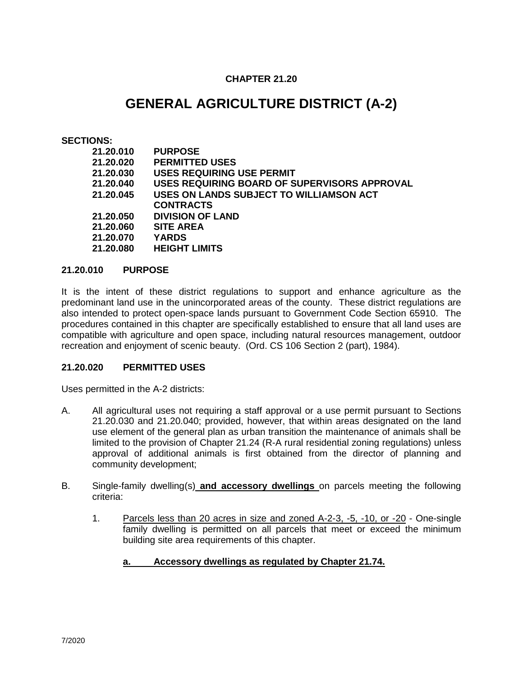# **CHAPTER 21.20**

# **GENERAL AGRICULTURE DISTRICT (A-2)**

## **SECTIONS:**

| 21.20.010 | <b>PURPOSE</b>                               |
|-----------|----------------------------------------------|
| 21.20.020 | <b>PERMITTED USES</b>                        |
| 21.20.030 | <b>USES REQUIRING USE PERMIT</b>             |
| 21.20.040 | USES REQUIRING BOARD OF SUPERVISORS APPROVAL |
| 21.20.045 | USES ON LANDS SUBJECT TO WILLIAMSON ACT      |
|           | <b>CONTRACTS</b>                             |
| 21.20.050 | <b>DIVISION OF LAND</b>                      |
| 21.20.060 | <b>SITE AREA</b>                             |
| 21.20.070 | <b>YARDS</b>                                 |
| 21.20.080 | <b>HEIGHT LIMITS</b>                         |
|           |                                              |

## **21.20.010 PURPOSE**

It is the intent of these district regulations to support and enhance agriculture as the predominant land use in the unincorporated areas of the county. These district regulations are also intended to protect open-space lands pursuant to Government Code Section 65910. The procedures contained in this chapter are specifically established to ensure that all land uses are compatible with agriculture and open space, including natural resources management, outdoor recreation and enjoyment of scenic beauty. (Ord. CS 106 Section 2 (part), 1984).

## **21.20.020 PERMITTED USES**

Uses permitted in the A-2 districts:

- A. All agricultural uses not requiring a staff approval or a use permit pursuant to Sections 21.20.030 and 21.20.040; provided, however, that within areas designated on the land use element of the general plan as urban transition the maintenance of animals shall be limited to the provision of Chapter 21.24 (R-A rural residential zoning regulations) unless approval of additional animals is first obtained from the director of planning and community development;
- B. Single-family dwelling(s) **and accessory dwellings** on parcels meeting the following criteria:
	- 1. Parcels less than 20 acres in size and zoned A-2-3, -5, -10, or -20 One-single family dwelling is permitted on all parcels that meet or exceed the minimum building site area requirements of this chapter.

# **a. Accessory dwellings as regulated by Chapter 21.74.**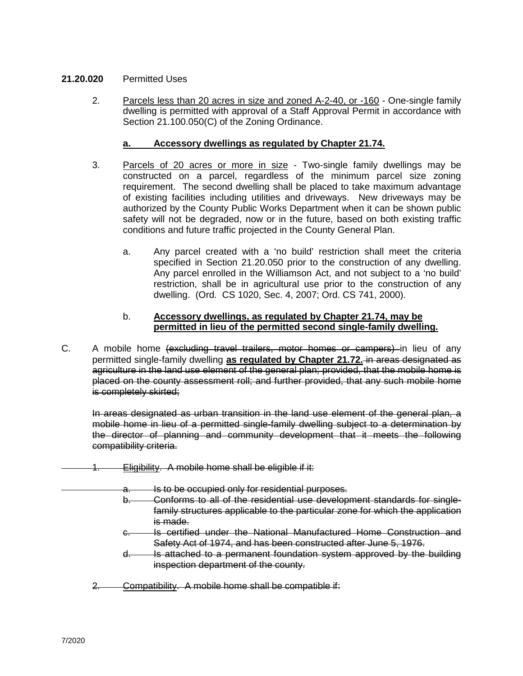# **21.20.020** Permitted Uses

2. Parcels less than 20 acres in size and zoned A-2-40, or -160 - One-single family dwelling is permitted with approval of a Staff Approval Permit in accordance with Section 21.100.050(C) of the Zoning Ordinance.

## **a. Accessory dwellings as regulated by Chapter 21.74.**

- 3. Parcels of 20 acres or more in size Two-single family dwellings may be constructed on a parcel, regardless of the minimum parcel size zoning requirement. The second dwelling shall be placed to take maximum advantage of existing facilities including utilities and driveways. New driveways may be authorized by the County Public Works Department when it can be shown public safety will not be degraded, now or in the future, based on both existing traffic conditions and future traffic projected in the County General Plan.
	- a. Any parcel created with a 'no build' restriction shall meet the criteria specified in Section 21.20.050 prior to the construction of any dwelling. Any parcel enrolled in the Williamson Act, and not subject to a 'no build' restriction, shall be in agricultural use prior to the construction of any dwelling. (Ord. CS 1020, Sec. 4, 2007; Ord. CS 741, 2000).

## b. **Accessory dwellings, as regulated by Chapter 21.74, may be permitted in lieu of the permitted second single-family dwelling.**

C. A mobile home (excluding travel trailers, motor homes or campers) in lieu of any permitted single-family dwelling **as regulated by Chapter 21.72.** in areas designated as agriculture in the land use element of the general plan; provided, that the mobile home is placed on the county assessment roll; and further provided, that any such mobile home is completely skirted;

In areas designated as urban transition in the land use element of the general plan, a mobile home in lieu of a permitted single-family dwelling subject to a determination by the director of planning and community development that it meets the following compatibility criteria.

- Eligibility. A mobile home shall be eligible if it:
	- a. Is to be occupied only for residential purposes.
		- b. Conforms to all of the residential use development standards for singlefamily structures applicable to the particular zone for which the application is made.
		- c. Is certified under the National Manufactured Home Construction and Safety Act of 1974, and has been constructed after June 5, 1976.
		- d. Is attached to a permanent foundation system approved by the building inspection department of the county.
	- 2. Compatibility. A mobile home shall be compatible if: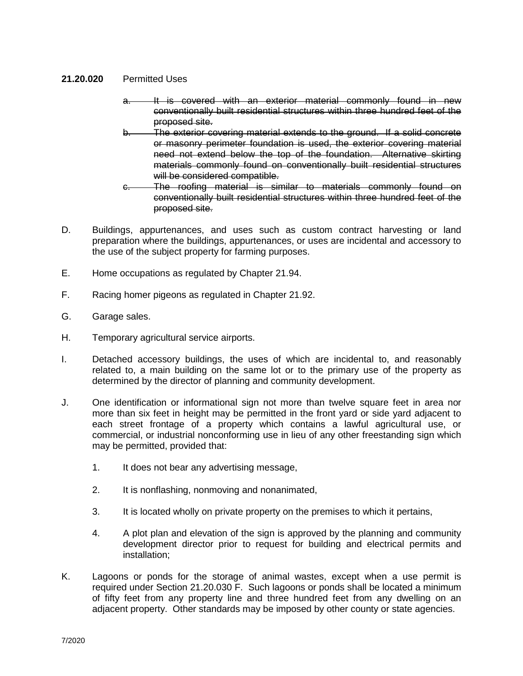## **21.20.020** Permitted Uses

- a. It is covered with an exterior material commonly found in new conventionally built residential structures within three hundred feet of the proposed site.
- The exterior covering material extends to the ground. If a solid concrete or masonry perimeter foundation is used, the exterior covering material need not extend below the top of the foundation. Alternative skirting materials commonly found on conventionally built residential structures will be considered compatible.
- c. The roofing material is similar to materials commonly found on conventionally built residential structures within three hundred feet of the proposed site.
- D. Buildings, appurtenances, and uses such as custom contract harvesting or land preparation where the buildings, appurtenances, or uses are incidental and accessory to the use of the subject property for farming purposes.
- E. Home occupations as regulated by Chapter 21.94.
- F. Racing homer pigeons as regulated in Chapter 21.92.
- G. Garage sales.
- H. Temporary agricultural service airports.
- I. Detached accessory buildings, the uses of which are incidental to, and reasonably related to, a main building on the same lot or to the primary use of the property as determined by the director of planning and community development.
- J. One identification or informational sign not more than twelve square feet in area nor more than six feet in height may be permitted in the front yard or side yard adjacent to each street frontage of a property which contains a lawful agricultural use, or commercial, or industrial nonconforming use in lieu of any other freestanding sign which may be permitted, provided that:
	- 1. It does not bear any advertising message,
	- 2. It is nonflashing, nonmoving and nonanimated,
	- 3. It is located wholly on private property on the premises to which it pertains,
	- 4. A plot plan and elevation of the sign is approved by the planning and community development director prior to request for building and electrical permits and installation;
- K. Lagoons or ponds for the storage of animal wastes, except when a use permit is required under Section 21.20.030 F. Such lagoons or ponds shall be located a minimum of fifty feet from any property line and three hundred feet from any dwelling on an adjacent property. Other standards may be imposed by other county or state agencies.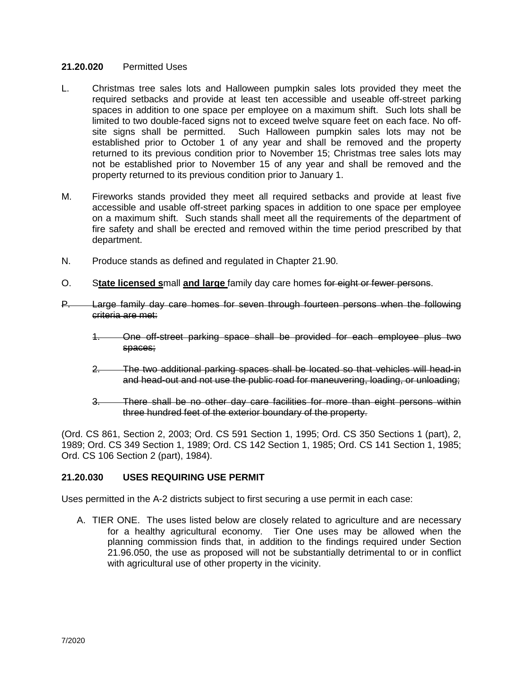## **21.20.020** Permitted Uses

- L. Christmas tree sales lots and Halloween pumpkin sales lots provided they meet the required setbacks and provide at least ten accessible and useable off-street parking spaces in addition to one space per employee on a maximum shift. Such lots shall be limited to two double-faced signs not to exceed twelve square feet on each face. No offsite signs shall be permitted. Such Halloween pumpkin sales lots may not be established prior to October 1 of any year and shall be removed and the property returned to its previous condition prior to November 15; Christmas tree sales lots may not be established prior to November 15 of any year and shall be removed and the property returned to its previous condition prior to January 1.
- M. Fireworks stands provided they meet all required setbacks and provide at least five accessible and usable off-street parking spaces in addition to one space per employee on a maximum shift. Such stands shall meet all the requirements of the department of fire safety and shall be erected and removed within the time period prescribed by that department.
- N. Produce stands as defined and regulated in Chapter 21.90.
- O. S**tate licensed s**mall **and large** family day care homes for eight or fewer persons.
- P. Large family day care homes for seven through fourteen persons when the following criteria are met:
	- 1. One off-street parking space shall be provided for each employee plus two spaces;
	- 2. The two additional parking spaces shall be located so that vehicles will head-in and head-out and not use the public road for maneuvering, loading, or unloading;
	- 3. There shall be no other day care facilities for more than eight persons within three hundred feet of the exterior boundary of the property.

(Ord. CS 861, Section 2, 2003; Ord. CS 591 Section 1, 1995; Ord. CS 350 Sections 1 (part), 2, 1989; Ord. CS 349 Section 1, 1989; Ord. CS 142 Section 1, 1985; Ord. CS 141 Section 1, 1985; Ord. CS 106 Section 2 (part), 1984).

## **21.20.030 USES REQUIRING USE PERMIT**

Uses permitted in the A-2 districts subject to first securing a use permit in each case:

A. TIER ONE. The uses listed below are closely related to agriculture and are necessary for a healthy agricultural economy. Tier One uses may be allowed when the planning commission finds that, in addition to the findings required under Section 21.96.050, the use as proposed will not be substantially detrimental to or in conflict with agricultural use of other property in the vicinity.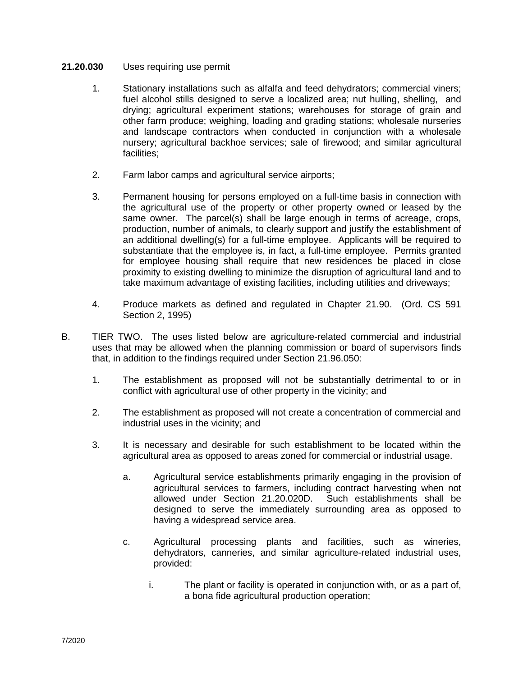- 1. Stationary installations such as alfalfa and feed dehydrators; commercial viners; fuel alcohol stills designed to serve a localized area; nut hulling, shelling, and drying; agricultural experiment stations; warehouses for storage of grain and other farm produce; weighing, loading and grading stations; wholesale nurseries and landscape contractors when conducted in conjunction with a wholesale nursery; agricultural backhoe services; sale of firewood; and similar agricultural facilities;
- 2. Farm labor camps and agricultural service airports;
- 3. Permanent housing for persons employed on a full-time basis in connection with the agricultural use of the property or other property owned or leased by the same owner. The parcel(s) shall be large enough in terms of acreage, crops, production, number of animals, to clearly support and justify the establishment of an additional dwelling(s) for a full-time employee. Applicants will be required to substantiate that the employee is, in fact, a full-time employee. Permits granted for employee housing shall require that new residences be placed in close proximity to existing dwelling to minimize the disruption of agricultural land and to take maximum advantage of existing facilities, including utilities and driveways;
- 4. Produce markets as defined and regulated in Chapter 21.90. (Ord. CS 591 Section 2, 1995)
- B. TIER TWO. The uses listed below are agriculture-related commercial and industrial uses that may be allowed when the planning commission or board of supervisors finds that, in addition to the findings required under Section 21.96.050:
	- 1. The establishment as proposed will not be substantially detrimental to or in conflict with agricultural use of other property in the vicinity; and
	- 2. The establishment as proposed will not create a concentration of commercial and industrial uses in the vicinity; and
	- 3. It is necessary and desirable for such establishment to be located within the agricultural area as opposed to areas zoned for commercial or industrial usage.
		- a. Agricultural service establishments primarily engaging in the provision of agricultural services to farmers, including contract harvesting when not allowed under Section 21.20.020D. Such establishments shall be designed to serve the immediately surrounding area as opposed to having a widespread service area.
		- c. Agricultural processing plants and facilities, such as wineries, dehydrators, canneries, and similar agriculture-related industrial uses, provided:
			- i. The plant or facility is operated in conjunction with, or as a part of, a bona fide agricultural production operation;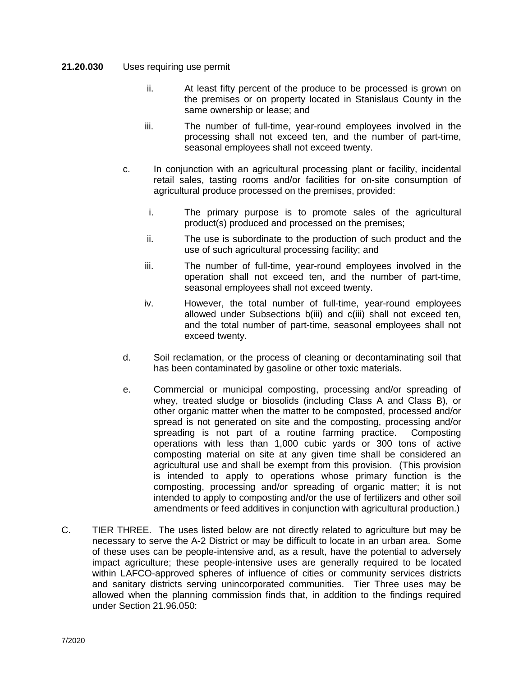- ii. At least fifty percent of the produce to be processed is grown on the premises or on property located in Stanislaus County in the same ownership or lease; and
- iii. The number of full-time, year-round employees involved in the processing shall not exceed ten, and the number of part-time, seasonal employees shall not exceed twenty.
- c. In conjunction with an agricultural processing plant or facility, incidental retail sales, tasting rooms and/or facilities for on-site consumption of agricultural produce processed on the premises, provided:
	- i. The primary purpose is to promote sales of the agricultural product(s) produced and processed on the premises;
	- ii. The use is subordinate to the production of such product and the use of such agricultural processing facility; and
	- iii. The number of full-time, year-round employees involved in the operation shall not exceed ten, and the number of part-time, seasonal employees shall not exceed twenty.
	- iv. However, the total number of full-time, year-round employees allowed under Subsections b(iii) and c(iii) shall not exceed ten, and the total number of part-time, seasonal employees shall not exceed twenty.
- d. Soil reclamation, or the process of cleaning or decontaminating soil that has been contaminated by gasoline or other toxic materials.
- e. Commercial or municipal composting, processing and/or spreading of whey, treated sludge or biosolids (including Class A and Class B), or other organic matter when the matter to be composted, processed and/or spread is not generated on site and the composting, processing and/or spreading is not part of a routine farming practice. Composting operations with less than 1,000 cubic yards or 300 tons of active composting material on site at any given time shall be considered an agricultural use and shall be exempt from this provision. (This provision is intended to apply to operations whose primary function is the composting, processing and/or spreading of organic matter; it is not intended to apply to composting and/or the use of fertilizers and other soil amendments or feed additives in conjunction with agricultural production.)
- C. TIER THREE. The uses listed below are not directly related to agriculture but may be necessary to serve the A-2 District or may be difficult to locate in an urban area. Some of these uses can be people-intensive and, as a result, have the potential to adversely impact agriculture; these people-intensive uses are generally required to be located within LAFCO-approved spheres of influence of cities or community services districts and sanitary districts serving unincorporated communities. Tier Three uses may be allowed when the planning commission finds that, in addition to the findings required under Section 21.96.050: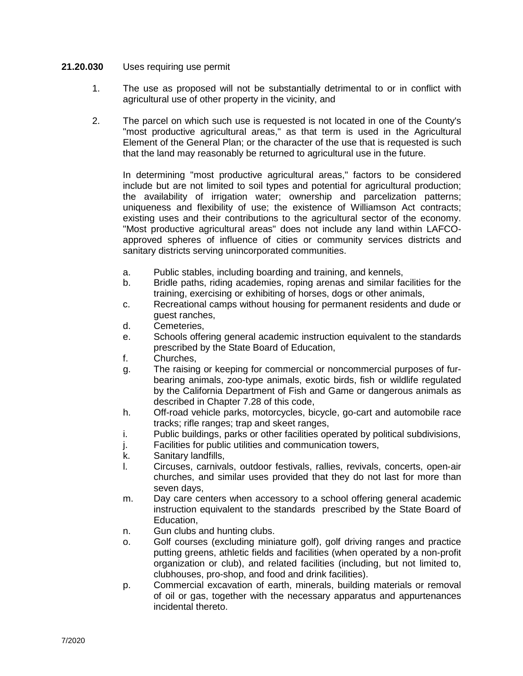- 1. The use as proposed will not be substantially detrimental to or in conflict with agricultural use of other property in the vicinity, and
- 2. The parcel on which such use is requested is not located in one of the County's "most productive agricultural areas," as that term is used in the Agricultural Element of the General Plan; or the character of the use that is requested is such that the land may reasonably be returned to agricultural use in the future.

In determining "most productive agricultural areas," factors to be considered include but are not limited to soil types and potential for agricultural production; the availability of irrigation water; ownership and parcelization patterns; uniqueness and flexibility of use; the existence of Williamson Act contracts; existing uses and their contributions to the agricultural sector of the economy. "Most productive agricultural areas" does not include any land within LAFCOapproved spheres of influence of cities or community services districts and sanitary districts serving unincorporated communities.

- a. Public stables, including boarding and training, and kennels,
- b. Bridle paths, riding academies, roping arenas and similar facilities for the training, exercising or exhibiting of horses, dogs or other animals,
- c. Recreational camps without housing for permanent residents and dude or guest ranches,
- d. Cemeteries,
- e. Schools offering general academic instruction equivalent to the standards prescribed by the State Board of Education,
- f. Churches,
- g. The raising or keeping for commercial or noncommercial purposes of furbearing animals, zoo-type animals, exotic birds, fish or wildlife regulated by the California Department of Fish and Game or dangerous animals as described in Chapter 7.28 of this code,
- h. Off-road vehicle parks, motorcycles, bicycle, go-cart and automobile race tracks; rifle ranges; trap and skeet ranges,
- i. Public buildings, parks or other facilities operated by political subdivisions,
- j. Facilities for public utilities and communication towers,
- k. Sanitary landfills,
- l. Circuses, carnivals, outdoor festivals, rallies, revivals, concerts, open-air churches, and similar uses provided that they do not last for more than seven days,
- m. Day care centers when accessory to a school offering general academic instruction equivalent to the standards prescribed by the State Board of Education,
- n. Gun clubs and hunting clubs.
- o. Golf courses (excluding miniature golf), golf driving ranges and practice putting greens, athletic fields and facilities (when operated by a non-profit organization or club), and related facilities (including, but not limited to, clubhouses, pro-shop, and food and drink facilities).
- p. Commercial excavation of earth, minerals, building materials or removal of oil or gas, together with the necessary apparatus and appurtenances incidental thereto.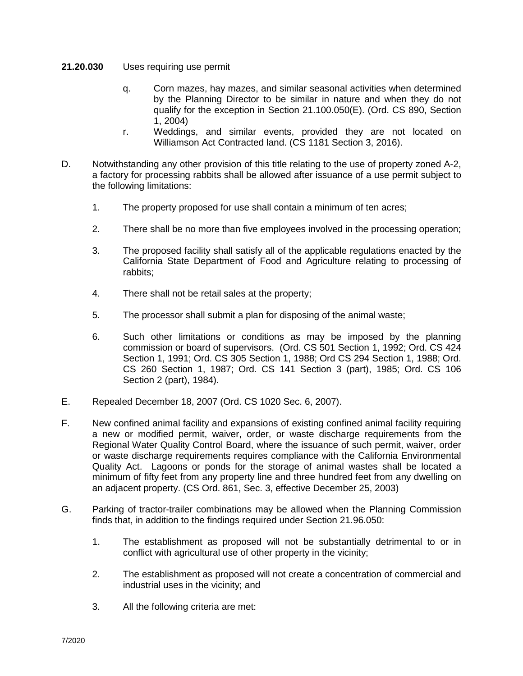- **21.20.030** Uses requiring use permit
	- q. Corn mazes, hay mazes, and similar seasonal activities when determined by the Planning Director to be similar in nature and when they do not qualify for the exception in Section 21.100.050(E). (Ord. CS 890, Section 1, 2004)
	- r. Weddings, and similar events, provided they are not located on Williamson Act Contracted land. (CS 1181 Section 3, 2016).
- D. Notwithstanding any other provision of this title relating to the use of property zoned A-2, a factory for processing rabbits shall be allowed after issuance of a use permit subject to the following limitations:
	- 1. The property proposed for use shall contain a minimum of ten acres;
	- 2. There shall be no more than five employees involved in the processing operation;
	- 3. The proposed facility shall satisfy all of the applicable regulations enacted by the California State Department of Food and Agriculture relating to processing of rabbits;
	- 4. There shall not be retail sales at the property;
	- 5. The processor shall submit a plan for disposing of the animal waste;
	- 6. Such other limitations or conditions as may be imposed by the planning commission or board of supervisors. (Ord. CS 501 Section 1, 1992; Ord. CS 424 Section 1, 1991; Ord. CS 305 Section 1, 1988; Ord CS 294 Section 1, 1988; Ord. CS 260 Section 1, 1987; Ord. CS 141 Section 3 (part), 1985; Ord. CS 106 Section 2 (part), 1984).
- E. Repealed December 18, 2007 (Ord. CS 1020 Sec. 6, 2007).
- F. New confined animal facility and expansions of existing confined animal facility requiring a new or modified permit, waiver, order, or waste discharge requirements from the Regional Water Quality Control Board, where the issuance of such permit, waiver, order or waste discharge requirements requires compliance with the California Environmental Quality Act. Lagoons or ponds for the storage of animal wastes shall be located a minimum of fifty feet from any property line and three hundred feet from any dwelling on an adjacent property. (CS Ord. 861, Sec. 3, effective December 25, 2003)
- G. Parking of tractor-trailer combinations may be allowed when the Planning Commission finds that, in addition to the findings required under Section 21.96.050:
	- 1. The establishment as proposed will not be substantially detrimental to or in conflict with agricultural use of other property in the vicinity;
	- 2. The establishment as proposed will not create a concentration of commercial and industrial uses in the vicinity; and
	- 3. All the following criteria are met: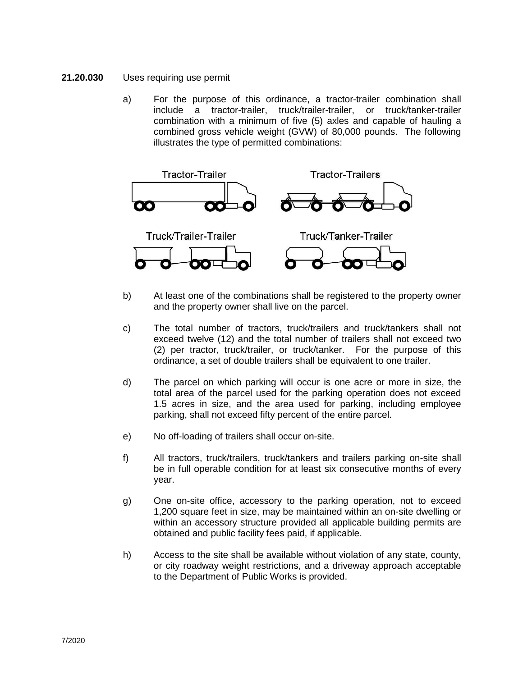- **21.20.030** Uses requiring use permit
	- a) For the purpose of this ordinance, a tractor-trailer combination shall include a tractor-trailer, truck/trailer-trailer, or truck/tanker-trailer combination with a minimum of five (5) axles and capable of hauling a combined gross vehicle weight (GVW) of 80,000 pounds. The following illustrates the type of permitted combinations:



- b) At least one of the combinations shall be registered to the property owner and the property owner shall live on the parcel.
- c) The total number of tractors, truck/trailers and truck/tankers shall not exceed twelve (12) and the total number of trailers shall not exceed two (2) per tractor, truck/trailer, or truck/tanker. For the purpose of this ordinance, a set of double trailers shall be equivalent to one trailer.
- d) The parcel on which parking will occur is one acre or more in size, the total area of the parcel used for the parking operation does not exceed 1.5 acres in size, and the area used for parking, including employee parking, shall not exceed fifty percent of the entire parcel.
- e) No off-loading of trailers shall occur on-site.
- f) All tractors, truck/trailers, truck/tankers and trailers parking on-site shall be in full operable condition for at least six consecutive months of every year.
- g) One on-site office, accessory to the parking operation, not to exceed 1,200 square feet in size, may be maintained within an on-site dwelling or within an accessory structure provided all applicable building permits are obtained and public facility fees paid, if applicable.
- h) Access to the site shall be available without violation of any state, county, or city roadway weight restrictions, and a driveway approach acceptable to the Department of Public Works is provided.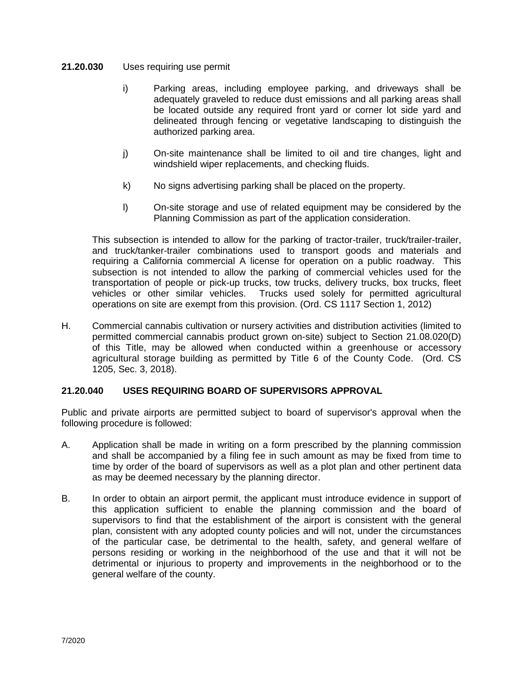- i) Parking areas, including employee parking, and driveways shall be adequately graveled to reduce dust emissions and all parking areas shall be located outside any required front yard or corner lot side yard and delineated through fencing or vegetative landscaping to distinguish the authorized parking area.
- j) On-site maintenance shall be limited to oil and tire changes, light and windshield wiper replacements, and checking fluids.
- k) No signs advertising parking shall be placed on the property.
- l) On-site storage and use of related equipment may be considered by the Planning Commission as part of the application consideration.

This subsection is intended to allow for the parking of tractor-trailer, truck/trailer-trailer, and truck/tanker-trailer combinations used to transport goods and materials and requiring a California commercial A license for operation on a public roadway. This subsection is not intended to allow the parking of commercial vehicles used for the transportation of people or pick-up trucks, tow trucks, delivery trucks, box trucks, fleet vehicles or other similar vehicles. Trucks used solely for permitted agricultural operations on site are exempt from this provision. (Ord. CS 1117 Section 1, 2012)

H. Commercial cannabis cultivation or nursery activities and distribution activities (limited to permitted commercial cannabis product grown on-site) subject to Section 21.08.020(D) of this Title, may be allowed when conducted within a greenhouse or accessory agricultural storage building as permitted by Title 6 of the County Code. (Ord. CS 1205, Sec. 3, 2018).

# **21.20.040 USES REQUIRING BOARD OF SUPERVISORS APPROVAL**

Public and private airports are permitted subject to board of supervisor's approval when the following procedure is followed:

- A. Application shall be made in writing on a form prescribed by the planning commission and shall be accompanied by a filing fee in such amount as may be fixed from time to time by order of the board of supervisors as well as a plot plan and other pertinent data as may be deemed necessary by the planning director.
- B. In order to obtain an airport permit, the applicant must introduce evidence in support of this application sufficient to enable the planning commission and the board of supervisors to find that the establishment of the airport is consistent with the general plan, consistent with any adopted county policies and will not, under the circumstances of the particular case, be detrimental to the health, safety, and general welfare of persons residing or working in the neighborhood of the use and that it will not be detrimental or injurious to property and improvements in the neighborhood or to the general welfare of the county.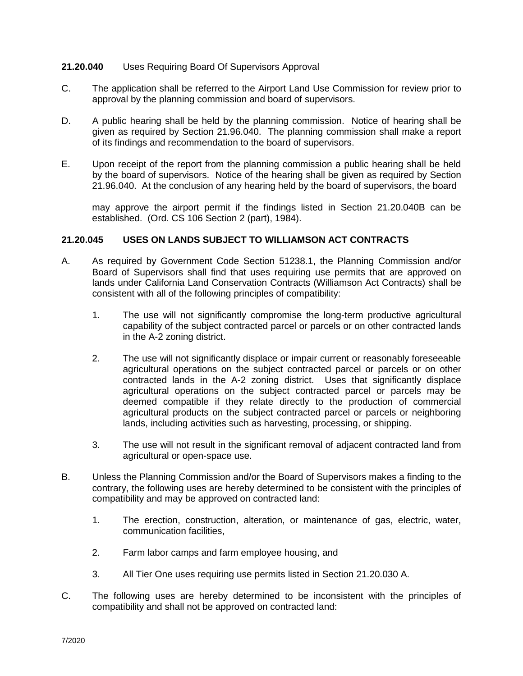## **21.20.040** Uses Requiring Board Of Supervisors Approval

- C. The application shall be referred to the Airport Land Use Commission for review prior to approval by the planning commission and board of supervisors.
- D. A public hearing shall be held by the planning commission. Notice of hearing shall be given as required by Section 21.96.040. The planning commission shall make a report of its findings and recommendation to the board of supervisors.
- E. Upon receipt of the report from the planning commission a public hearing shall be held by the board of supervisors. Notice of the hearing shall be given as required by Section 21.96.040. At the conclusion of any hearing held by the board of supervisors, the board

may approve the airport permit if the findings listed in Section 21.20.040B can be established. (Ord. CS 106 Section 2 (part), 1984).

## **21.20.045 USES ON LANDS SUBJECT TO WILLIAMSON ACT CONTRACTS**

- A. As required by Government Code Section 51238.1, the Planning Commission and/or Board of Supervisors shall find that uses requiring use permits that are approved on lands under California Land Conservation Contracts (Williamson Act Contracts) shall be consistent with all of the following principles of compatibility:
	- 1. The use will not significantly compromise the long-term productive agricultural capability of the subject contracted parcel or parcels or on other contracted lands in the A-2 zoning district.
	- 2. The use will not significantly displace or impair current or reasonably foreseeable agricultural operations on the subject contracted parcel or parcels or on other contracted lands in the A-2 zoning district. Uses that significantly displace agricultural operations on the subject contracted parcel or parcels may be deemed compatible if they relate directly to the production of commercial agricultural products on the subject contracted parcel or parcels or neighboring lands, including activities such as harvesting, processing, or shipping.
	- 3. The use will not result in the significant removal of adjacent contracted land from agricultural or open-space use.
- B. Unless the Planning Commission and/or the Board of Supervisors makes a finding to the contrary, the following uses are hereby determined to be consistent with the principles of compatibility and may be approved on contracted land:
	- 1. The erection, construction, alteration, or maintenance of gas, electric, water, communication facilities,
	- 2. Farm labor camps and farm employee housing, and
	- 3. All Tier One uses requiring use permits listed in Section 21.20.030 A.
- C. The following uses are hereby determined to be inconsistent with the principles of compatibility and shall not be approved on contracted land: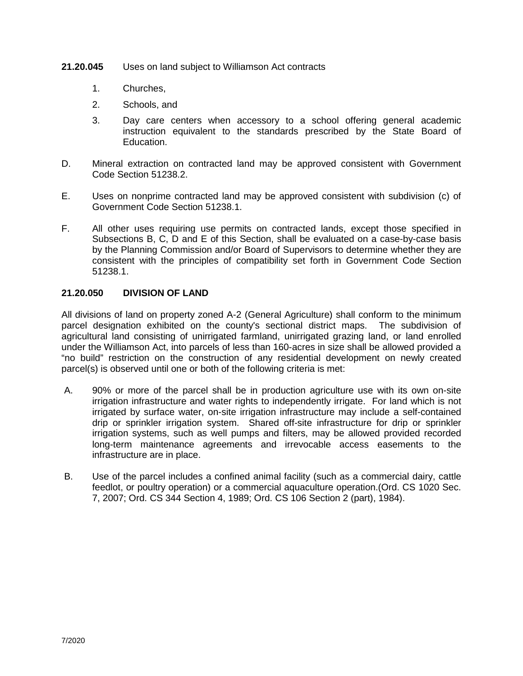- **21.20.045** Uses on land subject to Williamson Act contracts
	- 1. Churches,
	- 2. Schools, and
	- 3. Day care centers when accessory to a school offering general academic instruction equivalent to the standards prescribed by the State Board of Education.
- D. Mineral extraction on contracted land may be approved consistent with Government Code Section 51238.2.
- E. Uses on nonprime contracted land may be approved consistent with subdivision (c) of Government Code Section 51238.1.
- F. All other uses requiring use permits on contracted lands, except those specified in Subsections B, C, D and E of this Section, shall be evaluated on a case-by-case basis by the Planning Commission and/or Board of Supervisors to determine whether they are consistent with the principles of compatibility set forth in Government Code Section 51238.1.

# **21.20.050 DIVISION OF LAND**

All divisions of land on property zoned A-2 (General Agriculture) shall conform to the minimum parcel designation exhibited on the county's sectional district maps. The subdivision of agricultural land consisting of unirrigated farmland, unirrigated grazing land, or land enrolled under the Williamson Act, into parcels of less than 160-acres in size shall be allowed provided a "no build" restriction on the construction of any residential development on newly created parcel(s) is observed until one or both of the following criteria is met:

- A. 90% or more of the parcel shall be in production agriculture use with its own on-site irrigation infrastructure and water rights to independently irrigate. For land which is not irrigated by surface water, on-site irrigation infrastructure may include a self-contained drip or sprinkler irrigation system. Shared off-site infrastructure for drip or sprinkler irrigation systems, such as well pumps and filters, may be allowed provided recorded long-term maintenance agreements and irrevocable access easements to the infrastructure are in place.
- B. Use of the parcel includes a confined animal facility (such as a commercial dairy, cattle feedlot, or poultry operation) or a commercial aquaculture operation.(Ord. CS 1020 Sec. 7, 2007; Ord. CS 344 Section 4, 1989; Ord. CS 106 Section 2 (part), 1984).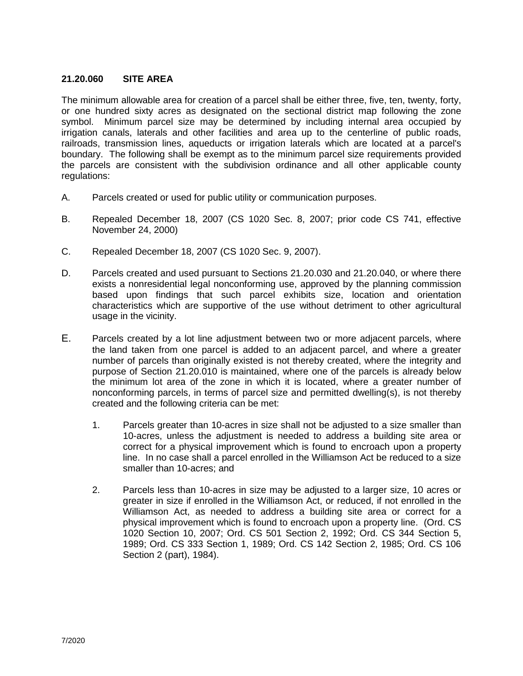# **21.20.060 SITE AREA**

The minimum allowable area for creation of a parcel shall be either three, five, ten, twenty, forty, or one hundred sixty acres as designated on the sectional district map following the zone symbol. Minimum parcel size may be determined by including internal area occupied by irrigation canals, laterals and other facilities and area up to the centerline of public roads, railroads, transmission lines, aqueducts or irrigation laterals which are located at a parcel's boundary. The following shall be exempt as to the minimum parcel size requirements provided the parcels are consistent with the subdivision ordinance and all other applicable county regulations:

- A. Parcels created or used for public utility or communication purposes.
- B. Repealed December 18, 2007 (CS 1020 Sec. 8, 2007; prior code CS 741, effective November 24, 2000)
- C. Repealed December 18, 2007 (CS 1020 Sec. 9, 2007).
- D. Parcels created and used pursuant to Sections 21.20.030 and 21.20.040, or where there exists a nonresidential legal nonconforming use, approved by the planning commission based upon findings that such parcel exhibits size, location and orientation characteristics which are supportive of the use without detriment to other agricultural usage in the vicinity.
- E. Parcels created by a lot line adjustment between two or more adjacent parcels, where the land taken from one parcel is added to an adjacent parcel, and where a greater number of parcels than originally existed is not thereby created, where the integrity and purpose of Section 21.20.010 is maintained, where one of the parcels is already below the minimum lot area of the zone in which it is located, where a greater number of nonconforming parcels, in terms of parcel size and permitted dwelling(s), is not thereby created and the following criteria can be met:
	- 1. Parcels greater than 10-acres in size shall not be adjusted to a size smaller than 10-acres, unless the adjustment is needed to address a building site area or correct for a physical improvement which is found to encroach upon a property line. In no case shall a parcel enrolled in the Williamson Act be reduced to a size smaller than 10-acres; and
	- 2. Parcels less than 10-acres in size may be adjusted to a larger size, 10 acres or greater in size if enrolled in the Williamson Act, or reduced, if not enrolled in the Williamson Act, as needed to address a building site area or correct for a physical improvement which is found to encroach upon a property line. (Ord. CS 1020 Section 10, 2007; Ord. CS 501 Section 2, 1992; Ord. CS 344 Section 5, 1989; Ord. CS 333 Section 1, 1989; Ord. CS 142 Section 2, 1985; Ord. CS 106 Section 2 (part), 1984).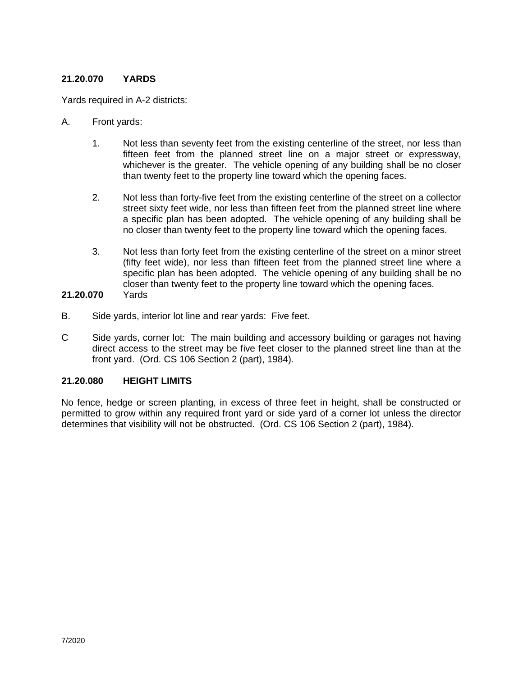# **21.20.070 YARDS**

Yards required in A-2 districts:

- A. Front yards:
	- 1. Not less than seventy feet from the existing centerline of the street, nor less than fifteen feet from the planned street line on a major street or expressway, whichever is the greater. The vehicle opening of any building shall be no closer than twenty feet to the property line toward which the opening faces.
	- 2. Not less than forty-five feet from the existing centerline of the street on a collector street sixty feet wide, nor less than fifteen feet from the planned street line where a specific plan has been adopted. The vehicle opening of any building shall be no closer than twenty feet to the property line toward which the opening faces.
	- 3. Not less than forty feet from the existing centerline of the street on a minor street (fifty feet wide), nor less than fifteen feet from the planned street line where a specific plan has been adopted. The vehicle opening of any building shall be no closer than twenty feet to the property line toward which the opening faces.<br>Yards

# **21.20.070**

- B. Side yards, interior lot line and rear yards: Five feet.
- C Side yards, corner lot: The main building and accessory building or garages not having direct access to the street may be five feet closer to the planned street line than at the front yard. (Ord. CS 106 Section 2 (part), 1984).

# **21.20.080 HEIGHT LIMITS**

No fence, hedge or screen planting, in excess of three feet in height, shall be constructed or permitted to grow within any required front yard or side yard of a corner lot unless the director determines that visibility will not be obstructed. (Ord. CS 106 Section 2 (part), 1984).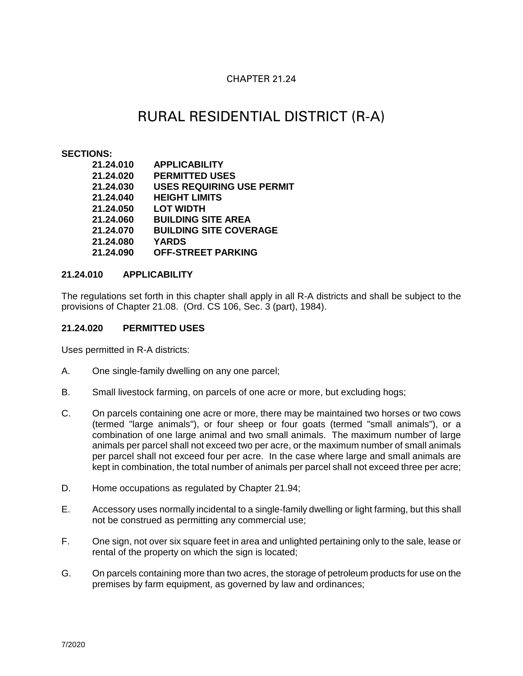# CHAPTER 21.24

# RURAL RESIDENTIAL DISTRICT (R-A)

#### **SECTIONS:**

| 21.24.010 | <b>APPLICABILITY</b>             |
|-----------|----------------------------------|
| 21.24.020 | <b>PERMITTED USES</b>            |
| 21.24.030 | <b>USES REQUIRING USE PERMIT</b> |
| 21.24.040 | <b>HEIGHT LIMITS</b>             |
| 21.24.050 | <b>LOT WIDTH</b>                 |
| 21.24.060 | <b>BUILDING SITE AREA</b>        |
| 21.24.070 | <b>BUILDING SITE COVERAGE</b>    |
| 21.24.080 | <b>YARDS</b>                     |
| 21.24.090 | <b>OFF-STREET PARKING</b>        |

## **21.24.010 APPLICABILITY**

The regulations set forth in this chapter shall apply in all R-A districts and shall be subject to the provisions of Chapter 21.08. (Ord. CS 106, Sec. 3 (part), 1984).

## **21.24.020 PERMITTED USES**

Uses permitted in R-A districts:

- A. One single-family dwelling on any one parcel;
- B. Small livestock farming, on parcels of one acre or more, but excluding hogs;
- C. On parcels containing one acre or more, there may be maintained two horses or two cows (termed "large animals"), or four sheep or four goats (termed "small animals"), or a combination of one large animal and two small animals. The maximum number of large animals per parcel shall not exceed two per acre, or the maximum number of small animals per parcel shall not exceed four per acre. In the case where large and small animals are kept in combination, the total number of animals per parcel shall not exceed three per acre;
- D. Home occupations as regulated by Chapter 21.94;
- E. Accessory uses normally incidental to a single-family dwelling or light farming, but this shall not be construed as permitting any commercial use;
- F. One sign, not over six square feet in area and unlighted pertaining only to the sale, lease or rental of the property on which the sign is located;
- G. On parcels containing more than two acres, the storage of petroleum products for use on the premises by farm equipment, as governed by law and ordinances;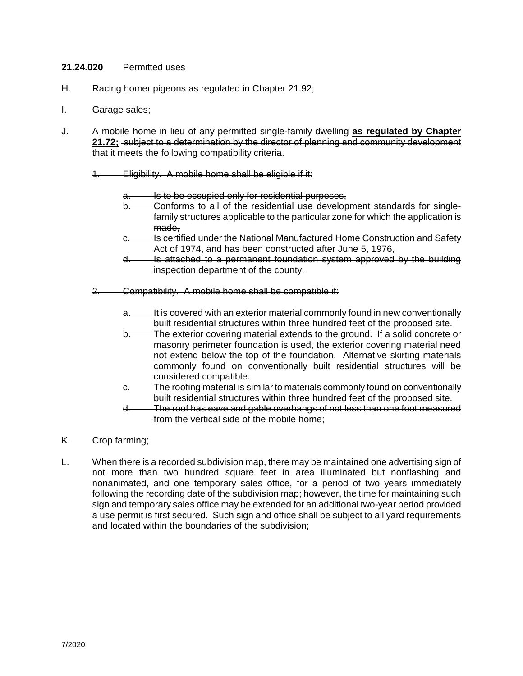## **21.24.020** Permitted uses

- H. Racing homer pigeons as regulated in Chapter 21.92;
- I. Garage sales;
- J. A mobile home in lieu of any permitted single-family dwelling **as regulated by Chapter 21.72;** subject to a determination by the director of planning and community development that it meets the following compatibility criteria.
	- 1. Eligibility. A mobile home shall be eligible if it:
		- Is to be occupied only for residential purposes,
		- b. Conforms to all of the residential use development standards for singlefamily structures applicable to the particular zone for which the application is made.
		- c. Is certified under the National Manufactured Home Construction and Safety Act of 1974, and has been constructed after June 5, 1976,
		- d. Is attached to a permanent foundation system approved by the building inspection department of the county.
	- 2. Compatibility. A mobile home shall be compatible if:
		- a. It is covered with an exterior material commonly found in new conventionally built residential structures within three hundred feet of the proposed site.
		- b. The exterior covering material extends to the ground. If a solid concrete or masonry perimeter foundation is used, the exterior covering material need not extend below the top of the foundation. Alternative skirting materials commonly found on conventionally built residential structures will be considered compatible.
		- c. The roofing material is similar to materials commonly found on conventionally built residential structures within three hundred feet of the proposed site.
		- d. The roof has eave and gable overhangs of not less than one foot measured from the vertical side of the mobile home;
- K. Crop farming;
- L. When there is a recorded subdivision map, there may be maintained one advertising sign of not more than two hundred square feet in area illuminated but nonflashing and nonanimated, and one temporary sales office, for a period of two years immediately following the recording date of the subdivision map; however, the time for maintaining such sign and temporary sales office may be extended for an additional two-year period provided a use permit is first secured. Such sign and office shall be subject to all yard requirements and located within the boundaries of the subdivision;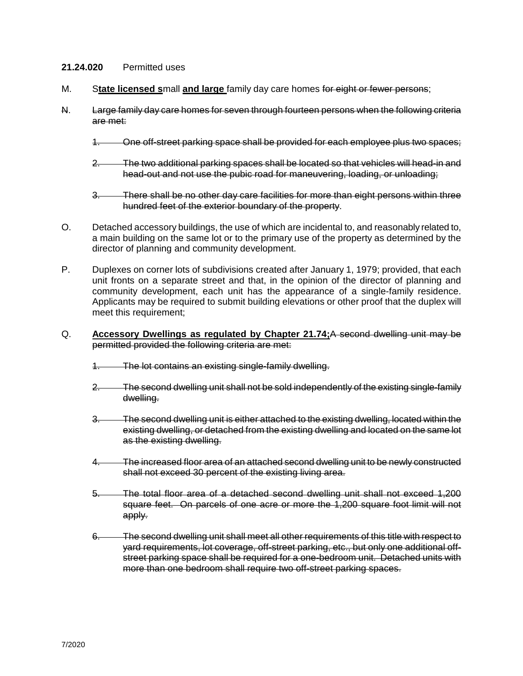## **21.24.020** Permitted uses

- M. S**tate licensed s**mall **and large** family day care homes for eight or fewer persons;
- N. Large family day care homes for seven through fourteen persons when the following criteria are met:
	- 1. One off-street parking space shall be provided for each employee plus two spaces;
	- 2. The two additional parking spaces shall be located so that vehicles will head-in and head-out and not use the pubic road for maneuvering, loading, or unloading;
	- 3. There shall be no other day care facilities for more than eight persons within three hundred feet of the exterior boundary of the property.
- O. Detached accessory buildings, the use of which are incidental to, and reasonably related to, a main building on the same lot or to the primary use of the property as determined by the director of planning and community development.
- P. Duplexes on corner lots of subdivisions created after January 1, 1979; provided, that each unit fronts on a separate street and that, in the opinion of the director of planning and community development, each unit has the appearance of a single-family residence. Applicants may be required to submit building elevations or other proof that the duplex will meet this requirement;
- Q. **Accessory Dwellings as regulated by Chapter 21.74;**A second dwelling unit may be permitted provided the following criteria are met:
	- 1. The lot contains an existing single-family dwelling.
	- 2. The second dwelling unit shall not be sold independently of the existing single-family dwelling.
	- 3. The second dwelling unit is either attached to the existing dwelling, located within the existing dwelling, or detached from the existing dwelling and located on the same lot as the existing dwelling.
	- 4. The increased floor area of an attached second dwelling unit to be newly constructed shall not exceed 30 percent of the existing living area.
	- 5. The total floor area of a detached second dwelling unit shall not exceed 1,200 square feet. On parcels of one acre or more the 1,200 square foot limit will not apply.
	- 6. The second dwelling unit shall meet all other requirements of this title with respect to yard requirements, lot coverage, off-street parking, etc., but only one additional offstreet parking space shall be required for a one-bedroom unit. Detached units with more than one bedroom shall require two off-street parking spaces.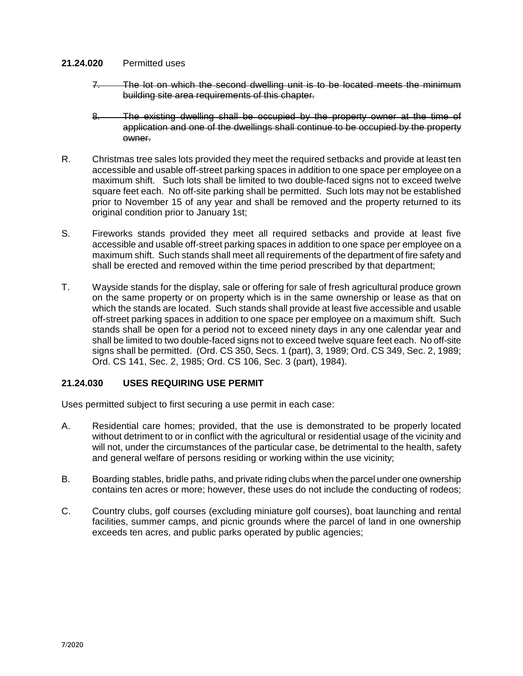## **21.24.020** Permitted uses

- 7. The lot on which the second dwelling unit is to be located meets the minimum building site area requirements of this chapter.
- 8. The existing dwelling shall be occupied by the property owner at the time of application and one of the dwellings shall continue to be occupied by the property owner.
- R. Christmas tree sales lots provided they meet the required setbacks and provide at least ten accessible and usable off-street parking spaces in addition to one space per employee on a maximum shift. Such lots shall be limited to two double-faced signs not to exceed twelve square feet each. No off-site parking shall be permitted. Such lots may not be established prior to November 15 of any year and shall be removed and the property returned to its original condition prior to January 1st;
- S. Fireworks stands provided they meet all required setbacks and provide at least five accessible and usable off-street parking spaces in addition to one space per employee on a maximum shift. Such stands shall meet all requirements of the department of fire safety and shall be erected and removed within the time period prescribed by that department;
- T. Wayside stands for the display, sale or offering for sale of fresh agricultural produce grown on the same property or on property which is in the same ownership or lease as that on which the stands are located. Such stands shall provide at least five accessible and usable off-street parking spaces in addition to one space per employee on a maximum shift. Such stands shall be open for a period not to exceed ninety days in any one calendar year and shall be limited to two double-faced signs not to exceed twelve square feet each. No off-site signs shall be permitted. (Ord. CS 350, Secs. 1 (part), 3, 1989; Ord. CS 349, Sec. 2, 1989; Ord. CS 141, Sec. 2, 1985; Ord. CS 106, Sec. 3 (part), 1984).

# **21.24.030 USES REQUIRING USE PERMIT**

Uses permitted subject to first securing a use permit in each case:

- A. Residential care homes; provided, that the use is demonstrated to be properly located without detriment to or in conflict with the agricultural or residential usage of the vicinity and will not, under the circumstances of the particular case, be detrimental to the health, safety and general welfare of persons residing or working within the use vicinity;
- B. Boarding stables, bridle paths, and private riding clubs when the parcel under one ownership contains ten acres or more; however, these uses do not include the conducting of rodeos;
- C. Country clubs, golf courses (excluding miniature golf courses), boat launching and rental facilities, summer camps, and picnic grounds where the parcel of land in one ownership exceeds ten acres, and public parks operated by public agencies;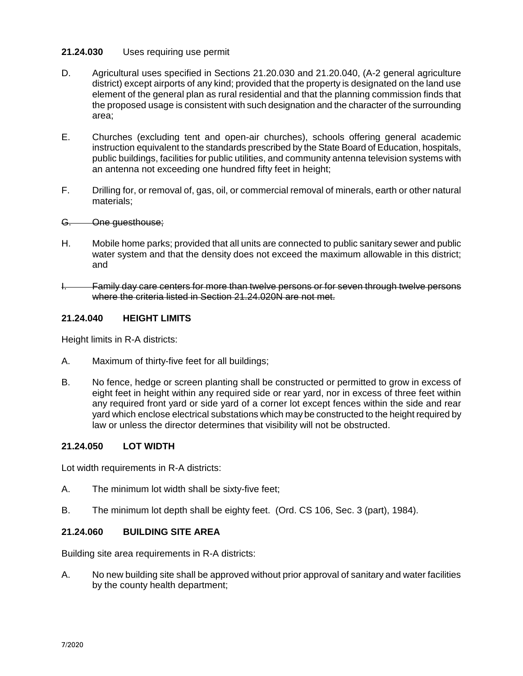- D. Agricultural uses specified in Sections 21.20.030 and 21.20.040, (A-2 general agriculture district) except airports of any kind; provided that the property is designated on the land use element of the general plan as rural residential and that the planning commission finds that the proposed usage is consistent with such designation and the character of the surrounding area;
- E. Churches (excluding tent and open-air churches), schools offering general academic instruction equivalent to the standards prescribed by the State Board of Education, hospitals, public buildings, facilities for public utilities, and community antenna television systems with an antenna not exceeding one hundred fifty feet in height;
- F. Drilling for, or removal of, gas, oil, or commercial removal of minerals, earth or other natural materials;

## G. One guesthouse;

- H. Mobile home parks; provided that all units are connected to public sanitary sewer and public water system and that the density does not exceed the maximum allowable in this district; and
- I. Family day care centers for more than twelve persons or for seven through twelve persons where the criteria listed in Section 21.24.020N are not met.

## **21.24.040 HEIGHT LIMITS**

Height limits in R-A districts:

- A. Maximum of thirty-five feet for all buildings;
- B. No fence, hedge or screen planting shall be constructed or permitted to grow in excess of eight feet in height within any required side or rear yard, nor in excess of three feet within any required front yard or side yard of a corner lot except fences within the side and rear yard which enclose electrical substations which may be constructed to the height required by law or unless the director determines that visibility will not be obstructed.

## **21.24.050 LOT WIDTH**

Lot width requirements in R-A districts:

- A. The minimum lot width shall be sixty-five feet;
- B. The minimum lot depth shall be eighty feet. (Ord. CS 106, Sec. 3 (part), 1984).

## **21.24.060 BUILDING SITE AREA**

Building site area requirements in R-A districts:

A. No new building site shall be approved without prior approval of sanitary and water facilities by the county health department;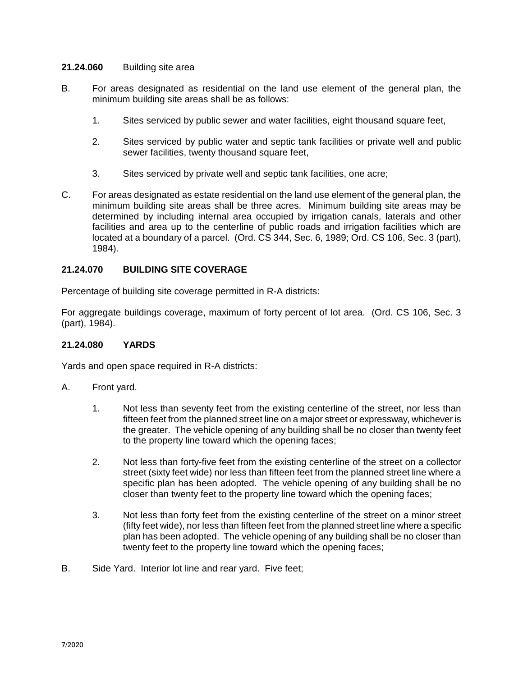## **21.24.060** Building site area

- B. For areas designated as residential on the land use element of the general plan, the minimum building site areas shall be as follows:
	- 1. Sites serviced by public sewer and water facilities, eight thousand square feet,
	- 2. Sites serviced by public water and septic tank facilities or private well and public sewer facilities, twenty thousand square feet,
	- 3. Sites serviced by private well and septic tank facilities, one acre;
- C. For areas designated as estate residential on the land use element of the general plan, the minimum building site areas shall be three acres. Minimum building site areas may be determined by including internal area occupied by irrigation canals, laterals and other facilities and area up to the centerline of public roads and irrigation facilities which are located at a boundary of a parcel. (Ord. CS 344, Sec. 6, 1989; Ord. CS 106, Sec. 3 (part), 1984).

# **21.24.070 BUILDING SITE COVERAGE**

Percentage of building site coverage permitted in R-A districts:

For aggregate buildings coverage, maximum of forty percent of lot area. (Ord. CS 106, Sec. 3 (part), 1984).

## **21.24.080 YARDS**

Yards and open space required in R-A districts:

- A. Front yard.
	- 1. Not less than seventy feet from the existing centerline of the street, nor less than fifteen feet from the planned street line on a major street or expressway, whichever is the greater. The vehicle opening of any building shall be no closer than twenty feet to the property line toward which the opening faces;
	- 2. Not less than forty-five feet from the existing centerline of the street on a collector street (sixty feet wide) nor less than fifteen feet from the planned street line where a specific plan has been adopted. The vehicle opening of any building shall be no closer than twenty feet to the property line toward which the opening faces;
	- 3. Not less than forty feet from the existing centerline of the street on a minor street (fifty feet wide), nor less than fifteen feet from the planned street line where a specific plan has been adopted. The vehicle opening of any building shall be no closer than twenty feet to the property line toward which the opening faces;
- B. Side Yard. Interior lot line and rear yard. Five feet;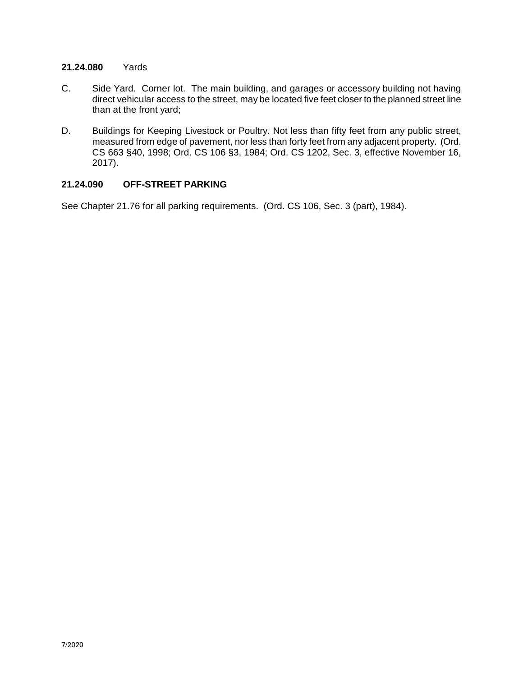## **21.24.080** Yards

- C. Side Yard. Corner lot. The main building, and garages or accessory building not having direct vehicular access to the street, may be located five feet closer to the planned street line than at the front yard;
- D. Buildings for Keeping Livestock or Poultry. Not less than fifty feet from any public street, measured from edge of pavement, nor less than forty feet from any adjacent property. (Ord. CS 663 §40, 1998; Ord. CS 106 §3, 1984; Ord. CS 1202, Sec. 3, effective November 16, 2017).

## **21.24.090 OFF-STREET PARKING**

See Chapter 21.76 for all parking requirements. (Ord. CS 106, Sec. 3 (part), 1984).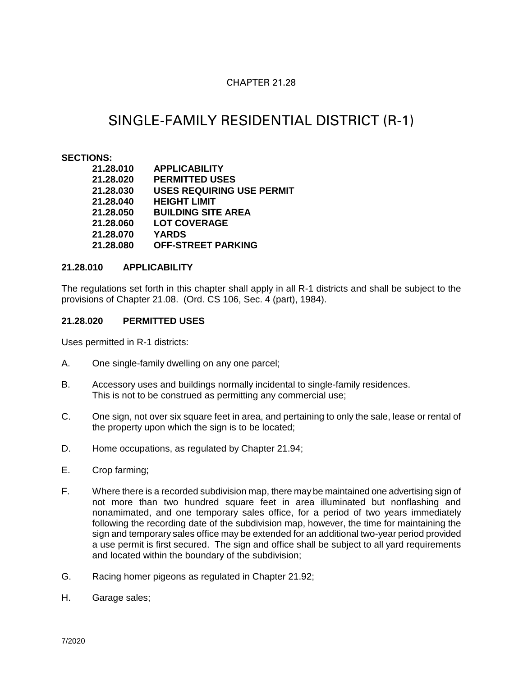# CHAPTER 21.28

# SINGLE-FAMILY RESIDENTIAL DISTRICT (R-1)

## **SECTIONS:**

| 21.28.010 | <b>APPLICABILITY</b>             |
|-----------|----------------------------------|
| 21.28.020 | <b>PERMITTED USES</b>            |
| 21.28.030 | <b>USES REQUIRING USE PERMIT</b> |
| 21.28.040 | <b>HEIGHT LIMIT</b>              |
| 21.28.050 | <b>BUILDING SITE AREA</b>        |
| 21.28.060 | <b>LOT COVERAGE</b>              |
| 21.28.070 | <b>YARDS</b>                     |
| 21.28.080 | <b>OFF-STREET PARKING</b>        |

## **21.28.010 APPLICABILITY**

The regulations set forth in this chapter shall apply in all R-1 districts and shall be subject to the provisions of Chapter 21.08. (Ord. CS 106, Sec. 4 (part), 1984).

## **21.28.020 PERMITTED USES**

Uses permitted in R-1 districts:

- A. One single-family dwelling on any one parcel;
- B. Accessory uses and buildings normally incidental to single-family residences. This is not to be construed as permitting any commercial use;
- C. One sign, not over six square feet in area, and pertaining to only the sale, lease or rental of the property upon which the sign is to be located;
- D. Home occupations, as regulated by Chapter 21.94;
- E. Crop farming;
- F. Where there is a recorded subdivision map, there may be maintained one advertising sign of not more than two hundred square feet in area illuminated but nonflashing and nonamimated, and one temporary sales office, for a period of two years immediately following the recording date of the subdivision map, however, the time for maintaining the sign and temporary sales office may be extended for an additional two-year period provided a use permit is first secured. The sign and office shall be subject to all yard requirements and located within the boundary of the subdivision;
- G. Racing homer pigeons as regulated in Chapter 21.92;
- H. Garage sales;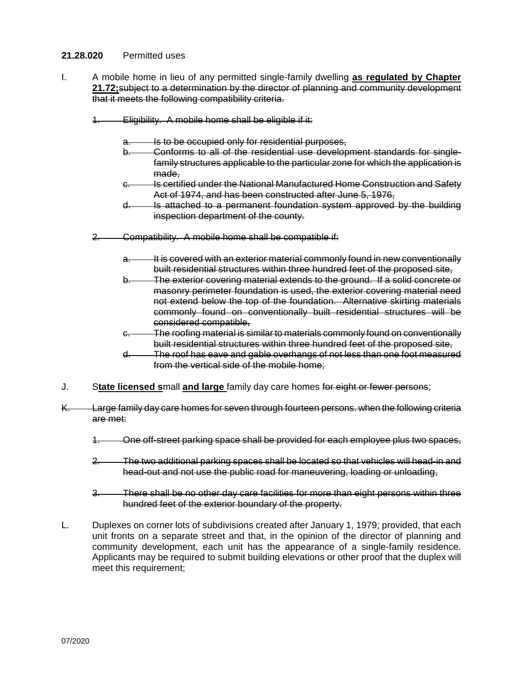## **21.28.020** Permitted uses

- I. A mobile home in lieu of any permitted single-family dwelling **as regulated by Chapter 21.72;**subject to a determination by the director of planning and community development that it meets the following compatibility criteria.
	- 1. Eligibility. A mobile home shall be eligible if it:
		- Is to be occupied only for residential purposes,
		- b. Conforms to all of the residential use development standards for singlefamily structures applicable to the particular zone for which the application is made.
		- c. Is certified under the National Manufactured Home Construction and Safety Act of 1974, and has been constructed after June 5, 1976,
		- d. Is attached to a permanent foundation system approved by the building inspection department of the county.
	- 2. Compatibility. A mobile home shall be compatible if:
		- a. It is covered with an exterior material commonly found in new conventionally built residential structures within three hundred feet of the proposed site,
		- b. The exterior covering material extends to the ground. If a solid concrete or masonry perimeter foundation is used, the exterior covering material need not extend below the top of the foundation. Alternative skirting materials commonly found on conventionally built residential structures will be considered compatible,
		- c. The roofing material is similar to materials commonly found on conventionally built residential structures within three hundred feet of the proposed site,
		- d. The roof has eave and gable overhangs of not less than one foot measured from the vertical side of the mobile home;
- J. S**tate licensed s**mall **and large** family day care homes for eight or fewer persons;
- K. Large family day care homes for seven through fourteen persons. when the following criteria are met:
	- 1. One off-street parking space shall be provided for each employee plus two spaces,
	- 2. The two additional parking spaces shall be located so that vehicles will head-in and head-out and not use the public road for maneuvering, loading or unloading,
	- 3. There shall be no other day care facilities for more than eight persons within three hundred feet of the exterior boundary of the property.
- L. Duplexes on corner lots of subdivisions created after January 1, 1979; provided, that each unit fronts on a separate street and that, in the opinion of the director of planning and community development, each unit has the appearance of a single-family residence. Applicants may be required to submit building elevations or other proof that the duplex will meet this requirement;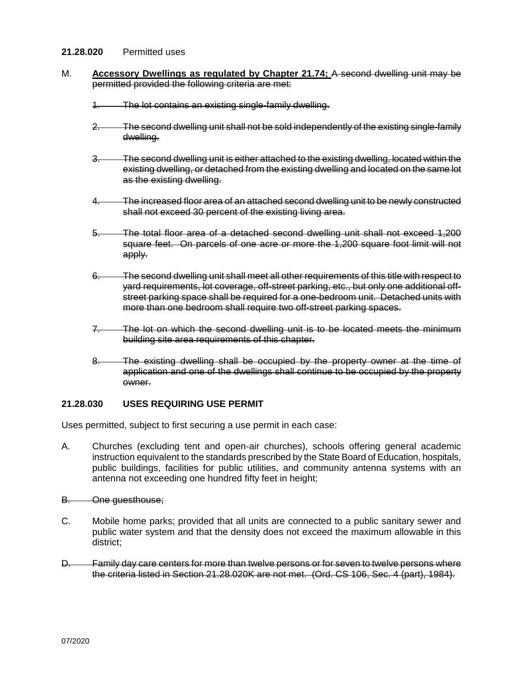## **21.28.020** Permitted uses

- M. **Accessory Dwellings as regulated by Chapter 21.74;** A second dwelling unit may be permitted provided the following criteria are met:
	- 1. The lot contains an existing single-family dwelling.
	- 2. The second dwelling unit shall not be sold independently of the existing single-family dwelling.
	- 3. The second dwelling unit is either attached to the existing dwelling, located within the existing dwelling, or detached from the existing dwelling and located on the same lot as the existing dwelling.
	- 4. The increased floor area of an attached second dwelling unit to be newly constructed shall not exceed 30 percent of the existing living area.
	- 5. The total floor area of a detached second dwelling unit shall not exceed 1,200 square feet. On parcels of one acre or more the 1,200 square foot limit will not apply.
	- 6. The second dwelling unit shall meet all other requirements of this title with respect to yard requirements, lot coverage, off-street parking, etc., but only one additional offstreet parking space shall be required for a one-bedroom unit. Detached units with more than one bedroom shall require two off-street parking spaces.
	- 7. The lot on which the second dwelling unit is to be located meets the minimum building site area requirements of this chapter.
	- 8. The existing dwelling shall be occupied by the property owner at the time of application and one of the dwellings shall continue to be occupied by the property owner.

## **21.28.030 USES REQUIRING USE PERMIT**

Uses permitted, subject to first securing a use permit in each case:

- A. Churches (excluding tent and open-air churches), schools offering general academic instruction equivalent to the standards prescribed by the State Board of Education, hospitals, public buildings, facilities for public utilities, and community antenna systems with an antenna not exceeding one hundred fifty feet in height;
- B. One guesthouse;
- C. Mobile home parks; provided that all units are connected to a public sanitary sewer and public water system and that the density does not exceed the maximum allowable in this district;
- D. Family day care centers for more than twelve persons or for seven to twelve persons where the criteria listed in Section 21.28.020K are not met. (Ord. CS 106, Sec. 4 (part), 1984).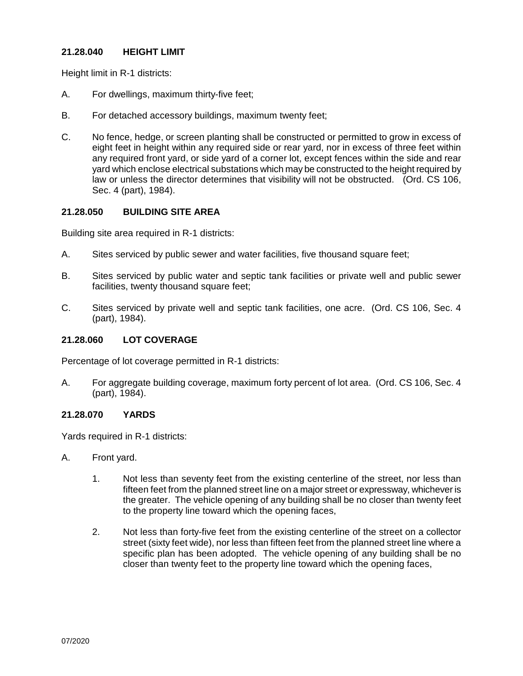## **21.28.040 HEIGHT LIMIT**

Height limit in R-1 districts:

- A. For dwellings, maximum thirty-five feet;
- B. For detached accessory buildings, maximum twenty feet;
- C. No fence, hedge, or screen planting shall be constructed or permitted to grow in excess of eight feet in height within any required side or rear yard, nor in excess of three feet within any required front yard, or side yard of a corner lot, except fences within the side and rear yard which enclose electrical substations which may be constructed to the height required by law or unless the director determines that visibility will not be obstructed. (Ord. CS 106, Sec. 4 (part), 1984).

# **21.28.050 BUILDING SITE AREA**

Building site area required in R-1 districts:

- A. Sites serviced by public sewer and water facilities, five thousand square feet;
- B. Sites serviced by public water and septic tank facilities or private well and public sewer facilities, twenty thousand square feet;
- C. Sites serviced by private well and septic tank facilities, one acre. (Ord. CS 106, Sec. 4 (part), 1984).

# **21.28.060 LOT COVERAGE**

Percentage of lot coverage permitted in R-1 districts:

A. For aggregate building coverage, maximum forty percent of lot area. (Ord. CS 106, Sec. 4 (part), 1984).

## **21.28.070 YARDS**

Yards required in R-1 districts:

- A. Front yard.
	- 1. Not less than seventy feet from the existing centerline of the street, nor less than fifteen feet from the planned street line on a major street or expressway, whichever is the greater. The vehicle opening of any building shall be no closer than twenty feet to the property line toward which the opening faces,
	- 2. Not less than forty-five feet from the existing centerline of the street on a collector street (sixty feet wide), nor less than fifteen feet from the planned street line where a specific plan has been adopted. The vehicle opening of any building shall be no closer than twenty feet to the property line toward which the opening faces,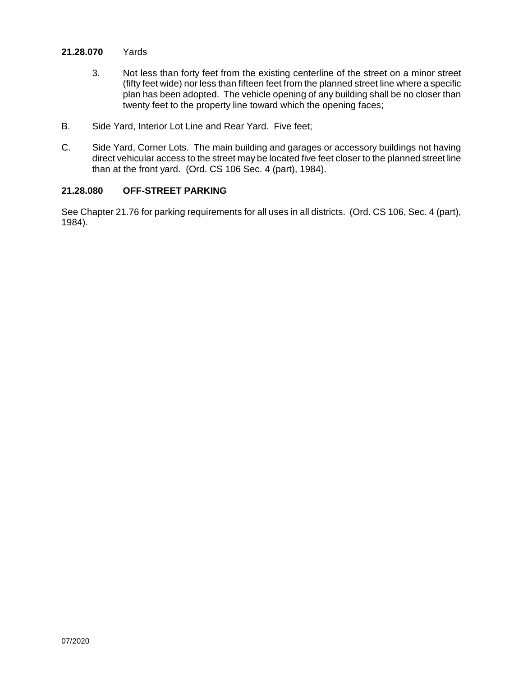## **21.28.070** Yards

- 3. Not less than forty feet from the existing centerline of the street on a minor street (fifty feet wide) nor less than fifteen feet from the planned street line where a specific plan has been adopted. The vehicle opening of any building shall be no closer than twenty feet to the property line toward which the opening faces;
- B. Side Yard, Interior Lot Line and Rear Yard. Five feet;
- C. Side Yard, Corner Lots. The main building and garages or accessory buildings not having direct vehicular access to the street may be located five feet closer to the planned street line than at the front yard. (Ord. CS 106 Sec. 4 (part), 1984).

## **21.28.080 OFF-STREET PARKING**

See Chapter 21.76 for parking requirements for all uses in all districts. (Ord. CS 106, Sec. 4 (part), 1984).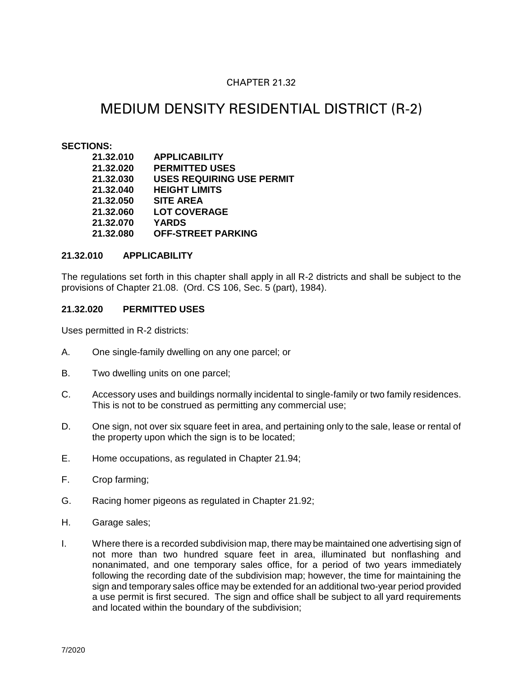# CHAPTER 21.32

# MEDIUM DENSITY RESIDENTIAL DISTRICT (R-2)

## **SECTIONS:**

| 21.32.010 | <b>APPLICABILITY</b>             |
|-----------|----------------------------------|
|           |                                  |
| 21.32.020 | <b>PERMITTED USES</b>            |
| 21.32.030 | <b>USES REQUIRING USE PERMIT</b> |
| 21.32.040 | <b>HEIGHT LIMITS</b>             |
| 21.32.050 | <b>SITE AREA</b>                 |
| 21.32.060 | <b>LOT COVERAGE</b>              |
| 21.32.070 | <b>YARDS</b>                     |
| 21.32.080 | <b>OFF-STREET PARKING</b>        |

## **21.32.010 APPLICABILITY**

The regulations set forth in this chapter shall apply in all R-2 districts and shall be subject to the provisions of Chapter 21.08. (Ord. CS 106, Sec. 5 (part), 1984).

## **21.32.020 PERMITTED USES**

Uses permitted in R-2 districts:

- A. One single-family dwelling on any one parcel; or
- B. Two dwelling units on one parcel;
- C. Accessory uses and buildings normally incidental to single-family or two family residences. This is not to be construed as permitting any commercial use;
- D. One sign, not over six square feet in area, and pertaining only to the sale, lease or rental of the property upon which the sign is to be located;
- E. Home occupations, as regulated in Chapter 21.94;
- F. Crop farming;
- G. Racing homer pigeons as regulated in Chapter 21.92;
- H. Garage sales;
- I. Where there is a recorded subdivision map, there may be maintained one advertising sign of not more than two hundred square feet in area, illuminated but nonflashing and nonanimated, and one temporary sales office, for a period of two years immediately following the recording date of the subdivision map; however, the time for maintaining the sign and temporary sales office may be extended for an additional two-year period provided a use permit is first secured. The sign and office shall be subject to all yard requirements and located within the boundary of the subdivision;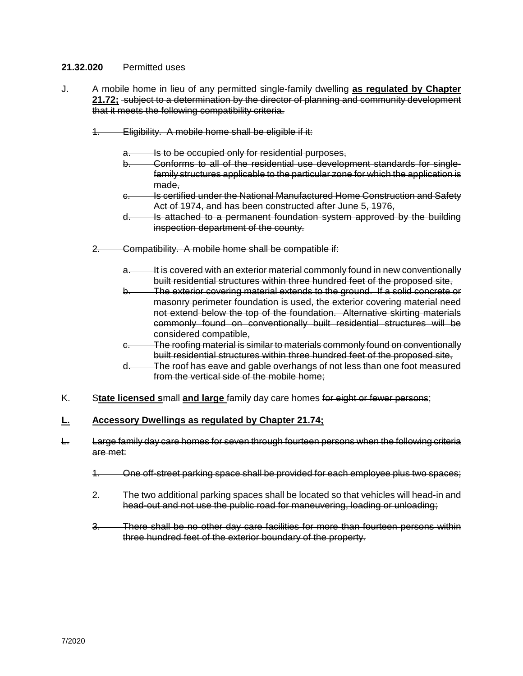## **21.32.020** Permitted uses

- J. A mobile home in lieu of any permitted single-family dwelling **as regulated by Chapter 21.72;** subject to a determination by the director of planning and community development that it meets the following compatibility criteria.
	- 1. Eligibility. A mobile home shall be eligible if it:
		- Is to be occupied only for residential purposes,
		- b. Conforms to all of the residential use development standards for singlefamily structures applicable to the particular zone for which the application is made,
		- c. Is certified under the National Manufactured Home Construction and Safety Act of 1974, and has been constructed after June 5, 1976,
		- d. Is attached to a permanent foundation system approved by the building inspection department of the county.
	- 2. Compatibility. A mobile home shall be compatible if:
		- a. It is covered with an exterior material commonly found in new conventionally built residential structures within three hundred feet of the proposed site,
		- b. The exterior covering material extends to the ground. If a solid concrete or masonry perimeter foundation is used, the exterior covering material need not extend below the top of the foundation. Alternative skirting materials commonly found on conventionally built residential structures will be considered compatible,
		- c. The roofing material is similar to materials commonly found on conventionally built residential structures within three hundred feet of the proposed site,
		- d. The roof has eave and gable overhangs of not less than one foot measured from the vertical side of the mobile home;
- K. S**tate licensed s**mall **and large** family day care homes for eight or fewer persons;

## **L. Accessory Dwellings as regulated by Chapter 21.74;**

- L. Large family day care homes for seven through fourteen persons when the following criteria are met:
	- 1. One off-street parking space shall be provided for each employee plus two spaces;
	- 2. The two additional parking spaces shall be located so that vehicles will head-in and head-out and not use the public road for maneuvering, loading or unloading;
	- 3. There shall be no other day care facilities for more than fourteen persons within three hundred feet of the exterior boundary of the property.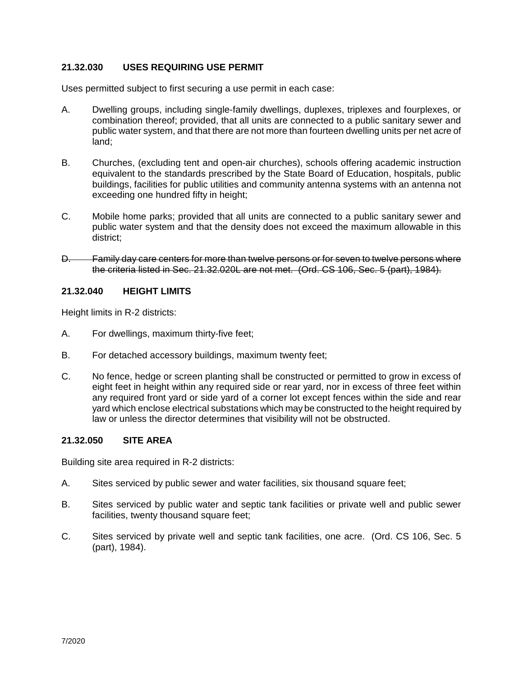# **21.32.030 USES REQUIRING USE PERMIT**

Uses permitted subject to first securing a use permit in each case:

- A. Dwelling groups, including single-family dwellings, duplexes, triplexes and fourplexes, or combination thereof; provided, that all units are connected to a public sanitary sewer and public water system, and that there are not more than fourteen dwelling units per net acre of land;
- B. Churches, (excluding tent and open-air churches), schools offering academic instruction equivalent to the standards prescribed by the State Board of Education, hospitals, public buildings, facilities for public utilities and community antenna systems with an antenna not exceeding one hundred fifty in height;
- C. Mobile home parks; provided that all units are connected to a public sanitary sewer and public water system and that the density does not exceed the maximum allowable in this district;
- D. Family day care centers for more than twelve persons or for seven to twelve persons where the criteria listed in Sec. 21.32.020L are not met. (Ord. CS 106, Sec. 5 (part), 1984).

## **21.32.040 HEIGHT LIMITS**

Height limits in R-2 districts:

- A. For dwellings, maximum thirty-five feet;
- B. For detached accessory buildings, maximum twenty feet;
- C. No fence, hedge or screen planting shall be constructed or permitted to grow in excess of eight feet in height within any required side or rear yard, nor in excess of three feet within any required front yard or side yard of a corner lot except fences within the side and rear yard which enclose electrical substations which may be constructed to the height required by law or unless the director determines that visibility will not be obstructed.

## **21.32.050 SITE AREA**

Building site area required in R-2 districts:

- A. Sites serviced by public sewer and water facilities, six thousand square feet;
- B. Sites serviced by public water and septic tank facilities or private well and public sewer facilities, twenty thousand square feet;
- C. Sites serviced by private well and septic tank facilities, one acre. (Ord. CS 106, Sec. 5 (part), 1984).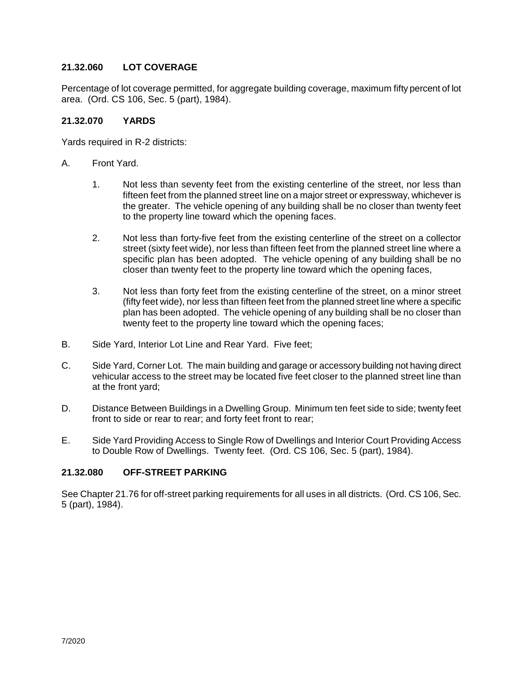# **21.32.060 LOT COVERAGE**

Percentage of lot coverage permitted, for aggregate building coverage, maximum fifty percent of lot area. (Ord. CS 106, Sec. 5 (part), 1984).

## **21.32.070 YARDS**

Yards required in R-2 districts:

- A. Front Yard.
	- 1. Not less than seventy feet from the existing centerline of the street, nor less than fifteen feet from the planned street line on a major street or expressway, whichever is the greater. The vehicle opening of any building shall be no closer than twenty feet to the property line toward which the opening faces.
	- 2. Not less than forty-five feet from the existing centerline of the street on a collector street (sixty feet wide), nor less than fifteen feet from the planned street line where a specific plan has been adopted. The vehicle opening of any building shall be no closer than twenty feet to the property line toward which the opening faces,
	- 3. Not less than forty feet from the existing centerline of the street, on a minor street (fifty feet wide), nor less than fifteen feet from the planned street line where a specific plan has been adopted. The vehicle opening of any building shall be no closer than twenty feet to the property line toward which the opening faces;
- B. Side Yard, Interior Lot Line and Rear Yard. Five feet;
- C. Side Yard, Corner Lot. The main building and garage or accessory building not having direct vehicular access to the street may be located five feet closer to the planned street line than at the front yard;
- D. Distance Between Buildings in a Dwelling Group. Minimum ten feet side to side; twenty feet front to side or rear to rear; and forty feet front to rear;
- E. Side Yard Providing Access to Single Row of Dwellings and Interior Court Providing Access to Double Row of Dwellings. Twenty feet. (Ord. CS 106, Sec. 5 (part), 1984).

# **21.32.080 OFF-STREET PARKING**

See Chapter 21.76 for off-street parking requirements for all uses in all districts. (Ord. CS 106, Sec. 5 (part), 1984).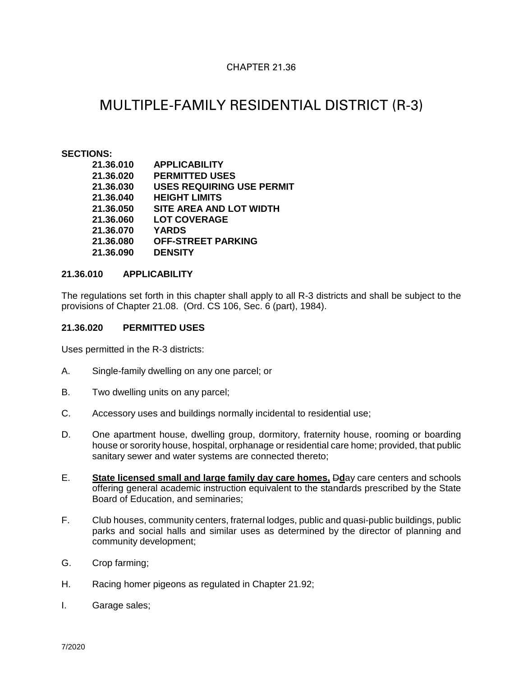# CHAPTER 21.36

# MULTIPLE-FAMILY RESIDENTIAL DISTRICT (R-3)

#### **SECTIONS:**

| 21.36.010 | <b>APPLICABILITY</b>             |
|-----------|----------------------------------|
| 21.36.020 | <b>PERMITTED USES</b>            |
| 21.36.030 | <b>USES REQUIRING USE PERMIT</b> |
| 21.36.040 | <b>HEIGHT LIMITS</b>             |
| 21.36.050 | SITE AREA AND LOT WIDTH          |
| 21.36.060 | <b>LOT COVERAGE</b>              |
| 21.36.070 | <b>YARDS</b>                     |
| 21.36.080 | <b>OFF-STREET PARKING</b>        |
| 21.36.090 | <b>DENSITY</b>                   |

## **21.36.010 APPLICABILITY**

The regulations set forth in this chapter shall apply to all R-3 districts and shall be subject to the provisions of Chapter 21.08. (Ord. CS 106, Sec. 6 (part), 1984).

#### **21.36.020 PERMITTED USES**

Uses permitted in the R-3 districts:

- A. Single-family dwelling on any one parcel; or
- B. Two dwelling units on any parcel;
- C. Accessory uses and buildings normally incidental to residential use;
- D. One apartment house, dwelling group, dormitory, fraternity house, rooming or boarding house or sorority house, hospital, orphanage or residential care home; provided, that public sanitary sewer and water systems are connected thereto;
- E. **State licensed small and large family day care homes,** D**d**ay care centers and schools offering general academic instruction equivalent to the standards prescribed by the State Board of Education, and seminaries;
- F. Club houses, community centers, fraternal lodges, public and quasi-public buildings, public parks and social halls and similar uses as determined by the director of planning and community development;
- G. Crop farming;
- H. Racing homer pigeons as regulated in Chapter 21.92;
- I. Garage sales;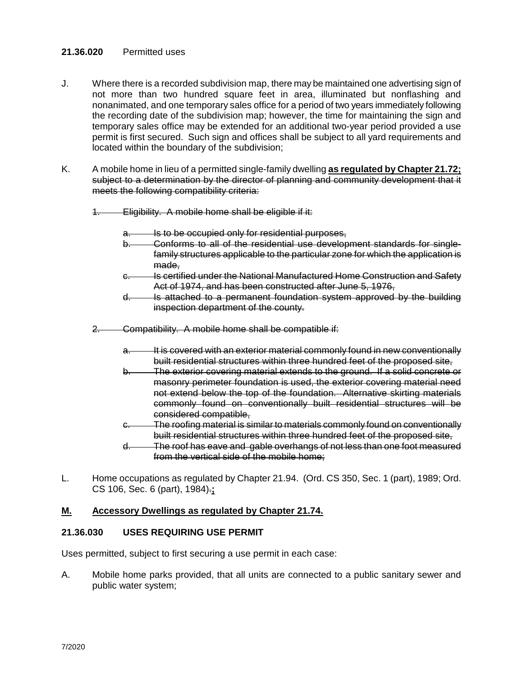## **21.36.020** Permitted uses

- J. Where there is a recorded subdivision map, there may be maintained one advertising sign of not more than two hundred square feet in area, illuminated but nonflashing and nonanimated, and one temporary sales office for a period of two years immediately following the recording date of the subdivision map; however, the time for maintaining the sign and temporary sales office may be extended for an additional two-year period provided a use permit is first secured. Such sign and offices shall be subject to all yard requirements and located within the boundary of the subdivision;
- K. A mobile home in lieu of a permitted single-family dwelling **as regulated by Chapter 21.72;** subject to a determination by the director of planning and community development that it meets the following compatibility criteria:
	- 1. Eligibility. A mobile home shall be eligible if it:
		- Is to be occupied only for residential purposes,
		- b. Conforms to all of the residential use development standards for singlefamily structures applicable to the particular zone for which the application is made.
		- c. Is certified under the National Manufactured Home Construction and Safety Act of 1974, and has been constructed after June 5, 1976,
		- d. Is attached to a permanent foundation system approved by the building inspection department of the county.
	- 2. Compatibility. A mobile home shall be compatible if:
		- a. It is covered with an exterior material commonly found in new conventionally built residential structures within three hundred feet of the proposed site,
		- b. The exterior covering material extends to the ground. If a solid concrete or masonry perimeter foundation is used, the exterior covering material need not extend below the top of the foundation. Alternative skirting materials commonly found on conventionally built residential structures will be considered compatible,
		- c. The roofing material is similar to materials commonly found on conventionally built residential structures within three hundred feet of the proposed site,
		- d. The roof has eave and gable overhangs of not less than one foot measured from the vertical side of the mobile home;
- L. Home occupations as regulated by Chapter 21.94. (Ord. CS 350, Sec. 1 (part), 1989; Ord. CS 106, Sec. 6 (part), 1984).**;**

## **M. Accessory Dwellings as regulated by Chapter 21.74.**

## **21.36.030 USES REQUIRING USE PERMIT**

Uses permitted, subject to first securing a use permit in each case:

A. Mobile home parks provided, that all units are connected to a public sanitary sewer and public water system;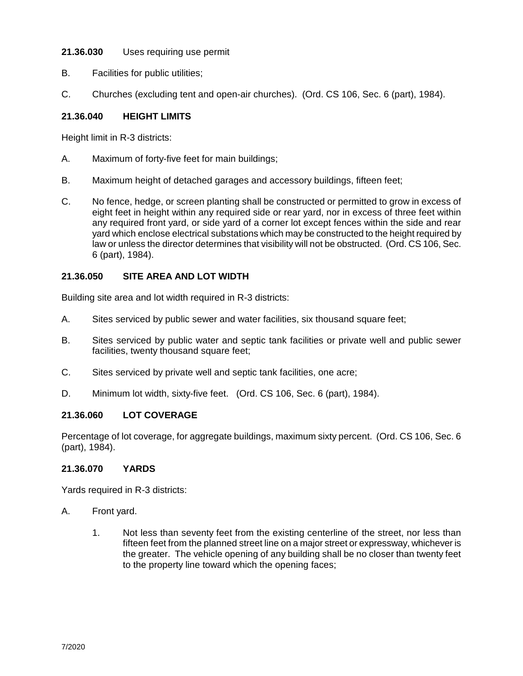# **21.36.030** Uses requiring use permit

- B. Facilities for public utilities;
- C. Churches (excluding tent and open-air churches). (Ord. CS 106, Sec. 6 (part), 1984).

# **21.36.040 HEIGHT LIMITS**

Height limit in R-3 districts:

- A. Maximum of forty-five feet for main buildings;
- B. Maximum height of detached garages and accessory buildings, fifteen feet;
- C. No fence, hedge, or screen planting shall be constructed or permitted to grow in excess of eight feet in height within any required side or rear yard, nor in excess of three feet within any required front yard, or side yard of a corner lot except fences within the side and rear yard which enclose electrical substations which may be constructed to the height required by law or unless the director determines that visibility will not be obstructed. (Ord. CS 106, Sec. 6 (part), 1984).

# **21.36.050 SITE AREA AND LOT WIDTH**

Building site area and lot width required in R-3 districts:

- A. Sites serviced by public sewer and water facilities, six thousand square feet;
- B. Sites serviced by public water and septic tank facilities or private well and public sewer facilities, twenty thousand square feet;
- C. Sites serviced by private well and septic tank facilities, one acre;
- D. Minimum lot width, sixty-five feet. (Ord. CS 106, Sec. 6 (part), 1984).

# **21.36.060 LOT COVERAGE**

Percentage of lot coverage, for aggregate buildings, maximum sixty percent. (Ord. CS 106, Sec. 6 (part), 1984).

#### **21.36.070 YARDS**

Yards required in R-3 districts:

- A. Front yard.
	- 1. Not less than seventy feet from the existing centerline of the street, nor less than fifteen feet from the planned street line on a major street or expressway, whichever is the greater. The vehicle opening of any building shall be no closer than twenty feet to the property line toward which the opening faces;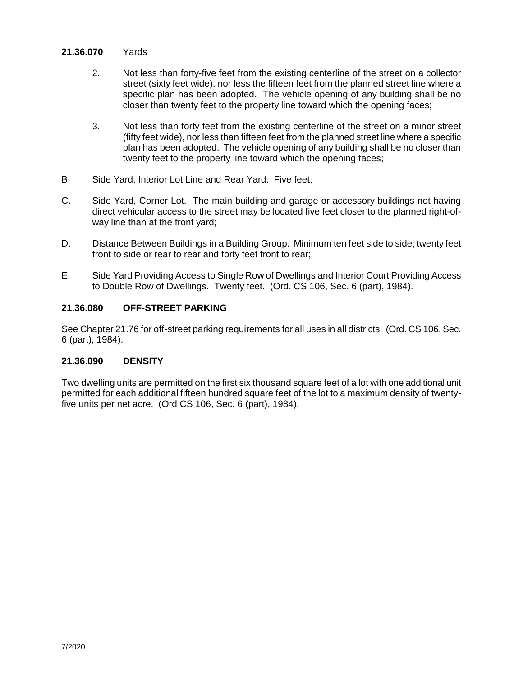### **21.36.070** Yards

- 2. Not less than forty-five feet from the existing centerline of the street on a collector street (sixty feet wide), nor less the fifteen feet from the planned street line where a specific plan has been adopted. The vehicle opening of any building shall be no closer than twenty feet to the property line toward which the opening faces;
- 3. Not less than forty feet from the existing centerline of the street on a minor street (fifty feet wide), nor less than fifteen feet from the planned street line where a specific plan has been adopted. The vehicle opening of any building shall be no closer than twenty feet to the property line toward which the opening faces;
- B. Side Yard, Interior Lot Line and Rear Yard. Five feet;
- C. Side Yard, Corner Lot. The main building and garage or accessory buildings not having direct vehicular access to the street may be located five feet closer to the planned right-ofway line than at the front yard;
- D. Distance Between Buildings in a Building Group. Minimum ten feet side to side; twenty feet front to side or rear to rear and forty feet front to rear;
- E. Side Yard Providing Access to Single Row of Dwellings and Interior Court Providing Access to Double Row of Dwellings. Twenty feet. (Ord. CS 106, Sec. 6 (part), 1984).

# **21.36.080 OFF-STREET PARKING**

See Chapter 21.76 for off-street parking requirements for all uses in all districts. (Ord. CS 106, Sec. 6 (part), 1984).

# **21.36.090 DENSITY**

Two dwelling units are permitted on the first six thousand square feet of a lot with one additional unit permitted for each additional fifteen hundred square feet of the lot to a maximum density of twentyfive units per net acre. (Ord CS 106, Sec. 6 (part), 1984).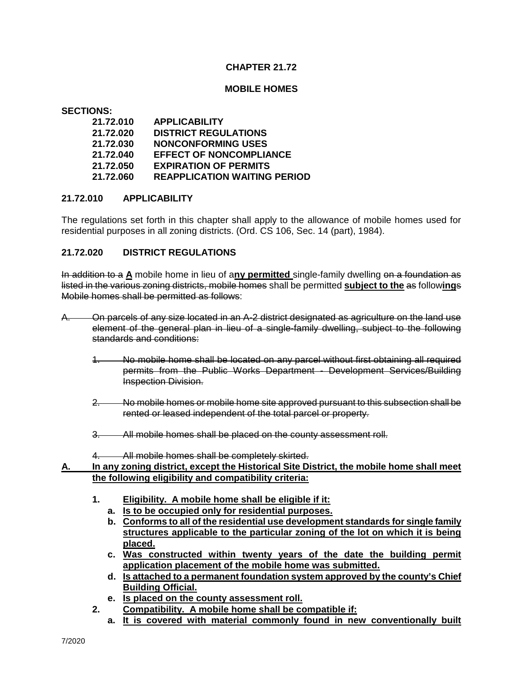## **CHAPTER 21.72**

#### **MOBILE HOMES**

**SECTIONS:**

| 21.72.010 | <b>APPLICABILITY</b>                |
|-----------|-------------------------------------|
| 21.72.020 | <b>DISTRICT REGULATIONS</b>         |
| 21.72.030 | <b>NONCONFORMING USES</b>           |
| 21.72.040 | <b>EFFECT OF NONCOMPLIANCE</b>      |
| 21.72.050 | <b>EXPIRATION OF PERMITS</b>        |
| 21.72.060 | <b>REAPPLICATION WAITING PERIOD</b> |

#### **21.72.010 APPLICABILITY**

The regulations set forth in this chapter shall apply to the allowance of mobile homes used for residential purposes in all zoning districts. (Ord. CS 106, Sec. 14 (part), 1984).

### **21.72.020 DISTRICT REGULATIONS**

In addition to a **A** mobile home in lieu of a**ny permitted** single-family dwelling on a foundation as listed in the various zoning districts, mobile homes shall be permitted **subject to the** as follow**ing**s Mobile homes shall be permitted as follows:

- A. On parcels of any size located in an A-2 district designated as agriculture on the land use element of the general plan in lieu of a single-family dwelling, subject to the following standards and conditions:
	- 1. No mobile home shall be located on any parcel without first obtaining all required permits from the Public Works Department - Development Services/Building Inspection Division.
	- 2. No mobile homes or mobile home site approved pursuant to this subsection shall be rented or leased independent of the total parcel or property.
	- 3. All mobile homes shall be placed on the county assessment roll.
	- 4. All mobile homes shall be completely skirted.

### **A. In any zoning district, except the Historical Site District, the mobile home shall meet the following eligibility and compatibility criteria:**

- **1. Eligibility. A mobile home shall be eligible if it:**
	- **a. Is to be occupied only for residential purposes.**
	- **b. Conforms to all of the residential use development standards for single family structures applicable to the particular zoning of the lot on which it is being placed.**
	- **c. Was constructed within twenty years of the date the building permit application placement of the mobile home was submitted.**
	- **d. Is attached to a permanent foundation system approved by the county's Chief Building Official.**
	- **e. Is placed on the county assessment roll.**
- **2. Compatibility. A mobile home shall be compatible if:**
	- **a. It is covered with material commonly found in new conventionally built**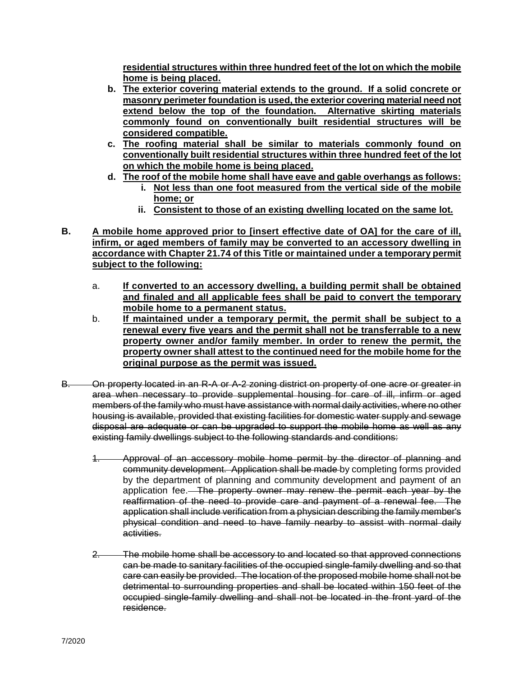**residential structures within three hundred feet of the lot on which the mobile home is being placed.** 

- **b. The exterior covering material extends to the ground. If a solid concrete or masonry perimeter foundation is used, the exterior covering material need not extend below the top of the foundation. Alternative skirting materials commonly found on conventionally built residential structures will be considered compatible.**
- **c. The roofing material shall be similar to materials commonly found on conventionally built residential structures within three hundred feet of the lot on which the mobile home is being placed.**
- **d. The roof of the mobile home shall have eave and gable overhangs as follows:**
	- **i. Not less than one foot measured from the vertical side of the mobile home; or**
	- **ii. Consistent to those of an existing dwelling located on the same lot.**
- **B. A mobile home approved prior to [insert effective date of OA] for the care of ill, infirm, or aged members of family may be converted to an accessory dwelling in accordance with Chapter 21.74 of this Title or maintained under a temporary permit subject to the following:**
	- a. **If converted to an accessory dwelling, a building permit shall be obtained and finaled and all applicable fees shall be paid to convert the temporary mobile home to a permanent status.**
	- b. **If maintained under a temporary permit, the permit shall be subject to a renewal every five years and the permit shall not be transferrable to a new property owner and/or family member. In order to renew the permit, the property owner shall attest to the continued need for the mobile home for the original purpose as the permit was issued.**
- B. On property located in an R-A or A-2 zoning district on property of one acre or greater in area when necessary to provide supplemental housing for care of ill, infirm or aged members of the family who must have assistance with normal daily activities, where no other housing is available, provided that existing facilities for domestic water supply and sewage disposal are adequate or can be upgraded to support the mobile home as well as any existing family dwellings subject to the following standards and conditions:
	- 1. Approval of an accessory mobile home permit by the director of planning and community development. Application shall be made by completing forms provided by the department of planning and community development and payment of an application fee. The property owner may renew the permit each year by the reaffirmation of the need to provide care and payment of a renewal fee. The application shall include verification from a physician describing the family member's physical condition and need to have family nearby to assist with normal daily activities.
	- 2. The mobile home shall be accessory to and located so that approved connections can be made to sanitary facilities of the occupied single-family dwelling and so that care can easily be provided. The location of the proposed mobile home shall not be detrimental to surrounding properties and shall be located within 150 feet of the occupied single-family dwelling and shall not be located in the front yard of the residence.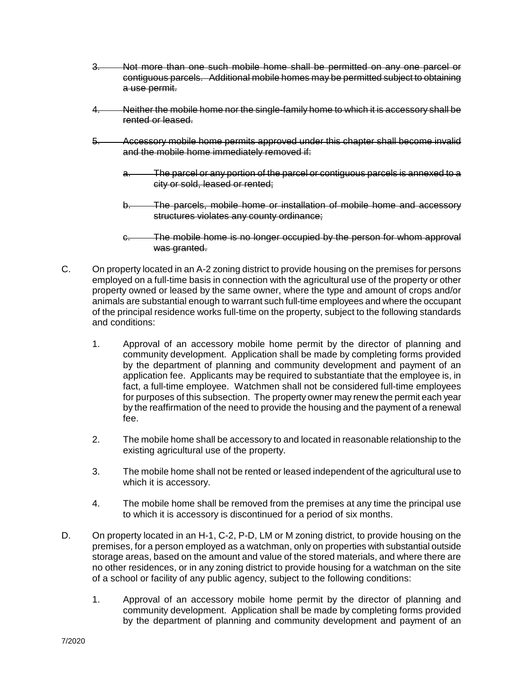- 3. Not more than one such mobile home shall be permitted on any one parcel or contiguous parcels. Additional mobile homes may be permitted subject to obtaining a use permit.
- 4. Neither the mobile home nor the single-family home to which it is accessory shall be rented or leased.
- 5. Accessory mobile home permits approved under this chapter shall become invalid and the mobile home immediately removed if:
	- a. The parcel or any portion of the parcel or contiguous parcels is annexed to a city or sold, leased or rented;
	- b. The parcels, mobile home or installation of mobile home and accessory structures violates any county ordinance;
	- c. The mobile home is no longer occupied by the person for whom approval was granted.
- C. On property located in an A-2 zoning district to provide housing on the premises for persons employed on a full-time basis in connection with the agricultural use of the property or other property owned or leased by the same owner, where the type and amount of crops and/or animals are substantial enough to warrant such full-time employees and where the occupant of the principal residence works full-time on the property, subject to the following standards and conditions:
	- 1. Approval of an accessory mobile home permit by the director of planning and community development. Application shall be made by completing forms provided by the department of planning and community development and payment of an application fee. Applicants may be required to substantiate that the employee is, in fact, a full-time employee. Watchmen shall not be considered full-time employees for purposes of this subsection. The property owner may renew the permit each year by the reaffirmation of the need to provide the housing and the payment of a renewal fee.
	- 2. The mobile home shall be accessory to and located in reasonable relationship to the existing agricultural use of the property.
	- 3. The mobile home shall not be rented or leased independent of the agricultural use to which it is accessory.
	- 4. The mobile home shall be removed from the premises at any time the principal use to which it is accessory is discontinued for a period of six months.
- D. On property located in an H-1, C-2, P-D, LM or M zoning district, to provide housing on the premises, for a person employed as a watchman, only on properties with substantial outside storage areas, based on the amount and value of the stored materials, and where there are no other residences, or in any zoning district to provide housing for a watchman on the site of a school or facility of any public agency, subject to the following conditions:
	- 1. Approval of an accessory mobile home permit by the director of planning and community development. Application shall be made by completing forms provided by the department of planning and community development and payment of an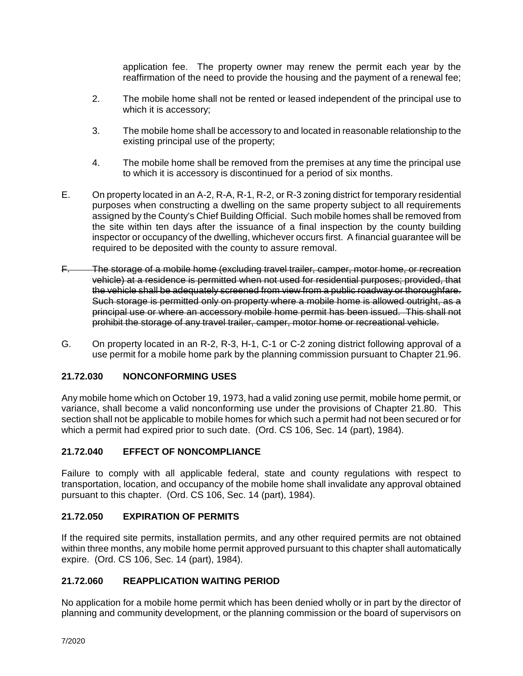application fee. The property owner may renew the permit each year by the reaffirmation of the need to provide the housing and the payment of a renewal fee;

- 2. The mobile home shall not be rented or leased independent of the principal use to which it is accessory;
- 3. The mobile home shall be accessory to and located in reasonable relationship to the existing principal use of the property;
- 4. The mobile home shall be removed from the premises at any time the principal use to which it is accessory is discontinued for a period of six months.
- E. On property located in an A-2, R-A, R-1, R-2, or R-3 zoning district for temporary residential purposes when constructing a dwelling on the same property subject to all requirements assigned by the County's Chief Building Official. Such mobile homes shall be removed from the site within ten days after the issuance of a final inspection by the county building inspector or occupancy of the dwelling, whichever occurs first. A financial guarantee will be required to be deposited with the county to assure removal.
- F. The storage of a mobile home (excluding travel trailer, camper, motor home, or recreation vehicle) at a residence is permitted when not used for residential purposes; provided, that the vehicle shall be adequately screened from view from a public roadway or thoroughfare. Such storage is permitted only on property where a mobile home is allowed outright, as a principal use or where an accessory mobile home permit has been issued. This shall not prohibit the storage of any travel trailer, camper, motor home or recreational vehicle.
- G. On property located in an R-2, R-3, H-1, C-1 or C-2 zoning district following approval of a use permit for a mobile home park by the planning commission pursuant to Chapter 21.96.

# **21.72.030 NONCONFORMING USES**

Any mobile home which on October 19, 1973, had a valid zoning use permit, mobile home permit, or variance, shall become a valid nonconforming use under the provisions of Chapter 21.80. This section shall not be applicable to mobile homes for which such a permit had not been secured or for which a permit had expired prior to such date. (Ord. CS 106, Sec. 14 (part), 1984).

# **21.72.040 EFFECT OF NONCOMPLIANCE**

Failure to comply with all applicable federal, state and county regulations with respect to transportation, location, and occupancy of the mobile home shall invalidate any approval obtained pursuant to this chapter. (Ord. CS 106, Sec. 14 (part), 1984).

# **21.72.050 EXPIRATION OF PERMITS**

If the required site permits, installation permits, and any other required permits are not obtained within three months, any mobile home permit approved pursuant to this chapter shall automatically expire. (Ord. CS 106, Sec. 14 (part), 1984).

# **21.72.060 REAPPLICATION WAITING PERIOD**

No application for a mobile home permit which has been denied wholly or in part by the director of planning and community development, or the planning commission or the board of supervisors on